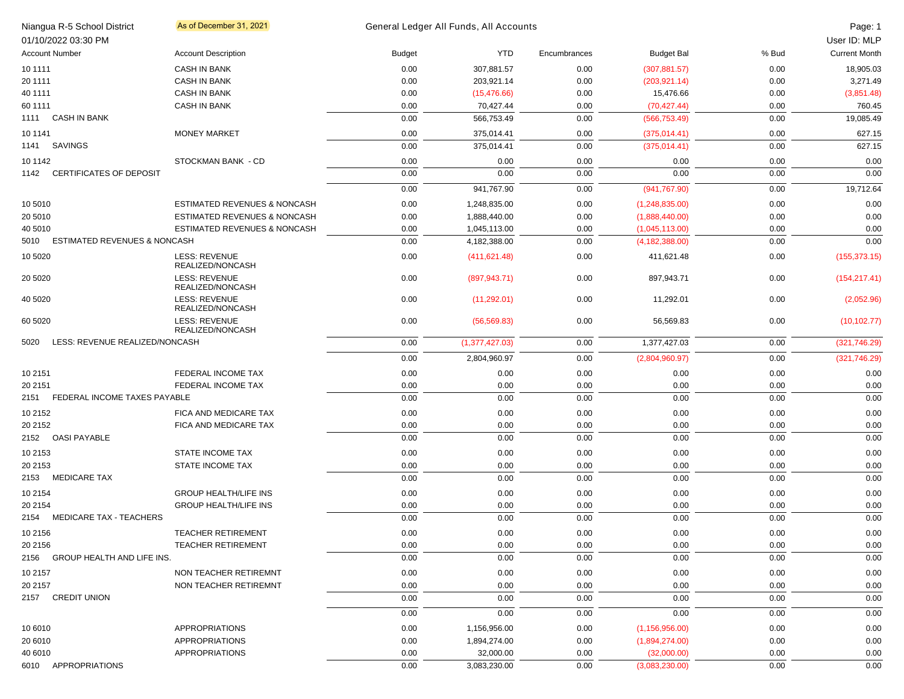|          | Niangua R-5 School District<br>01/10/2022 03:30 PM | As of December 31, 2021                 |               | General Ledger All Funds, All Accounts |              |                   |       | Page: 1<br>User ID: MLP |
|----------|----------------------------------------------------|-----------------------------------------|---------------|----------------------------------------|--------------|-------------------|-------|-------------------------|
|          | <b>Account Number</b>                              | <b>Account Description</b>              | <b>Budget</b> | <b>YTD</b>                             | Encumbrances | <b>Budget Bal</b> | % Bud | <b>Current Month</b>    |
| 10 11 11 |                                                    | <b>CASH IN BANK</b>                     | 0.00          | 307,881.57                             | 0.00         | (307, 881.57)     | 0.00  | 18,905.03               |
| 20 11 11 |                                                    | <b>CASH IN BANK</b>                     | 0.00          | 203,921.14                             | 0.00         | (203, 921.14)     | 0.00  | 3,271.49                |
| 40 1111  |                                                    | <b>CASH IN BANK</b>                     | 0.00          | (15, 476.66)                           | 0.00         | 15,476.66         | 0.00  | (3,851.48)              |
| 60 1111  |                                                    | <b>CASH IN BANK</b>                     | 0.00          | 70,427.44                              | 0.00         | (70, 427.44)      | 0.00  | 760.45                  |
|          | 1111 CASH IN BANK                                  |                                         | 0.00          | 566,753.49                             | 0.00         | (566, 753.49)     | 0.00  | 19,085.49               |
|          |                                                    |                                         |               |                                        |              |                   |       |                         |
| 10 1141  |                                                    | <b>MONEY MARKET</b>                     | 0.00          | 375,014.41                             | 0.00         | (375,014.41)      | 0.00  | 627.15                  |
| 1141     | SAVINGS                                            |                                         | 0.00          | 375,014.41                             | 0.00         | (375,014.41)      | 0.00  | 627.15                  |
| 10 11 42 |                                                    | STOCKMAN BANK - CD                      | 0.00          | 0.00                                   | 0.00         | 0.00              | 0.00  | 0.00                    |
| 1142     | <b>CERTIFICATES OF DEPOSIT</b>                     |                                         | 0.00          | 0.00                                   | 0.00         | 0.00              | 0.00  | 0.00                    |
|          |                                                    |                                         | 0.00          | 941,767.90                             | 0.00         | (941, 767.90)     | 0.00  | 19,712.64               |
| 10 5010  |                                                    | <b>ESTIMATED REVENUES &amp; NONCASH</b> | 0.00          | 1,248,835.00                           | 0.00         | (1,248,835.00)    | 0.00  | 0.00                    |
| 20 5010  |                                                    | ESTIMATED REVENUES & NONCASH            | 0.00          | 1,888,440.00                           | 0.00         | (1,888,440.00)    | 0.00  | 0.00                    |
| 40 5010  |                                                    | ESTIMATED REVENUES & NONCASH            | 0.00          | 1,045,113.00                           | 0.00         | (1,045,113.00)    | 0.00  | 0.00                    |
| 5010     | <b>ESTIMATED REVENUES &amp; NONCASH</b>            |                                         | 0.00          | 4,182,388.00                           | 0.00         | (4, 182, 388.00)  | 0.00  | 0.00                    |
| 10 5020  |                                                    | LESS: REVENUE<br>REALIZED/NONCASH       | 0.00          | (411, 621.48)                          | 0.00         | 411,621.48        | 0.00  | (155, 373.15)           |
| 20 50 20 |                                                    | LESS: REVENUE<br>REALIZED/NONCASH       | 0.00          | (897, 943.71)                          | 0.00         | 897,943.71        | 0.00  | (154, 217.41)           |
| 40 5020  |                                                    | LESS: REVENUE<br>REALIZED/NONCASH       | 0.00          | (11, 292.01)                           | 0.00         | 11,292.01         | 0.00  | (2,052.96)              |
| 60 50 20 |                                                    | LESS: REVENUE<br>REALIZED/NONCASH       | 0.00          | (56, 569.83)                           | 0.00         | 56,569.83         | 0.00  | (10, 102.77)            |
| 5020     | LESS: REVENUE REALIZED/NONCASH                     |                                         | 0.00          | (1,377,427.03)                         | 0.00         | 1,377,427.03      | 0.00  | (321,746.29)            |
|          |                                                    |                                         | 0.00          | 2,804,960.97                           | 0.00         | (2,804,960.97)    | 0.00  | (321,746.29)            |
| 10 2151  |                                                    | FEDERAL INCOME TAX                      | 0.00          | 0.00                                   | 0.00         | 0.00              | 0.00  | 0.00                    |
| 20 2151  |                                                    | FEDERAL INCOME TAX                      | 0.00          | 0.00                                   | 0.00         | 0.00              | 0.00  | 0.00                    |
| 2151     | FEDERAL INCOME TAXES PAYABLE                       |                                         | 0.00          | 0.00                                   | 0.00         | 0.00              | 0.00  | 0.00                    |
| 10 2152  |                                                    | FICA AND MEDICARE TAX                   | 0.00          | 0.00                                   | 0.00         | 0.00              | 0.00  | 0.00                    |
| 20 2152  |                                                    | FICA AND MEDICARE TAX                   | 0.00          | 0.00                                   | 0.00         | 0.00              | 0.00  | 0.00                    |
|          | 2152 OASI PAYABLE                                  |                                         | 0.00          | 0.00                                   | 0.00         | 0.00              | 0.00  | 0.00                    |
|          |                                                    |                                         |               |                                        |              |                   |       |                         |
| 10 2153  |                                                    | <b>STATE INCOME TAX</b>                 | 0.00          | 0.00                                   | 0.00         | 0.00              | 0.00  | 0.00                    |
| 20 2153  |                                                    | STATE INCOME TAX                        | 0.00          | 0.00                                   | 0.00         | 0.00              | 0.00  | 0.00                    |
|          | 2153 MEDICARE TAX                                  |                                         | 0.00          | 0.00                                   | 0.00         | 0.00              | 0.00  | 0.00                    |
| 10 2154  |                                                    | <b>GROUP HEALTH/LIFE INS</b>            | 0.00          | 0.00                                   | 0.00         | 0.00              | 0.00  | 0.00                    |
| 20 2154  |                                                    | <b>GROUP HEALTH/LIFE INS</b>            | 0.00          | 0.00                                   | 0.00         | 0.00              | 0.00  | 0.00                    |
|          | 2154 MEDICARE TAX - TEACHERS                       |                                         | 0.00          | 0.00                                   | 0.00         | 0.00              | 0.00  | 0.00                    |
| 10 2156  |                                                    | <b>TEACHER RETIREMENT</b>               | 0.00          | 0.00                                   | 0.00         | 0.00              | 0.00  | 0.00                    |
| 20 2156  |                                                    | <b>TEACHER RETIREMENT</b>               | 0.00          | 0.00                                   | 0.00         | 0.00              | 0.00  | 0.00                    |
|          | 2156 GROUP HEALTH AND LIFE INS.                    |                                         | 0.00          | 0.00                                   | 0.00         | 0.00              | 0.00  | 0.00                    |
| 10 2157  |                                                    | NON TEACHER RETIREMNT                   | 0.00          | 0.00                                   | 0.00         | 0.00              | 0.00  | 0.00                    |
| 20 2157  |                                                    | NON TEACHER RETIREMNT                   | 0.00          | 0.00                                   | 0.00         | 0.00              | 0.00  | 0.00                    |
|          | 2157 CREDIT UNION                                  |                                         | 0.00          | 0.00                                   | 0.00         | 0.00              | 0.00  | 0.00                    |
|          |                                                    |                                         | 0.00          | 0.00                                   | 0.00         | 0.00              | 0.00  | 0.00                    |
| 10 6010  |                                                    | APPROPRIATIONS                          | 0.00          | 1,156,956.00                           | 0.00         | (1, 156, 956.00)  | 0.00  | 0.00                    |
| 20 6010  |                                                    | <b>APPROPRIATIONS</b>                   | 0.00          | 1,894,274.00                           | 0.00         | (1,894,274.00)    | 0.00  | 0.00                    |
| 40 6010  |                                                    | <b>APPROPRIATIONS</b>                   | 0.00          | 32,000.00                              | 0.00         | (32,000.00)       | 0.00  | 0.00                    |
|          | 6010 APPROPRIATIONS                                |                                         | 0.00          | 3,083,230.00                           | 0.00         | (3,083,230.00)    | 0.00  | 0.00                    |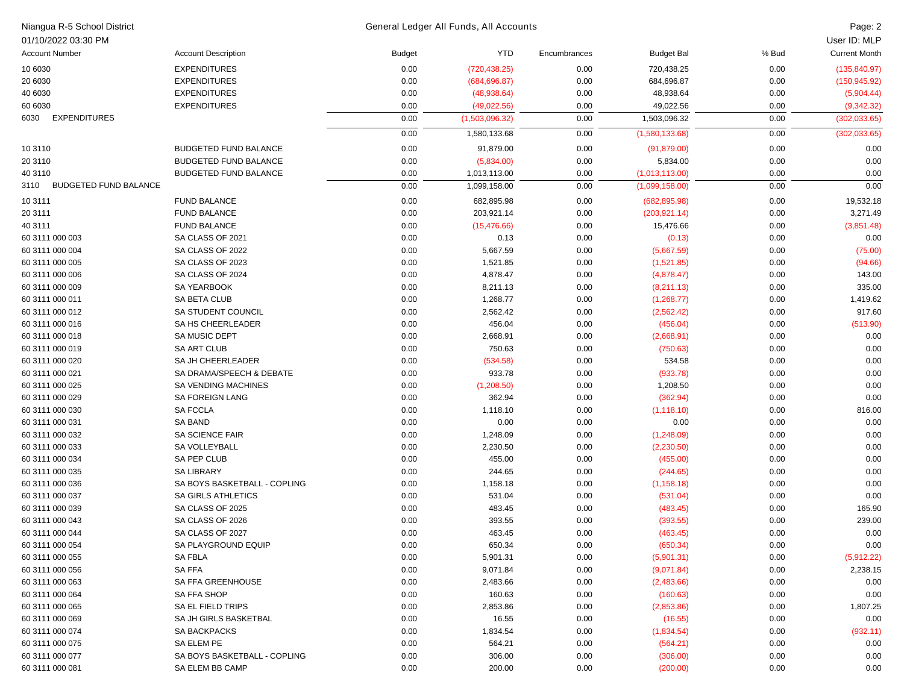| Niangua R-5 School District          |                              | General Ledger All Funds, All Accounts<br>Page: 2 |                |              |                   |       |                      |  |
|--------------------------------------|------------------------------|---------------------------------------------------|----------------|--------------|-------------------|-------|----------------------|--|
| 01/10/2022 03:30 PM                  |                              |                                                   |                |              |                   |       | User ID: MLP         |  |
| <b>Account Number</b>                | <b>Account Description</b>   | <b>Budget</b>                                     | <b>YTD</b>     | Encumbrances | <b>Budget Bal</b> | % Bud | <b>Current Month</b> |  |
| 10 6030                              | <b>EXPENDITURES</b>          | 0.00                                              | (720, 438.25)  | 0.00         | 720,438.25        | 0.00  | (135, 840.97)        |  |
| 20 6030                              | <b>EXPENDITURES</b>          | 0.00                                              | (684, 696.87)  | 0.00         | 684,696.87        | 0.00  | (150, 945.92)        |  |
| 40 6030                              | <b>EXPENDITURES</b>          | 0.00                                              | (48,938.64)    | 0.00         | 48,938.64         | 0.00  | (5,904.44)           |  |
| 60 6030                              | <b>EXPENDITURES</b>          | 0.00                                              | (49,022.56)    | 0.00         | 49,022.56         | 0.00  | (9, 342.32)          |  |
| <b>EXPENDITURES</b><br>6030          |                              | 0.00                                              | (1,503,096.32) | 0.00         | 1,503,096.32      | 0.00  | (302, 033.65)        |  |
|                                      |                              | 0.00                                              | 1,580,133.68   | 0.00         | (1,580,133.68)    | 0.00  | (302, 033.65)        |  |
| 10 31 10                             | <b>BUDGETED FUND BALANCE</b> | 0.00                                              | 91,879.00      | 0.00         | (91, 879.00)      | 0.00  | 0.00                 |  |
| 20 3110                              | <b>BUDGETED FUND BALANCE</b> | 0.00                                              | (5,834.00)     | 0.00         | 5,834.00          | 0.00  | 0.00                 |  |
| 40 3110                              | <b>BUDGETED FUND BALANCE</b> | 0.00                                              | 1,013,113.00   | 0.00         | (1,013,113.00)    | 0.00  | 0.00                 |  |
| <b>BUDGETED FUND BALANCE</b><br>3110 |                              | 0.00                                              | 1,099,158.00   | 0.00         | (1,099,158.00)    | 0.00  | 0.00                 |  |
| 10 3111                              | <b>FUND BALANCE</b>          | 0.00                                              | 682,895.98     | 0.00         | (682, 895.98)     | 0.00  | 19,532.18            |  |
| 20 3111                              | <b>FUND BALANCE</b>          | 0.00                                              | 203,921.14     | 0.00         | (203, 921.14)     | 0.00  | 3,271.49             |  |
| 40 3111                              | <b>FUND BALANCE</b>          | 0.00                                              | (15, 476.66)   | 0.00         | 15,476.66         | 0.00  | (3,851.48)           |  |
| 60 3111 000 003                      | SA CLASS OF 2021             | 0.00                                              | 0.13           | 0.00         | (0.13)            | 0.00  | 0.00                 |  |
| 60 3111 000 004                      | SA CLASS OF 2022             | 0.00                                              | 5,667.59       | 0.00         | (5,667.59)        | 0.00  | (75.00)              |  |
| 60 3111 000 005                      | SA CLASS OF 2023             | 0.00                                              | 1,521.85       | 0.00         | (1,521.85)        | 0.00  | (94.66)              |  |
| 60 3111 000 006                      | SA CLASS OF 2024             | 0.00                                              | 4,878.47       | 0.00         | (4,878.47)        | 0.00  | 143.00               |  |
| 60 3111 000 009                      | SA YEARBOOK                  | 0.00                                              | 8,211.13       | 0.00         | (8,211.13)        | 0.00  | 335.00               |  |
| 60 3111 000 011                      | SA BETA CLUB                 | 0.00                                              | 1,268.77       | 0.00         | (1,268.77)        | 0.00  | 1,419.62             |  |
| 60 3111 000 012                      | SA STUDENT COUNCIL           | 0.00                                              | 2,562.42       | 0.00         | (2,562.42)        | 0.00  | 917.60               |  |
| 60 3111 000 016                      | <b>SA HS CHEERLEADER</b>     | 0.00                                              | 456.04         | 0.00         | (456.04)          | 0.00  | (513.90)             |  |
| 60 3111 000 018                      | <b>SA MUSIC DEPT</b>         | 0.00                                              | 2,668.91       | 0.00         | (2,668.91)        | 0.00  | 0.00                 |  |
| 60 3111 000 019                      | <b>SA ART CLUB</b>           | 0.00                                              | 750.63         | 0.00         | (750.63)          | 0.00  | 0.00                 |  |
| 60 3111 000 020                      | SA JH CHEERLEADER            | 0.00                                              | (534.58)       | 0.00         | 534.58            | 0.00  | 0.00                 |  |
| 60 3111 000 021                      | SA DRAMA/SPEECH & DEBATE     | 0.00                                              | 933.78         | 0.00         | (933.78)          | 0.00  | 0.00                 |  |
| 60 3111 000 025                      | <b>SA VENDING MACHINES</b>   | 0.00                                              | (1,208.50)     | 0.00         | 1,208.50          | 0.00  | 0.00                 |  |
| 60 3111 000 029                      | <b>SA FOREIGN LANG</b>       | 0.00                                              | 362.94         | 0.00         | (362.94)          | 0.00  | 0.00                 |  |
| 60 3111 000 030                      | <b>SA FCCLA</b>              | 0.00                                              | 1,118.10       | 0.00         | (1, 118.10)       | 0.00  | 816.00               |  |
| 60 3111 000 031                      | <b>SA BAND</b>               | 0.00                                              | 0.00           | 0.00         | 0.00              | 0.00  | 0.00                 |  |
| 60 3111 000 032                      | SA SCIENCE FAIR              | 0.00                                              | 1,248.09       | 0.00         | (1,248.09)        | 0.00  | 0.00                 |  |
| 60 3111 000 033                      | SA VOLLEYBALL                | 0.00                                              | 2,230.50       | 0.00         | (2,230.50)        | 0.00  | 0.00                 |  |
| 60 3111 000 034                      | SA PEP CLUB                  | 0.00                                              | 455.00         | 0.00         | (455.00)          | 0.00  | 0.00                 |  |
| 60 3111 000 035                      | <b>SA LIBRARY</b>            | 0.00                                              | 244.65         | 0.00         | (244.65)          | 0.00  | 0.00                 |  |
| 60 3111 000 036                      | SA BOYS BASKETBALL - COPLING | 0.00                                              | 1,158.18       | 0.00         | (1, 158.18)       | 0.00  | 0.00                 |  |
| 60 3111 000 037                      | <b>SA GIRLS ATHLETICS</b>    | 0.00                                              | 531.04         | 0.00         | (531.04)          | 0.00  | 0.00                 |  |
| 60 3111 000 039                      | SA CLASS OF 2025             | 0.00                                              | 483.45         | 0.00         | (483.45)          | 0.00  | 165.90               |  |
| 60 3111 000 043                      | SA CLASS OF 2026             | 0.00                                              | 393.55         | 0.00         | (393.55)          | 0.00  | 239.00               |  |
| 60 3111 000 044                      | SA CLASS OF 2027             | 0.00                                              | 463.45         | 0.00         | (463.45)          | 0.00  | 0.00                 |  |
| 60 3111 000 054                      | SA PLAYGROUND EQUIP          | 0.00                                              | 650.34         | 0.00         | (650.34)          | 0.00  | 0.00                 |  |
| 60 3111 000 055                      | SA FBLA                      | 0.00                                              | 5,901.31       | 0.00         | (5,901.31)        | 0.00  | (5,912.22)           |  |
| 60 3111 000 056                      | SA FFA                       | 0.00                                              | 9,071.84       | 0.00         | (9,071.84)        | 0.00  | 2,238.15             |  |
| 60 3111 000 063                      | <b>SA FFA GREENHOUSE</b>     | 0.00                                              | 2,483.66       | 0.00         | (2,483.66)        | 0.00  | 0.00                 |  |
| 60 3111 000 064                      | SA FFA SHOP                  | 0.00                                              | 160.63         | 0.00         | (160.63)          | 0.00  | 0.00                 |  |
| 60 3111 000 065                      | SA EL FIELD TRIPS            | 0.00                                              | 2,853.86       | 0.00         | (2,853.86)        | 0.00  | 1,807.25             |  |
| 60 3111 000 069                      | SA JH GIRLS BASKETBAL        | 0.00                                              | 16.55          | 0.00         | (16.55)           | 0.00  | 0.00                 |  |
| 60 3111 000 074                      | SA BACKPACKS                 | 0.00                                              | 1,834.54       | 0.00         | (1,834.54)        | 0.00  | (932.11)             |  |
| 60 3111 000 075                      | SA ELEM PE                   | 0.00                                              | 564.21         | 0.00         | (564.21)          | 0.00  | 0.00                 |  |
| 60 3111 000 077                      | SA BOYS BASKETBALL - COPLING | 0.00                                              | 306.00         | 0.00         | (306.00)          | 0.00  | 0.00                 |  |
| 60 3111 000 081                      | SA ELEM BB CAMP              | 0.00                                              | 200.00         | 0.00         | (200.00)          | 0.00  | 0.00                 |  |
|                                      |                              |                                                   |                |              |                   |       |                      |  |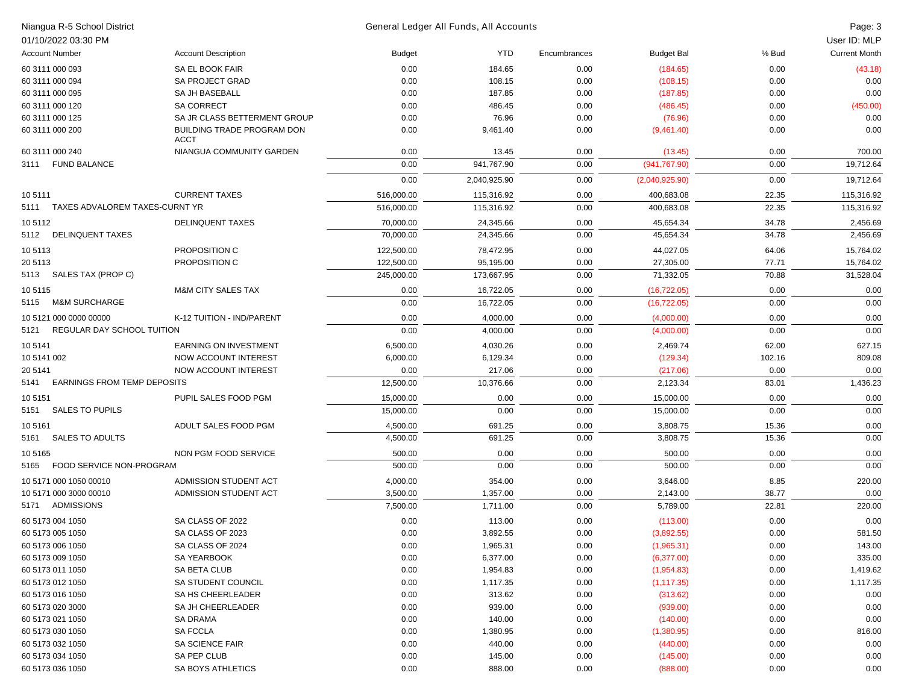| Niangua R-5 School District                |                                           |               | General Ledger All Funds, All Accounts |              |                      |              | Page: 3              |
|--------------------------------------------|-------------------------------------------|---------------|----------------------------------------|--------------|----------------------|--------------|----------------------|
| 01/10/2022 03:30 PM                        |                                           |               |                                        |              |                      |              | User ID: MLP         |
| <b>Account Number</b>                      | <b>Account Description</b>                | <b>Budget</b> | <b>YTD</b>                             | Encumbrances | <b>Budget Bal</b>    | % Bud        | <b>Current Month</b> |
| 60 3111 000 093                            | SA EL BOOK FAIR                           | 0.00          | 184.65                                 | 0.00         | (184.65)             | 0.00         | (43.18)              |
| 60 3111 000 094                            | <b>SA PROJECT GRAD</b>                    | 0.00          | 108.15                                 | 0.00         | (108.15)             | 0.00         | 0.00                 |
| 60 3111 000 095                            | SA JH BASEBALL                            | 0.00          | 187.85                                 | 0.00         | (187.85)             | 0.00         | 0.00                 |
| 60 3111 000 120                            | <b>SA CORRECT</b>                         | 0.00          | 486.45                                 | 0.00         | (486.45)             | 0.00         | (450.00)             |
| 60 3111 000 125                            | SA JR CLASS BETTERMENT GROUP              | 0.00          | 76.96                                  | 0.00         | (76.96)              | 0.00         | 0.00                 |
| 60 3111 000 200                            | BUILDING TRADE PROGRAM DON<br><b>ACCT</b> | 0.00          | 9,461.40                               | 0.00         | (9,461.40)           | 0.00         | 0.00                 |
| 60 3111 000 240                            | NIANGUA COMMUNITY GARDEN                  | 0.00          | 13.45                                  | 0.00         | (13.45)              | 0.00         | 700.00               |
| 3111 FUND BALANCE                          |                                           | 0.00          | 941,767.90                             | 0.00         | (941, 767.90)        | 0.00         | 19,712.64            |
|                                            |                                           | 0.00          | 2,040,925.90                           | 0.00         | (2,040,925.90)       | 0.00         | 19,712.64            |
| 105111                                     | <b>CURRENT TAXES</b>                      | 516,000.00    | 115,316.92                             | 0.00         | 400,683.08           | 22.35        | 115,316.92           |
| 5111 TAXES ADVALOREM TAXES-CURNT YR        |                                           | 516,000.00    | 115,316.92                             | 0.00         | 400,683.08           | 22.35        | 115,316.92           |
| 105112                                     | <b>DELINQUENT TAXES</b>                   | 70,000.00     | 24,345.66                              | 0.00         | 45,654.34            | 34.78        | 2,456.69             |
| 5112 DELINQUENT TAXES                      |                                           | 70,000.00     | 24,345.66                              | 0.00         | 45,654.34            | 34.78        | 2,456.69             |
|                                            |                                           |               |                                        |              |                      |              |                      |
| 105113                                     | PROPOSITION C                             | 122,500.00    | 78,472.95                              | 0.00         | 44,027.05            | 64.06        | 15,764.02            |
| 20 5113                                    | PROPOSITION C                             | 122,500.00    | 95,195.00                              | 0.00         | 27,305.00            | 77.71        | 15,764.02            |
| 5113 SALES TAX (PROP C)                    |                                           | 245,000.00    | 173,667.95                             | 0.00         | 71,332.05            | 70.88        | 31,528.04            |
| 105115                                     | <b>M&amp;M CITY SALES TAX</b>             | 0.00          | 16,722.05                              | 0.00         | (16, 722.05)         | 0.00         | 0.00                 |
| <b>M&amp;M SURCHARGE</b><br>5115           |                                           | 0.00          | 16,722.05                              | 0.00         | (16, 722.05)         | 0.00         | 0.00                 |
| 10 5121 000 0000 00000                     | K-12 TUITION - IND/PARENT                 | 0.00          | 4,000.00                               | 0.00         | (4,000.00)           | 0.00         | 0.00                 |
| REGULAR DAY SCHOOL TUITION<br>5121         |                                           | 0.00          | 4,000.00                               | 0.00         | (4,000.00)           | 0.00         | 0.00                 |
| 105141                                     | <b>EARNING ON INVESTMENT</b>              | 6,500.00      | 4,030.26                               | 0.00         | 2,469.74             | 62.00        | 627.15               |
| 10 5141 002                                | NOW ACCOUNT INTEREST                      | 6,000.00      | 6,129.34                               | 0.00         | (129.34)             | 102.16       | 809.08               |
| 20 5141                                    | NOW ACCOUNT INTEREST                      | 0.00          | 217.06                                 | 0.00         | (217.06)             | 0.00         | 0.00                 |
| <b>EARNINGS FROM TEMP DEPOSITS</b><br>5141 |                                           | 12,500.00     | 10,376.66                              | 0.00         | 2,123.34             | 83.01        | 1,436.23             |
| 105151                                     | PUPIL SALES FOOD PGM                      | 15,000.00     | 0.00                                   | 0.00         | 15,000.00            | 0.00         | 0.00                 |
| <b>SALES TO PUPILS</b><br>5151             |                                           | 15,000.00     | 0.00                                   | 0.00         | 15,000.00            | 0.00         | 0.00                 |
| 105161                                     | ADULT SALES FOOD PGM                      | 4,500.00      | 691.25                                 | 0.00         | 3,808.75             | 15.36        | 0.00                 |
| <b>SALES TO ADULTS</b><br>5161             |                                           | 4,500.00      | 691.25                                 | 0.00         | 3,808.75             | 15.36        | 0.00                 |
| 105165                                     | NON PGM FOOD SERVICE                      | 500.00        | 0.00                                   | 0.00         | 500.00               | 0.00         | 0.00                 |
| <b>FOOD SERVICE NON-PROGRAM</b><br>5165    |                                           | 500.00        | 0.00                                   | 0.00         | 500.00               | 0.00         | 0.00                 |
| 10 5171 000 1050 00010                     | ADMISSION STUDENT ACT                     | 4,000.00      | 354.00                                 | 0.00         |                      | 8.85         | 220.00               |
| 10 5171 000 3000 00010                     | ADMISSION STUDENT ACT                     | 3,500.00      | 1,357.00                               | 0.00         | 3,646.00<br>2,143.00 | 38.77        | 0.00                 |
| 5171 ADMISSIONS                            |                                           | 7,500.00      | 1,711.00                               | 0.00         | 5,789.00             | 22.81        | 220.00               |
|                                            |                                           |               |                                        |              |                      |              |                      |
| 60 5173 004 1050                           | SA CLASS OF 2022                          | 0.00          | 113.00                                 | 0.00         | (113.00)             | 0.00         | 0.00                 |
| 60 5173 005 1050                           | SA CLASS OF 2023                          | 0.00          | 3,892.55                               | 0.00         | (3,892.55)           | 0.00         | 581.50               |
| 60 5173 006 1050                           | SA CLASS OF 2024                          | 0.00          | 1,965.31                               | 0.00         | (1,965.31)           | 0.00         | 143.00               |
| 60 5173 009 1050                           | SA YEARBOOK                               | 0.00          | 6,377.00                               | 0.00         | (6,377.00)           | 0.00         | 335.00               |
| 60 5173 011 1050                           | SA BETA CLUB                              | 0.00          | 1,954.83                               | 0.00         | (1,954.83)           | 0.00         | 1,419.62             |
| 60 5173 012 1050                           | SA STUDENT COUNCIL<br>SA HS CHEERLEADER   | 0.00          | 1,117.35<br>313.62                     | 0.00         | (1, 117.35)          | 0.00         | 1,117.35<br>0.00     |
| 60 5173 016 1050                           |                                           | 0.00          |                                        | 0.00         | (313.62)             | 0.00         |                      |
| 60 5173 020 3000<br>60 5173 021 1050       | SA JH CHEERLEADER<br>SA DRAMA             | 0.00<br>0.00  | 939.00<br>140.00                       | 0.00<br>0.00 | (939.00)<br>(140.00) | 0.00<br>0.00 | 0.00<br>0.00         |
| 60 5173 030 1050                           | <b>SA FCCLA</b>                           | 0.00          | 1,380.95                               | 0.00         | (1,380.95)           | 0.00         | 816.00               |
| 60 5173 032 1050                           | SA SCIENCE FAIR                           | 0.00          | 440.00                                 | 0.00         | (440.00)             | 0.00         | 0.00                 |
| 60 5173 034 1050                           | SA PEP CLUB                               | 0.00          | 145.00                                 | 0.00         | (145.00)             | 0.00         | 0.00                 |
| 60 5173 036 1050                           | SA BOYS ATHLETICS                         | 0.00          | 888.00                                 | 0.00         | (888.00)             | 0.00         | 0.00                 |
|                                            |                                           |               |                                        |              |                      |              |                      |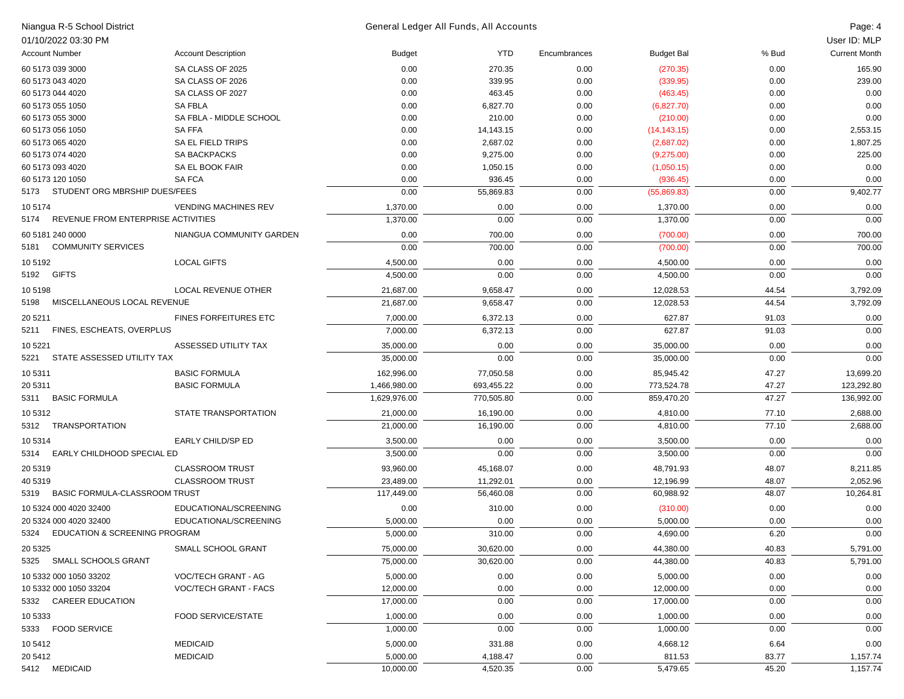| Niangua R-5 School District                      |                                                     | General Ledger All Funds, All Accounts |              |              |                       |              | Page: 4              |
|--------------------------------------------------|-----------------------------------------------------|----------------------------------------|--------------|--------------|-----------------------|--------------|----------------------|
| 01/10/2022 03:30 PM                              |                                                     |                                        |              |              |                       |              | User ID: MLP         |
| <b>Account Number</b>                            | <b>Account Description</b>                          | <b>Budget</b>                          | YTD          | Encumbrances | <b>Budget Bal</b>     | % Bud        | <b>Current Month</b> |
| 60 5173 039 3000                                 | SA CLASS OF 2025                                    | 0.00                                   | 270.35       | 0.00         | (270.35)              | 0.00         | 165.90               |
| 60 5173 043 4020                                 | SA CLASS OF 2026                                    | 0.00                                   | 339.95       | 0.00         | (339.95)              | 0.00         | 239.00               |
| 60 5173 044 4020                                 | SA CLASS OF 2027                                    | 0.00                                   | 463.45       | 0.00         | (463.45)              | 0.00         | 0.00                 |
| 60 5173 055 1050                                 | <b>SA FBLA</b>                                      | 0.00                                   | 6,827.70     | 0.00         | (6,827.70)            | 0.00         | 0.00                 |
| 60 5173 055 3000                                 | SA FBLA - MIDDLE SCHOOL                             | 0.00                                   | 210.00       | 0.00         | (210.00)              | 0.00         | 0.00                 |
| 60 5173 056 1050                                 | <b>SA FFA</b>                                       | 0.00                                   | 14,143.15    | 0.00         | (14, 143.15)          | 0.00         | 2,553.15             |
| 60 5173 065 4020                                 | SA EL FIELD TRIPS                                   | 0.00                                   | 2,687.02     | 0.00         | (2,687.02)            | 0.00         | 1,807.25             |
| 60 5173 074 4020                                 | <b>SA BACKPACKS</b>                                 | 0.00                                   | 9,275.00     | 0.00         | (9,275.00)            | 0.00         | 225.00               |
| 60 5173 093 4020                                 | SA EL BOOK FAIR                                     | 0.00                                   | 1,050.15     | 0.00         | (1,050.15)            | 0.00         | 0.00                 |
| 60 5173 120 1050                                 | <b>SAFCA</b>                                        | 0.00                                   | 936.45       | 0.00         | (936.45)              | 0.00         | 0.00                 |
| 5173 STUDENT ORG MBRSHIP DUES/FEES               |                                                     | 0.00                                   | 55,869.83    | 0.00         | (55,869.83)           | 0.00         | 9,402.77             |
| 10 5174                                          | <b>VENDING MACHINES REV</b>                         | 1,370.00                               | 0.00         | 0.00         | 1,370.00              | 0.00         | 0.00                 |
| 5174 REVENUE FROM ENTERPRISE ACTIVITIES          |                                                     | 1,370.00                               | 0.00         | 0.00         | 1,370.00              | 0.00         | 0.00                 |
| 60 5181 240 0000                                 | NIANGUA COMMUNITY GARDEN                            | 0.00                                   | 700.00       | 0.00         | (700.00)              | 0.00         | 700.00               |
| 5181 COMMUNITY SERVICES                          |                                                     | 0.00                                   | 700.00       | 0.00         | (700.00)              | 0.00         | 700.00               |
| 10 51 92                                         | <b>LOCAL GIFTS</b>                                  | 4,500.00                               | 0.00         | 0.00         | 4,500.00              | 0.00         | 0.00                 |
| 5192 GIFTS                                       |                                                     | 4,500.00                               | 0.00         | 0.00         | 4,500.00              | 0.00         | 0.00                 |
| 105198                                           | <b>LOCAL REVENUE OTHER</b>                          | 21,687.00                              | 9,658.47     | 0.00         | 12,028.53             | 44.54        | 3,792.09             |
| MISCELLANEOUS LOCAL REVENUE<br>5198              |                                                     | 21,687.00                              | 9,658.47     | 0.00         | 12,028.53             | 44.54        | 3,792.09             |
| 20 5 211                                         | <b>FINES FORFEITURES ETC</b>                        | 7,000.00                               | 6,372.13     | 0.00         | 627.87                | 91.03        | 0.00                 |
| 5211 FINES, ESCHEATS, OVERPLUS                   |                                                     | 7,000.00                               | 6,372.13     | 0.00         | 627.87                | 91.03        | 0.00                 |
| 10 5221                                          | ASSESSED UTILITY TAX                                | 35,000.00                              | 0.00         | 0.00         | 35,000.00             | 0.00         | 0.00                 |
| 5221 STATE ASSESSED UTILITY TAX                  |                                                     | 35,000.00                              | 0.00         | 0.00         | 35,000.00             | 0.00         | 0.00                 |
| 10 5311                                          | <b>BASIC FORMULA</b>                                | 162,996.00                             | 77,050.58    | 0.00         | 85,945.42             | 47.27        | 13,699.20            |
| 20 5311                                          | <b>BASIC FORMULA</b>                                | 1,466,980.00                           | 693,455.22   | 0.00         | 773,524.78            | 47.27        | 123,292.80           |
| 5311 BASIC FORMULA                               |                                                     | 1,629,976.00                           | 770,505.80   | 0.00         | 859,470.20            | 47.27        | 136,992.00           |
| 10 5312                                          | STATE TRANSPORTATION                                | 21,000.00                              | 16,190.00    | 0.00         | 4,810.00              | 77.10        | 2,688.00             |
| 5312 TRANSPORTATION                              |                                                     | 21,000.00                              | 16,190.00    | 0.00         | 4,810.00              | 77.10        | 2,688.00             |
| 10 5314                                          | EARLY CHILD/SP ED                                   | 3,500.00                               | 0.00         | 0.00         | 3,500.00              | 0.00         | 0.00                 |
| 5314 EARLY CHILDHOOD SPECIAL ED                  |                                                     | 3,500.00                               | 0.00         | 0.00         | 3,500.00              | 0.00         | 0.00                 |
| 20 5319                                          | <b>CLASSROOM TRUST</b>                              | 93,960.00                              | 45,168.07    | 0.00         | 48,791.93             | 48.07        | 8,211.85             |
| 40 5319                                          | <b>CLASSROOM TRUST</b>                              | 23,489.00                              | 11,292.01    | 0.00         | 12,196.99             | 48.07        | 2,052.96             |
| 5319 BASIC FORMULA-CLASSROOM TRUST               |                                                     | 117,449.00                             | 56,460.08    | 0.00         | 60,988.92             | 48.07        | 10,264.81            |
| 10 5324 000 4020 32400                           | EDUCATIONAL/SCREENING                               | 0.00                                   | 310.00       | 0.00         | (310.00)              | 0.00         | 0.00                 |
| 20 5324 000 4020 32400                           | EDUCATIONAL/SCREENING                               | 5,000.00                               | 0.00         | 0.00         | 5,000.00              | 0.00         | 0.00                 |
| 5324 EDUCATION & SCREENING PROGRAM               |                                                     | 5,000.00                               | 310.00       | 0.00         | 4,690.00              | 6.20         | $0.00\,$             |
| 20 5325                                          | SMALL SCHOOL GRANT                                  | 75,000.00                              | 30,620.00    | 0.00         | 44,380.00             | 40.83        | 5,791.00             |
| 5325 SMALL SCHOOLS GRANT                         |                                                     | 75,000.00                              | 30,620.00    | 0.00         | 44,380.00             | 40.83        | 5,791.00             |
|                                                  |                                                     |                                        |              |              |                       |              |                      |
| 10 5332 000 1050 33202<br>10 5332 000 1050 33204 | VOC/TECH GRANT - AG<br><b>VOC/TECH GRANT - FACS</b> | 5,000.00<br>12,000.00                  | 0.00<br>0.00 | 0.00<br>0.00 | 5,000.00<br>12,000.00 | 0.00<br>0.00 | 0.00<br>0.00         |
| 5332 CAREER EDUCATION                            |                                                     | 17,000.00                              |              |              | 17,000.00             |              | 0.00                 |
|                                                  |                                                     |                                        | 0.00         | 0.00         |                       | 0.00         |                      |
| 10 5333                                          | <b>FOOD SERVICE/STATE</b>                           | 1,000.00                               | 0.00         | 0.00         | 1,000.00              | 0.00         | 0.00                 |
| 5333 FOOD SERVICE                                |                                                     | 1,000.00                               | 0.00         | 0.00         | 1,000.00              | 0.00         | 0.00                 |
| 10 5412                                          | <b>MEDICAID</b>                                     | 5,000.00                               | 331.88       | 0.00         | 4,668.12              | 6.64         | 0.00                 |
| 20 5412                                          | <b>MEDICAID</b>                                     | 5,000.00                               | 4,188.47     | 0.00         | 811.53                | 83.77        | 1,157.74             |
| 5412 MEDICAID                                    |                                                     | 10,000.00                              | 4,520.35     | 0.00         | 5,479.65              | 45.20        | 1,157.74             |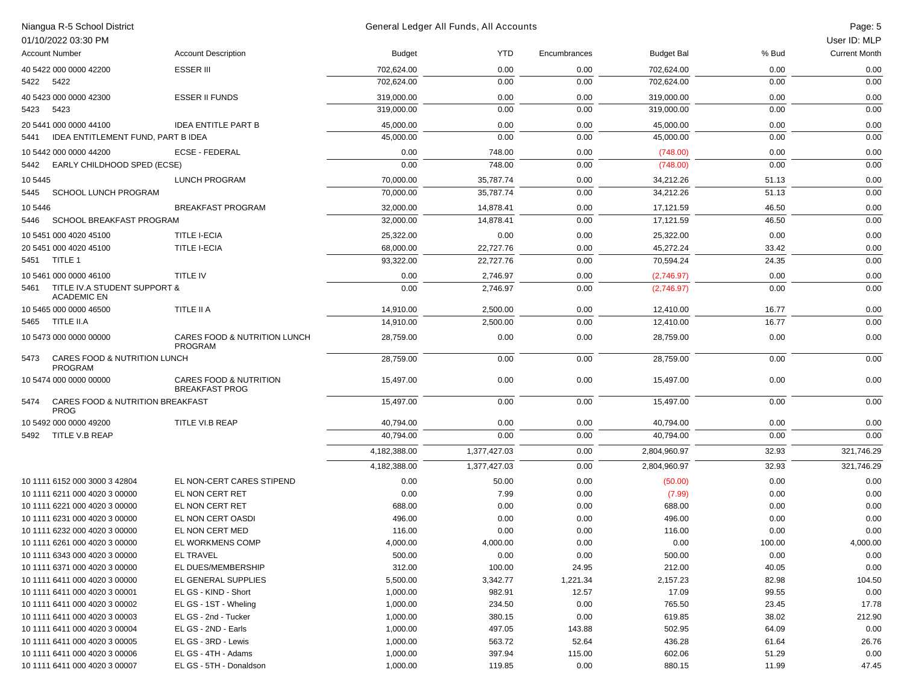|         | Niangua R-5 School District                                    |                                                            |                      | General Ledger All Funds, All Accounts |                |                   |                | Page: 5<br>User ID: MLP |
|---------|----------------------------------------------------------------|------------------------------------------------------------|----------------------|----------------------------------------|----------------|-------------------|----------------|-------------------------|
|         | 01/10/2022 03:30 PM<br><b>Account Number</b>                   | <b>Account Description</b>                                 | <b>Budget</b>        | <b>YTD</b>                             | Encumbrances   | <b>Budget Bal</b> | % Bud          | <b>Current Month</b>    |
|         |                                                                |                                                            |                      |                                        |                |                   |                |                         |
|         | 40 5422 000 0000 42200                                         | <b>ESSER III</b>                                           | 702,624.00           | 0.00                                   | 0.00           | 702,624.00        | 0.00           | 0.00                    |
|         | 5422 5422                                                      |                                                            | 702,624.00           | 0.00                                   | 0.00           | 702,624.00        | 0.00           | 0.00                    |
|         | 40 5423 000 0000 42300                                         | <b>ESSER II FUNDS</b>                                      | 319,000.00           | 0.00                                   | 0.00           | 319,000.00        | 0.00           | 0.00                    |
| 5423    | 5423                                                           |                                                            | 319,000.00           | 0.00                                   | 0.00           | 319,000.00        | 0.00           | 0.00                    |
|         | 20 5441 000 0000 44100                                         | <b>IDEA ENTITLE PART B</b>                                 | 45,000.00            | 0.00                                   | 0.00           | 45,000.00         | 0.00           | 0.00                    |
| 5441    | IDEA ENTITLEMENT FUND, PART B IDEA                             |                                                            | 45,000.00            | 0.00                                   | 0.00           | 45,000.00         | 0.00           | 0.00                    |
|         | 10 5442 000 0000 44200                                         | <b>ECSE - FEDERAL</b>                                      | 0.00                 | 748.00                                 | 0.00           | (748.00)          | 0.00           | 0.00                    |
| 5442    | EARLY CHILDHOOD SPED (ECSE)                                    |                                                            | 0.00                 | 748.00                                 | 0.00           | (748.00)          | 0.00           | 0.00                    |
| 10 5445 |                                                                | <b>LUNCH PROGRAM</b>                                       | 70,000.00            | 35,787.74                              | 0.00           | 34,212.26         | 51.13          | 0.00                    |
| 5445    | <b>SCHOOL LUNCH PROGRAM</b>                                    |                                                            | 70,000.00            | 35,787.74                              | 0.00           | 34,212.26         | 51.13          | 0.00                    |
| 10 5446 |                                                                | <b>BREAKFAST PROGRAM</b>                                   | 32,000.00            | 14,878.41                              | 0.00           | 17,121.59         | 46.50          | 0.00                    |
| 5446    | SCHOOL BREAKFAST PROGRAM                                       |                                                            | 32,000.00            | 14,878.41                              | 0.00           | 17,121.59         | 46.50          | 0.00                    |
|         | 10 5451 000 4020 45100                                         | <b>TITLE I-ECIA</b>                                        | 25,322.00            | 0.00                                   | 0.00           | 25,322.00         | 0.00           | 0.00                    |
|         | 20 5451 000 4020 45100                                         | <b>TITLE I-ECIA</b>                                        | 68,000.00            | 22,727.76                              | 0.00           | 45,272.24         | 33.42          | 0.00                    |
|         | 5451 TITLE 1                                                   |                                                            | 93,322.00            | 22,727.76                              | 0.00           | 70,594.24         | 24.35          | 0.00                    |
|         | 10 5461 000 0000 46100                                         | TITLE IV                                                   | 0.00                 | 2,746.97                               | 0.00           | (2,746.97)        | 0.00           | 0.00                    |
| 5461    | TITLE IV.A STUDENT SUPPORT &                                   |                                                            | 0.00                 | 2,746.97                               | 0.00           | (2,746.97)        | 0.00           | 0.00                    |
|         | <b>ACADEMIC EN</b>                                             |                                                            |                      |                                        |                |                   |                |                         |
|         | 10 5465 000 0000 46500                                         | TITLE II A                                                 | 14,910.00            | 2,500.00                               | 0.00           | 12,410.00         | 16.77          | 0.00                    |
|         | 5465 TITLE II.A                                                |                                                            | 14,910.00            | 2,500.00                               | 0.00           | 12,410.00         | 16.77          | 0.00                    |
|         | 10 5473 000 0000 00000                                         | CARES FOOD & NUTRITION LUNCH<br>PROGRAM                    | 28,759.00            | 0.00                                   | 0.00           | 28,759.00         | 0.00           | 0.00                    |
| 5473    | CARES FOOD & NUTRITION LUNCH<br><b>PROGRAM</b>                 |                                                            | 28,759.00            | 0.00                                   | 0.00           | 28,759.00         | 0.00           | 0.00                    |
|         | 10 5474 000 0000 00000                                         | <b>CARES FOOD &amp; NUTRITION</b><br><b>BREAKFAST PROG</b> | 15,497.00            | 0.00                                   | 0.00           | 15,497.00         | 0.00           | 0.00                    |
| 5474    | CARES FOOD & NUTRITION BREAKFAST<br><b>PROG</b>                |                                                            | 15,497.00            | 0.00                                   | 0.00           | 15,497.00         | 0.00           | 0.00                    |
|         | 10 5492 000 0000 49200                                         | TITLE VI.B REAP                                            | 40,794.00            | 0.00                                   | 0.00           | 40,794.00         | 0.00           | 0.00                    |
|         | 5492 TITLE V.B REAP                                            |                                                            | 40,794.00            | 0.00                                   | 0.00           | 40,794.00         | 0.00           | 0.00                    |
|         |                                                                |                                                            | 4,182,388.00         | 1,377,427.03                           | 0.00           | 2,804,960.97      | 32.93          | 321,746.29              |
|         |                                                                |                                                            | 4,182,388.00         | 1,377,427.03                           | 0.00           | 2,804,960.97      | 32.93          | 321,746.29              |
|         | 10 1111 6152 000 3000 3 42804                                  | EL NON-CERT CARES STIPEND                                  | 0.00                 | 50.00                                  | 0.00           | (50.00)           | 0.00           | 0.00                    |
|         | 10 1111 6211 000 4020 3 00000                                  | EL NON CERT RET                                            | 0.00                 | 7.99                                   | 0.00           | (7.99)            | 0.00           | 0.00                    |
|         | 10 1111 6221 000 4020 3 00000                                  | EL NON CERT RET                                            | 688.00               | 0.00                                   | 0.00           | 688.00            | 0.00           | 0.00                    |
|         | 10 1111 6231 000 4020 3 00000                                  | EL NON CERT OASDI                                          | 496.00               | 0.00                                   | 0.00           | 496.00            | 0.00           | 0.00                    |
|         | 10 1111 6232 000 4020 3 00000                                  | EL NON CERT MED                                            | 116.00               | 0.00                                   | 0.00           | 116.00            | 0.00           | 0.00                    |
|         | 10 1111 6261 000 4020 3 00000                                  | EL WORKMENS COMP                                           | 4,000.00             | 4,000.00                               | 0.00           | 0.00              | 100.00         | 4,000.00                |
|         | 10 1111 6343 000 4020 3 00000                                  | EL TRAVEL                                                  | 500.00               | 0.00                                   | 0.00           | 500.00            | 0.00           | 0.00                    |
|         | 10 1111 6371 000 4020 3 00000                                  | EL DUES/MEMBERSHIP                                         | 312.00               | 100.00                                 | 24.95          | 212.00            | 40.05          | 0.00                    |
|         | 10 1111 6411 000 4020 3 00000                                  | EL GENERAL SUPPLIES                                        | 5,500.00             | 3,342.77                               | 1,221.34       | 2,157.23          | 82.98          | 104.50                  |
|         | 10 1111 6411 000 4020 3 00001                                  | EL GS - KIND - Short                                       | 1,000.00             | 982.91                                 | 12.57          | 17.09             | 99.55          | 0.00                    |
|         | 10 1111 6411 000 4020 3 00002                                  | EL GS - 1ST - Wheling                                      | 1,000.00             | 234.50                                 | 0.00           | 765.50            | 23.45          | 17.78                   |
|         | 10 1111 6411 000 4020 3 00003                                  | EL GS - 2nd - Tucker                                       | 1,000.00             | 380.15                                 | 0.00           | 619.85            | 38.02          | 212.90                  |
|         | 10 1111 6411 000 4020 3 00004                                  | EL GS - 2ND - Earls                                        | 1,000.00             | 497.05                                 | 143.88         | 502.95            | 64.09          | 0.00                    |
|         | 10 1111 6411 000 4020 3 00005                                  | EL GS - 3RD - Lewis                                        | 1,000.00             | 563.72                                 | 52.64          | 436.28            | 61.64          | 26.76                   |
|         | 10 1111 6411 000 4020 3 00006<br>10 1111 6411 000 4020 3 00007 | EL GS - 4TH - Adams<br>EL GS - 5TH - Donaldson             | 1,000.00<br>1,000.00 | 397.94                                 | 115.00<br>0.00 | 602.06<br>880.15  | 51.29<br>11.99 | 0.00<br>47.45           |
|         |                                                                |                                                            |                      | 119.85                                 |                |                   |                |                         |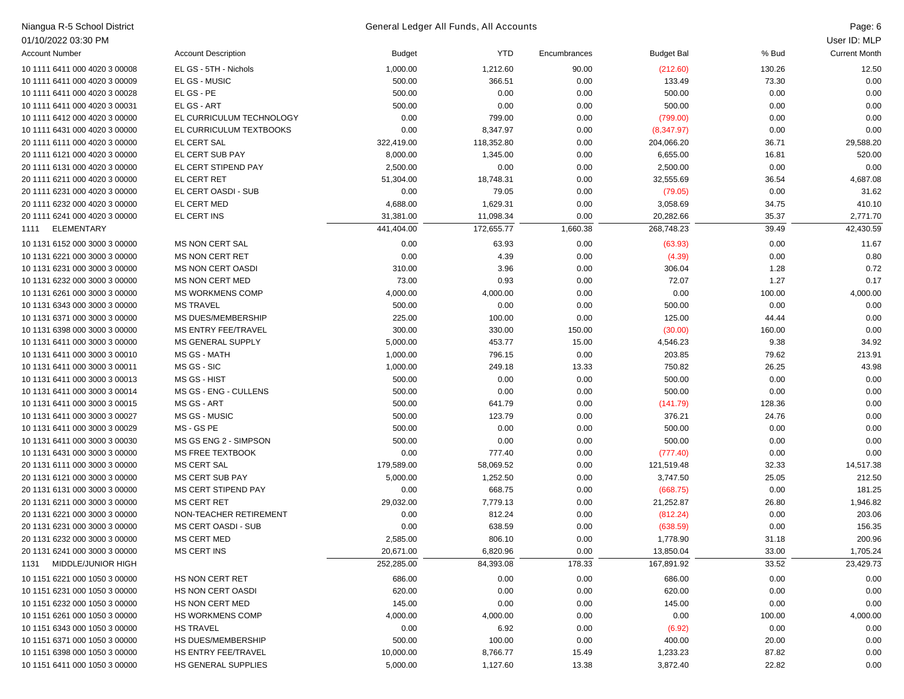| Niangua R-5 School District   |                            |            | General Ledger All Funds, All Accounts<br>Page: 6 |              |                   |        |                      |  |  |
|-------------------------------|----------------------------|------------|---------------------------------------------------|--------------|-------------------|--------|----------------------|--|--|
| 01/10/2022 03:30 PM           |                            |            |                                                   |              |                   |        | User ID: MLP         |  |  |
| <b>Account Number</b>         | <b>Account Description</b> | Budget     | <b>YTD</b>                                        | Encumbrances | <b>Budget Bal</b> | % Bud  | <b>Current Month</b> |  |  |
| 10 1111 6411 000 4020 3 00008 | EL GS - 5TH - Nichols      | 1,000.00   | 1,212.60                                          | 90.00        | (212.60)          | 130.26 | 12.50                |  |  |
| 10 1111 6411 000 4020 3 00009 | EL GS - MUSIC              | 500.00     | 366.51                                            | 0.00         | 133.49            | 73.30  | 0.00                 |  |  |
| 10 1111 6411 000 4020 3 00028 | EL GS - PE                 | 500.00     | 0.00                                              | 0.00         | 500.00            | 0.00   | 0.00                 |  |  |
| 10 1111 6411 000 4020 3 00031 | EL GS - ART                | 500.00     | 0.00                                              | 0.00         | 500.00            | 0.00   | 0.00                 |  |  |
| 10 1111 6412 000 4020 3 00000 | EL CURRICULUM TECHNOLOGY   | 0.00       | 799.00                                            | 0.00         | (799.00)          | 0.00   | 0.00                 |  |  |
| 10 1111 6431 000 4020 3 00000 | EL CURRICULUM TEXTBOOKS    | 0.00       | 8,347.97                                          | 0.00         | (8,347.97)        | 0.00   | 0.00                 |  |  |
| 20 1111 6111 000 4020 3 00000 | EL CERT SAL                | 322,419.00 | 118,352.80                                        | 0.00         | 204,066.20        | 36.71  | 29,588.20            |  |  |
| 20 1111 6121 000 4020 3 00000 | EL CERT SUB PAY            | 8,000.00   | 1,345.00                                          | 0.00         | 6,655.00          | 16.81  | 520.00               |  |  |
| 20 1111 6131 000 4020 3 00000 | EL CERT STIPEND PAY        | 2,500.00   | 0.00                                              | 0.00         | 2,500.00          | 0.00   | 0.00                 |  |  |
| 20 1111 6211 000 4020 3 00000 | EL CERT RET                | 51,304.00  | 18,748.31                                         | 0.00         | 32,555.69         | 36.54  | 4,687.08             |  |  |
| 20 1111 6231 000 4020 3 00000 | EL CERT OASDI - SUB        | 0.00       | 79.05                                             | 0.00         | (79.05)           | 0.00   | 31.62                |  |  |
| 20 1111 6232 000 4020 3 00000 | EL CERT MED                | 4,688.00   | 1,629.31                                          | 0.00         | 3,058.69          | 34.75  | 410.10               |  |  |
| 20 1111 6241 000 4020 3 00000 | EL CERT INS                | 31,381.00  | 11,098.34                                         | 0.00         | 20,282.66         | 35.37  | 2,771.70             |  |  |
| ELEMENTARY<br>1111            |                            | 441,404.00 | 172,655.77                                        | 1,660.38     | 268,748.23        | 39.49  | 42,430.59            |  |  |
|                               |                            |            |                                                   |              |                   |        |                      |  |  |
| 10 1131 6152 000 3000 3 00000 | <b>MS NON CERT SAL</b>     | 0.00       | 63.93                                             | 0.00         | (63.93)           | 0.00   | 11.67                |  |  |
| 10 1131 6221 000 3000 3 00000 | <b>MS NON CERT RET</b>     | 0.00       | 4.39                                              | 0.00         | (4.39)            | 0.00   | 0.80                 |  |  |
| 10 1131 6231 000 3000 3 00000 | <b>MS NON CERT OASDI</b>   | 310.00     | 3.96                                              | 0.00         | 306.04            | 1.28   | 0.72                 |  |  |
| 10 1131 6232 000 3000 3 00000 | <b>MS NON CERT MED</b>     | 73.00      | 0.93                                              | 0.00         | 72.07             | 1.27   | 0.17                 |  |  |
| 10 1131 6261 000 3000 3 00000 | <b>MS WORKMENS COMP</b>    | 4,000.00   | 4,000.00                                          | 0.00         | 0.00              | 100.00 | 4,000.00             |  |  |
| 10 1131 6343 000 3000 3 00000 | <b>MS TRAVEL</b>           | 500.00     | 0.00                                              | 0.00         | 500.00            | 0.00   | 0.00                 |  |  |
| 10 1131 6371 000 3000 3 00000 | MS DUES/MEMBERSHIP         | 225.00     | 100.00                                            | 0.00         | 125.00            | 44.44  | 0.00                 |  |  |
| 10 1131 6398 000 3000 3 00000 | MS ENTRY FEE/TRAVEL        | 300.00     | 330.00                                            | 150.00       | (30.00)           | 160.00 | 0.00                 |  |  |
| 10 1131 6411 000 3000 3 00000 | <b>MS GENERAL SUPPLY</b>   | 5,000.00   | 453.77                                            | 15.00        | 4,546.23          | 9.38   | 34.92                |  |  |
| 10 1131 6411 000 3000 3 00010 | MS GS - MATH               | 1,000.00   | 796.15                                            | 0.00         | 203.85            | 79.62  | 213.91               |  |  |
| 10 1131 6411 000 3000 3 00011 | MS GS - SIC                | 1,000.00   | 249.18                                            | 13.33        | 750.82            | 26.25  | 43.98                |  |  |
| 10 1131 6411 000 3000 3 00013 | MS GS - HIST               | 500.00     | 0.00                                              | 0.00         | 500.00            | 0.00   | 0.00                 |  |  |
| 10 1131 6411 000 3000 3 00014 | MS GS - ENG - CULLENS      | 500.00     | 0.00                                              | 0.00         | 500.00            | 0.00   | 0.00                 |  |  |
| 10 1131 6411 000 3000 3 00015 | MS GS - ART                | 500.00     | 641.79                                            | 0.00         | (141.79)          | 128.36 | 0.00                 |  |  |
| 10 1131 6411 000 3000 3 00027 | MS GS - MUSIC              | 500.00     | 123.79                                            | 0.00         | 376.21            | 24.76  | 0.00                 |  |  |
| 10 1131 6411 000 3000 3 00029 | MS - GS PE                 | 500.00     | 0.00                                              | 0.00         | 500.00            | 0.00   | 0.00                 |  |  |
| 10 1131 6411 000 3000 3 00030 | MS GS ENG 2 - SIMPSON      | 500.00     | 0.00                                              | 0.00         | 500.00            | 0.00   | 0.00                 |  |  |
| 10 1131 6431 000 3000 3 00000 | MS FREE TEXTBOOK           | 0.00       | 777.40                                            | 0.00         | (777.40)          | 0.00   | 0.00                 |  |  |
| 20 1131 6111 000 3000 3 00000 | <b>MS CERT SAL</b>         | 179,589.00 | 58,069.52                                         | 0.00         | 121,519.48        | 32.33  | 14,517.38            |  |  |
| 20 1131 6121 000 3000 3 00000 | <b>MS CERT SUB PAY</b>     | 5,000.00   | 1,252.50                                          | 0.00         | 3,747.50          | 25.05  | 212.50               |  |  |
| 20 1131 6131 000 3000 3 00000 | MS CERT STIPEND PAY        | 0.00       | 668.75                                            | 0.00         | (668.75)          | 0.00   | 181.25               |  |  |
| 20 1131 6211 000 3000 3 00000 | <b>MS CERT RET</b>         | 29,032.00  | 7,779.13                                          | 0.00         | 21,252.87         | 26.80  | 1,946.82             |  |  |
| 20 1131 6221 000 3000 3 00000 | NON-TEACHER RETIREMENT     | 0.00       | 812.24                                            | 0.00         | (812.24)          | 0.00   | 203.06               |  |  |
| 20 1131 6231 000 3000 3 00000 | MS CERT OASDI - SUB        | 0.00       | 638.59                                            | 0.00         | (638.59)          | 0.00   | 156.35               |  |  |
| 20 1131 6232 000 3000 3 00000 | MS CERT MED                | 2,585.00   | 806.10                                            | 0.00         | 1,778.90          | 31.18  | 200.96               |  |  |
| 20 1131 6241 000 3000 3 00000 | <b>MS CERT INS</b>         | 20,671.00  | 6,820.96                                          | 0.00         | 13,850.04         | 33.00  | 1,705.24             |  |  |
| MIDDLE/JUNIOR HIGH<br>1131    |                            | 252,285.00 | 84,393.08                                         | 178.33       | 167,891.92        | 33.52  | 23,429.73            |  |  |
| 10 1151 6221 000 1050 3 00000 | HS NON CERT RET            | 686.00     | 0.00                                              | 0.00         | 686.00            | 0.00   | 0.00                 |  |  |
| 10 1151 6231 000 1050 3 00000 | HS NON CERT OASDI          | 620.00     | 0.00                                              | 0.00         | 620.00            | 0.00   | 0.00                 |  |  |
| 10 1151 6232 000 1050 3 00000 | HS NON CERT MED            | 145.00     | 0.00                                              | 0.00         | 145.00            | 0.00   | 0.00                 |  |  |
| 10 1151 6261 000 1050 3 00000 | <b>HS WORKMENS COMP</b>    | 4,000.00   | 4,000.00                                          | 0.00         | 0.00              | 100.00 | 4,000.00             |  |  |
| 10 1151 6343 000 1050 3 00000 | <b>HS TRAVEL</b>           | 0.00       | 6.92                                              | 0.00         | (6.92)            | 0.00   | 0.00                 |  |  |
| 10 1151 6371 000 1050 3 00000 | HS DUES/MEMBERSHIP         | 500.00     | 100.00                                            | 0.00         | 400.00            | 20.00  | 0.00                 |  |  |
| 10 1151 6398 000 1050 3 00000 | HS ENTRY FEE/TRAVEL        | 10,000.00  | 8,766.77                                          | 15.49        | 1,233.23          | 87.82  | 0.00                 |  |  |
| 10 1151 6411 000 1050 3 00000 | HS GENERAL SUPPLIES        | 5,000.00   | 1,127.60                                          | 13.38        | 3,872.40          | 22.82  | 0.00                 |  |  |
|                               |                            |            |                                                   |              |                   |        |                      |  |  |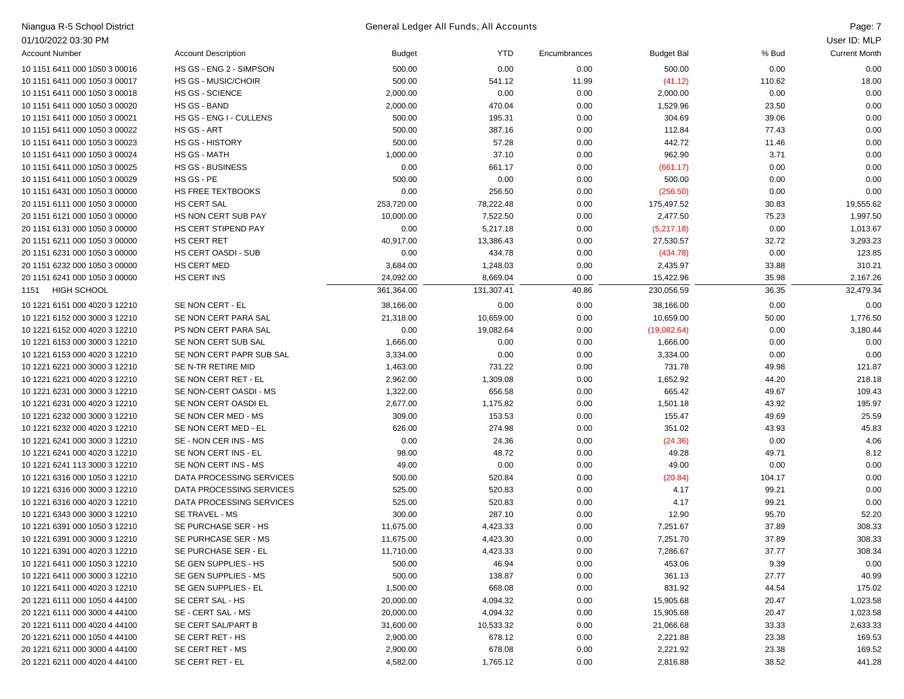| Niangua R-5 School District   |                            |            | General Ledger All Funds, All Accounts |              |                   |        | Page: 7              |
|-------------------------------|----------------------------|------------|----------------------------------------|--------------|-------------------|--------|----------------------|
| 01/10/2022 03:30 PM           |                            |            |                                        |              |                   |        | User ID: MLP         |
| <b>Account Number</b>         | <b>Account Description</b> | Budget     | <b>YTD</b>                             | Encumbrances | <b>Budget Bal</b> | % Bud  | <b>Current Month</b> |
| 10 1151 6411 000 1050 3 00016 | HS GS - ENG 2 - SIMPSON    | 500.00     | 0.00                                   | 0.00         | 500.00            | 0.00   | 0.00                 |
| 10 1151 6411 000 1050 3 00017 | <b>HS GS - MUSIC/CHOIR</b> | 500.00     | 541.12                                 | 11.99        | (41.12)           | 110.62 | 18.00                |
| 10 1151 6411 000 1050 3 00018 | <b>HS GS - SCIENCE</b>     | 2,000.00   | 0.00                                   | 0.00         | 2,000.00          | 0.00   | 0.00                 |
| 10 1151 6411 000 1050 3 00020 | HS GS - BAND               | 2,000.00   | 470.04                                 | 0.00         | 1,529.96          | 23.50  | 0.00                 |
| 10 1151 6411 000 1050 3 00021 | HS GS - ENG I - CULLENS    | 500.00     | 195.31                                 | 0.00         | 304.69            | 39.06  | 0.00                 |
| 10 1151 6411 000 1050 3 00022 | <b>HS GS - ART</b>         | 500.00     | 387.16                                 | 0.00         | 112.84            | 77.43  | 0.00                 |
| 10 1151 6411 000 1050 3 00023 | <b>HS GS - HISTORY</b>     | 500.00     | 57.28                                  | 0.00         | 442.72            | 11.46  | 0.00                 |
| 10 1151 6411 000 1050 3 00024 | <b>HS GS - MATH</b>        | 1,000.00   | 37.10                                  | 0.00         | 962.90            | 3.71   | 0.00                 |
| 10 1151 6411 000 1050 3 00025 | <b>HS GS - BUSINESS</b>    | 0.00       | 661.17                                 | 0.00         | (661.17)          | 0.00   | 0.00                 |
| 10 1151 6411 000 1050 3 00029 | HS GS - PE                 | 500.00     | 0.00                                   | 0.00         | 500.00            | 0.00   | 0.00                 |
| 10 1151 6431 000 1050 3 00000 | HS FREE TEXTBOOKS          | 0.00       | 256.50                                 | 0.00         | (256.50)          | 0.00   | 0.00                 |
| 20 1151 6111 000 1050 3 00000 | HS CERT SAL                | 253,720.00 | 78,222.48                              | 0.00         | 175,497.52        | 30.83  | 19,555.62            |
| 20 1151 6121 000 1050 3 00000 | HS NON CERT SUB PAY        | 10,000.00  | 7,522.50                               | 0.00         | 2,477.50          | 75.23  | 1,997.50             |
| 20 1151 6131 000 1050 3 00000 | HS CERT STIPEND PAY        | 0.00       | 5,217.18                               | 0.00         | (5,217.18)        | 0.00   | 1,013.67             |
| 20 1151 6211 000 1050 3 00000 | <b>HS CERT RET</b>         | 40,917.00  | 13,386.43                              | 0.00         | 27,530.57         | 32.72  | 3,293.23             |
| 20 1151 6231 000 1050 3 00000 | <b>HS CERT OASDI - SUB</b> | 0.00       | 434.78                                 | 0.00         | (434.78)          | 0.00   | 123.85               |
| 20 1151 6232 000 1050 3 00000 | HS CERT MED                | 3,684.00   | 1,248.03                               | 0.00         | 2,435.97          | 33.88  | 310.21               |
| 20 1151 6241 000 1050 3 00000 | HS CERT INS                | 24,092.00  | 8,669.04                               | 0.00         | 15,422.96         | 35.98  | 2,167.26             |
| <b>HIGH SCHOOL</b><br>1151    |                            | 361,364.00 | 131,307.41                             | 40.86        | 230,056.59        | 36.35  | 32,479.34            |
| 10 1221 6151 000 4020 3 12210 | SE NON CERT - EL           | 38,166.00  | 0.00                                   | 0.00         | 38,166.00         | 0.00   | 0.00                 |
| 10 1221 6152 000 3000 3 12210 | SE NON CERT PARA SAL       | 21,318.00  | 10,659.00                              | 0.00         | 10,659.00         | 50.00  | 1,776.50             |
| 10 1221 6152 000 4020 3 12210 | PS NON CERT PARA SAL       | 0.00       | 19,082.64                              | 0.00         | (19,082.64)       | 0.00   | 3,180.44             |
| 10 1221 6153 000 3000 3 12210 | SE NON CERT SUB SAL        | 1,666.00   | 0.00                                   | 0.00         | 1,666.00          | 0.00   | 0.00                 |
| 10 1221 6153 000 4020 3 12210 | SE NON CERT PAPR SUB SAL   | 3,334.00   | 0.00                                   | 0.00         | 3,334.00          | 0.00   | 0.00                 |
| 10 1221 6221 000 3000 3 12210 | SE N-TR RETIRE MID         | 1,463.00   | 731.22                                 | 0.00         | 731.78            | 49.98  | 121.87               |
| 10 1221 6221 000 4020 3 12210 | SE NON CERT RET - EL       | 2,962.00   | 1,309.08                               | 0.00         | 1,652.92          | 44.20  | 218.18               |
| 10 1221 6231 000 3000 3 12210 | SE NON-CERT OASDI - MS     | 1,322.00   | 656.58                                 | 0.00         | 665.42            | 49.67  | 109.43               |
| 10 1221 6231 000 4020 3 12210 | SE NON CERT OASDI EL       | 2,677.00   | 1,175.82                               | 0.00         | 1,501.18          | 43.92  | 195.97               |
| 10 1221 6232 000 3000 3 12210 | SE NON CER MED - MS        | 309.00     | 153.53                                 | 0.00         | 155.47            | 49.69  | 25.59                |
| 10 1221 6232 000 4020 3 12210 | SE NON CERT MED - EL       | 626.00     | 274.98                                 | 0.00         | 351.02            | 43.93  | 45.83                |
| 10 1221 6241 000 3000 3 12210 | SE - NON CER INS - MS      | 0.00       | 24.36                                  | 0.00         | (24.36)           | 0.00   | 4.06                 |
| 10 1221 6241 000 4020 3 12210 | SE NON CERT INS - EL       | 98.00      | 48.72                                  | 0.00         | 49.28             | 49.71  | 8.12                 |
| 10 1221 6241 113 3000 3 12210 | SE NON CERT INS - MS       | 49.00      | 0.00                                   | 0.00         | 49.00             | 0.00   | 0.00                 |
| 10 1221 6316 000 1050 3 12210 | DATA PROCESSING SERVICES   | 500.00     | 520.84                                 | 0.00         | (20.84)           | 104.17 | 0.00                 |
| 10 1221 6316 000 3000 3 12210 | DATA PROCESSING SERVICES   | 525.00     | 520.83                                 | 0.00         | 4.17              | 99.21  | 0.00                 |
| 10 1221 6316 000 4020 3 12210 | DATA PROCESSING SERVICES   | 525.00     | 520.83                                 | 0.00         | 4.17              | 99.21  | 0.00                 |
| 10 1221 6343 000 3000 3 12210 | SE TRAVEL - MS             | 300.00     | 287.10                                 | 0.00         | 12.90             | 95.70  | 52.20                |
| 10 1221 6391 000 1050 3 12210 | SE PURCHASE SER - HS       | 11,675.00  | 4,423.33                               | 0.00         | 7,251.67          | 37.89  | 308.33               |
| 10 1221 6391 000 3000 3 12210 | SE PURHCASE SER - MS       | 11,675.00  | 4,423.30                               | 0.00         | 7,251.70          | 37.89  | 308.33               |
| 10 1221 6391 000 4020 3 12210 | SE PURCHASE SER - EL       | 11,710.00  | 4,423.33                               | 0.00         | 7,286.67          | 37.77  | 308.34               |
| 10 1221 6411 000 1050 3 12210 | SE GEN SUPPLIES - HS       | 500.00     | 46.94                                  | 0.00         | 453.06            | 9.39   | 0.00                 |
| 10 1221 6411 000 3000 3 12210 | SE GEN SUPPLIES - MS       | 500.00     | 138.87                                 | 0.00         | 361.13            | 27.77  | 40.99                |
| 10 1221 6411 000 4020 3 12210 | SE GEN SUPPLIES - EL       | 1,500.00   | 668.08                                 | 0.00         | 831.92            | 44.54  | 175.02               |
| 20 1221 6111 000 1050 4 44100 | SE CERT SAL - HS           | 20,000.00  | 4,094.32                               | 0.00         | 15,905.68         | 20.47  | 1,023.58             |
| 20 1221 6111 000 3000 4 44100 | SE - CERT SAL - MS         | 20,000.00  | 4,094.32                               | 0.00         | 15,905.68         | 20.47  | 1,023.58             |
| 20 1221 6111 000 4020 4 44100 | SE CERT SAL/PART B         | 31,600.00  | 10,533.32                              | 0.00         | 21,066.68         | 33.33  | 2,633.33             |
| 20 1221 6211 000 1050 4 44100 | SE CERT RET - HS           | 2,900.00   | 678.12                                 | 0.00         | 2,221.88          | 23.38  | 169.53               |
| 20 1221 6211 000 3000 4 44100 | SE CERT RET - MS           | 2,900.00   | 678.08                                 | 0.00         | 2,221.92          | 23.38  | 169.52               |

20 1221 6211 000 4020 4 44100 SE CERT RET - EL 4,582.00 1,765.12 0.00 2,816.88 38.52 441.28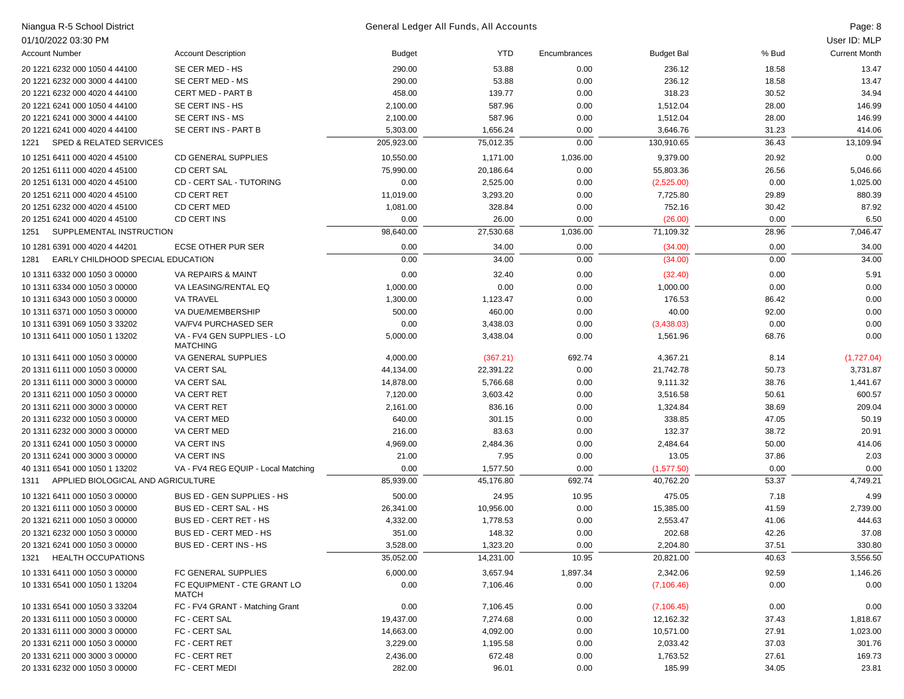| Niangua R-5 School District                |                                               |            | General Ledger All Funds, All Accounts |              |                   |       | Page: 8              |
|--------------------------------------------|-----------------------------------------------|------------|----------------------------------------|--------------|-------------------|-------|----------------------|
| 01/10/2022 03:30 PM                        |                                               |            |                                        |              |                   |       | User ID: MLP         |
| <b>Account Number</b>                      | <b>Account Description</b>                    | Budget     | YTD                                    | Encumbrances | <b>Budget Bal</b> | % Bud | <b>Current Month</b> |
| 20 1221 6232 000 1050 4 44100              | SE CER MED - HS                               | 290.00     | 53.88                                  | 0.00         | 236.12            | 18.58 | 13.47                |
| 20 1221 6232 000 3000 4 44100              | SE CERT MED - MS                              | 290.00     | 53.88                                  | 0.00         | 236.12            | 18.58 | 13.47                |
| 20 1221 6232 000 4020 4 44100              | <b>CERT MED - PART B</b>                      | 458.00     | 139.77                                 | 0.00         | 318.23            | 30.52 | 34.94                |
| 20 1221 6241 000 1050 4 44100              | SE CERT INS - HS                              | 2,100.00   | 587.96                                 | 0.00         | 1,512.04          | 28.00 | 146.99               |
| 20 1221 6241 000 3000 4 44100              | SE CERT INS - MS                              | 2,100.00   | 587.96                                 | 0.00         | 1,512.04          | 28.00 | 146.99               |
| 20 1221 6241 000 4020 4 44100              | SE CERT INS - PART B                          | 5,303.00   | 1,656.24                               | 0.00         | 3,646.76          | 31.23 | 414.06               |
| <b>SPED &amp; RELATED SERVICES</b><br>1221 |                                               | 205,923.00 | 75,012.35                              | 0.00         | 130,910.65        | 36.43 | 13,109.94            |
| 10 1251 6411 000 4020 4 45100              | <b>CD GENERAL SUPPLIES</b>                    | 10,550.00  | 1,171.00                               | 1,036.00     | 9,379.00          | 20.92 | 0.00                 |
| 20 1251 6111 000 4020 4 45100              | <b>CD CERT SAL</b>                            | 75,990.00  | 20,186.64                              | 0.00         | 55,803.36         | 26.56 | 5,046.66             |
| 20 1251 6131 000 4020 4 45100              | CD - CERT SAL - TUTORING                      | 0.00       | 2,525.00                               | 0.00         | (2,525.00)        | 0.00  | 1,025.00             |
| 20 1251 6211 000 4020 4 45100              | <b>CD CERT RET</b>                            | 11,019.00  | 3,293.20                               | 0.00         | 7,725.80          | 29.89 | 880.39               |
| 20 1251 6232 000 4020 4 45100              | CD CERT MED                                   | 1,081.00   | 328.84                                 | 0.00         | 752.16            | 30.42 | 87.92                |
| 20 1251 6241 000 4020 4 45100              | CD CERT INS                                   | 0.00       | 26.00                                  | 0.00         | (26.00)           | 0.00  | 6.50                 |
| SUPPLEMENTAL INSTRUCTION<br>1251           |                                               | 98,640.00  | 27,530.68                              | 1,036.00     | 71,109.32         | 28.96 | 7,046.47             |
| 10 1281 6391 000 4020 4 44201              | <b>ECSE OTHER PUR SER</b>                     | 0.00       | 34.00                                  | 0.00         | (34.00)           | 0.00  | 34.00                |
| EARLY CHILDHOOD SPECIAL EDUCATION<br>1281  |                                               | 0.00       | 34.00                                  | 0.00         | (34.00)           | 0.00  | 34.00                |
| 10 1311 6332 000 1050 3 00000              | VA REPAIRS & MAINT                            | 0.00       | 32.40                                  | 0.00         | (32.40)           | 0.00  | 5.91                 |
| 10 1311 6334 000 1050 3 00000              | VA LEASING/RENTAL EQ                          | 1,000.00   | 0.00                                   | 0.00         | 1,000.00          | 0.00  | 0.00                 |
| 10 1311 6343 000 1050 3 00000              | <b>VA TRAVEL</b>                              | 1,300.00   | 1,123.47                               | 0.00         | 176.53            | 86.42 | 0.00                 |
| 10 1311 6371 000 1050 3 00000              | VA DUE/MEMBERSHIP                             | 500.00     | 460.00                                 | 0.00         | 40.00             | 92.00 | 0.00                 |
| 10 1311 6391 069 1050 3 33202              | VA/FV4 PURCHASED SER                          | 0.00       | 3,438.03                               | 0.00         | (3,438.03)        | 0.00  | 0.00                 |
| 10 1311 6411 000 1050 1 13202              | VA - FV4 GEN SUPPLIES - LO<br><b>MATCHING</b> | 5,000.00   | 3,438.04                               | 0.00         | 1,561.96          | 68.76 | 0.00                 |
| 10 1311 6411 000 1050 3 00000              | VA GENERAL SUPPLIES                           | 4,000.00   | (367.21)                               | 692.74       | 4,367.21          | 8.14  | (1,727.04)           |
| 20 1311 6111 000 1050 3 00000              | VA CERT SAL                                   | 44,134.00  | 22,391.22                              | 0.00         | 21,742.78         | 50.73 | 3,731.87             |
| 20 1311 6111 000 3000 3 00000              | VA CERT SAL                                   | 14,878.00  | 5,766.68                               | 0.00         | 9,111.32          | 38.76 | 1,441.67             |
| 20 1311 6211 000 1050 3 00000              | VA CERT RET                                   | 7,120.00   | 3,603.42                               | 0.00         | 3,516.58          | 50.61 | 600.57               |
| 20 1311 6211 000 3000 3 00000              | <b>VA CERT RET</b>                            | 2,161.00   | 836.16                                 | 0.00         | 1,324.84          | 38.69 | 209.04               |
| 20 1311 6232 000 1050 3 00000              | VA CERT MED                                   | 640.00     | 301.15                                 | 0.00         | 338.85            | 47.05 | 50.19                |
| 20 1311 6232 000 3000 3 00000              | VA CERT MED                                   | 216.00     | 83.63                                  | 0.00         | 132.37            | 38.72 | 20.91                |
| 20 1311 6241 000 1050 3 00000              | <b>VA CERT INS</b>                            | 4,969.00   | 2,484.36                               | 0.00         | 2,484.64          | 50.00 | 414.06               |
| 20 1311 6241 000 3000 3 00000              | <b>VA CERT INS</b>                            | 21.00      | 7.95                                   | 0.00         | 13.05             | 37.86 | 2.03                 |
| 40 1311 6541 000 1050 1 13202              | VA - FV4 REG EQUIP - Local Matching           | 0.00       | 1,577.50                               | 0.00         | (1,577.50)        | 0.00  | 0.00                 |
| APPLIED BIOLOGICAL AND AGRICULTURE<br>1311 |                                               | 85,939.00  | 45,176.80                              | 692.74       | 40,762.20         | 53.37 | 4,749.21             |
| 10 1321 6411 000 1050 3 00000              | BUS ED - GEN SUPPLIES - HS                    | 500.00     | 24.95                                  | 10.95        | 475.05            | 7.18  | 4.99                 |
| 20 1321 6111 000 1050 3 00000              | <b>BUS ED - CERT SAL - HS</b>                 | 26,341.00  | 10,956.00                              | 0.00         | 15,385.00         | 41.59 | 2,739.00             |
| 20 1321 6211 000 1050 3 00000              | BUS ED - CERT RET - HS                        | 4,332.00   | 1,778.53                               | 0.00         | 2,553.47          | 41.06 | 444.63               |
| 20 1321 6232 000 1050 3 00000              | BUS ED - CERT MED - HS                        | 351.00     | 148.32                                 | 0.00         | 202.68            | 42.26 | 37.08                |
| 20 1321 6241 000 1050 3 00000              | BUS ED - CERT INS - HS                        | 3,528.00   | 1,323.20                               | 0.00         | 2,204.80          | 37.51 | 330.80               |
| 1321 HEALTH OCCUPATIONS                    |                                               | 35,052.00  | 14,231.00                              | 10.95        | 20,821.00         | 40.63 | 3,556.50             |
| 10 1331 6411 000 1050 3 00000              | FC GENERAL SUPPLIES                           | 6,000.00   | 3,657.94                               | 1,897.34     | 2,342.06          | 92.59 | 1,146.26             |
| 10 1331 6541 000 1050 1 13204              | FC EQUIPMENT - CTE GRANT LO<br>MATCH          | 0.00       | 7,106.46                               | 0.00         | (7, 106.46)       | 0.00  | 0.00                 |
| 10 1331 6541 000 1050 3 33204              | FC - FV4 GRANT - Matching Grant               | 0.00       | 7,106.45                               | 0.00         | (7, 106.45)       | 0.00  | 0.00                 |
| 20 1331 6111 000 1050 3 00000              | FC - CERT SAL                                 | 19,437.00  | 7,274.68                               | 0.00         | 12,162.32         | 37.43 | 1,818.67             |
| 20 1331 6111 000 3000 3 00000              | FC - CERT SAL                                 | 14,663.00  | 4,092.00                               | 0.00         | 10,571.00         | 27.91 | 1,023.00             |
| 20 1331 6211 000 1050 3 00000              | FC - CERT RET                                 | 3,229.00   | 1,195.58                               | 0.00         | 2,033.42          | 37.03 | 301.76               |
| 20 1331 6211 000 3000 3 00000              | FC - CERT RET                                 | 2,436.00   | 672.48                                 | 0.00         | 1,763.52          | 27.61 | 169.73               |
| 20 1331 6232 000 1050 3 00000              | FC - CERT MEDI                                | 282.00     | 96.01                                  | 0.00         | 185.99            | 34.05 | 23.81                |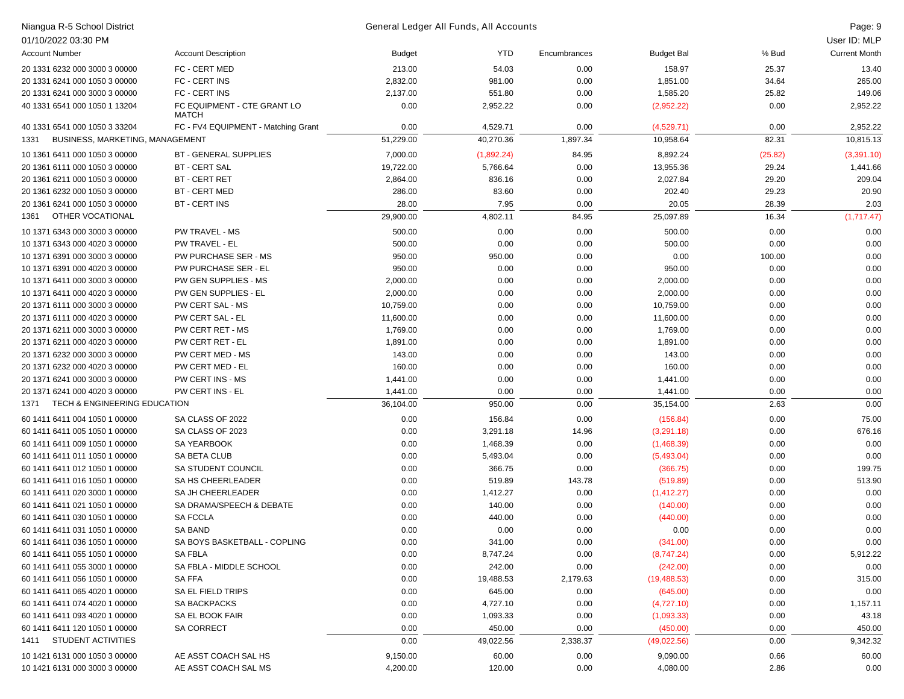| Niangua R-5 School District             |                                             |               | General Ledger All Funds, All Accounts |              |                   |         | Page: 9              |
|-----------------------------------------|---------------------------------------------|---------------|----------------------------------------|--------------|-------------------|---------|----------------------|
| 01/10/2022 03:30 PM                     |                                             |               |                                        |              |                   |         | User ID: MLP         |
| <b>Account Number</b>                   | <b>Account Description</b>                  | <b>Budget</b> | YTD                                    | Encumbrances | <b>Budget Bal</b> | % Bud   | <b>Current Month</b> |
| 20 1331 6232 000 3000 3 00000           | FC - CERT MED                               | 213.00        | 54.03                                  | 0.00         | 158.97            | 25.37   | 13.40                |
| 20 1331 6241 000 1050 3 00000           | FC - CERT INS                               | 2,832.00      | 981.00                                 | 0.00         | 1,851.00          | 34.64   | 265.00               |
| 20 1331 6241 000 3000 3 00000           | FC - CERT INS                               | 2,137.00      | 551.80                                 | 0.00         | 1,585.20          | 25.82   | 149.06               |
| 40 1331 6541 000 1050 1 13204           | FC EQUIPMENT - CTE GRANT LO<br><b>MATCH</b> | 0.00          | 2,952.22                               | 0.00         | (2,952.22)        | 0.00    | 2,952.22             |
| 40 1331 6541 000 1050 3 33204           | FC - FV4 EQUIPMENT - Matching Grant         | 0.00          | 4,529.71                               | 0.00         | (4,529.71)        | 0.00    | 2,952.22             |
| BUSINESS, MARKETING, MANAGEMENT<br>1331 |                                             | 51,229.00     | 40,270.36                              | 1,897.34     | 10,958.64         | 82.31   | 10,815.13            |
| 10 1361 6411 000 1050 3 00000           | <b>BT - GENERAL SUPPLIES</b>                | 7,000.00      | (1,892.24)                             | 84.95        | 8,892.24          | (25.82) | (3,391.10)           |
| 20 1361 6111 000 1050 3 00000           | <b>BT - CERT SAL</b>                        | 19,722.00     | 5,766.64                               | 0.00         | 13,955.36         | 29.24   | 1,441.66             |
| 20 1361 6211 000 1050 3 00000           | <b>BT - CERT RET</b>                        | 2,864.00      | 836.16                                 | 0.00         | 2,027.84          | 29.20   | 209.04               |
| 20 1361 6232 000 1050 3 00000           | <b>BT - CERT MED</b>                        | 286.00        | 83.60                                  | 0.00         | 202.40            | 29.23   | 20.90                |
| 20 1361 6241 000 1050 3 00000           | <b>BT - CERT INS</b>                        | 28.00         | 7.95                                   | 0.00         | 20.05             | 28.39   | 2.03                 |
| OTHER VOCATIONAL<br>1361                |                                             | 29,900.00     | 4,802.11                               | 84.95        | 25,097.89         | 16.34   | (1,717.47)           |
| 10 1371 6343 000 3000 3 00000           | <b>PW TRAVEL - MS</b>                       | 500.00        | 0.00                                   | 0.00         | 500.00            | 0.00    | 0.00                 |
| 10 1371 6343 000 4020 3 00000           | PW TRAVEL - EL                              | 500.00        | 0.00                                   | 0.00         | 500.00            | 0.00    | 0.00                 |
| 10 1371 6391 000 3000 3 00000           | PW PURCHASE SER - MS                        | 950.00        | 950.00                                 | 0.00         | 0.00              | 100.00  | 0.00                 |
| 10 1371 6391 000 4020 3 00000           | PW PURCHASE SER - EL                        | 950.00        | 0.00                                   | 0.00         | 950.00            | 0.00    | 0.00                 |
| 10 1371 6411 000 3000 3 00000           | PW GEN SUPPLIES - MS                        | 2,000.00      | 0.00                                   | 0.00         | 2,000.00          | 0.00    | 0.00                 |
| 10 1371 6411 000 4020 3 00000           | PW GEN SUPPLIES - EL                        | 2,000.00      | 0.00                                   | 0.00         | 2,000.00          | 0.00    | 0.00                 |
| 20 1371 6111 000 3000 3 00000           | PW CERT SAL - MS                            | 10,759.00     | 0.00                                   | 0.00         | 10,759.00         | 0.00    | 0.00                 |
| 20 1371 6111 000 4020 3 00000           | PW CERT SAL - EL                            | 11,600.00     | 0.00                                   | 0.00         | 11,600.00         | 0.00    | 0.00                 |
| 20 1371 6211 000 3000 3 00000           | PW CERT RET - MS                            | 1,769.00      | 0.00                                   | 0.00         | 1,769.00          | 0.00    | 0.00                 |
| 20 1371 6211 000 4020 3 00000           | PW CERT RET - EL                            | 1,891.00      | 0.00                                   | 0.00         | 1,891.00          | 0.00    | 0.00                 |
| 20 1371 6232 000 3000 3 00000           | PW CERT MED - MS                            | 143.00        | 0.00                                   | 0.00         | 143.00            | 0.00    | 0.00                 |
| 20 1371 6232 000 4020 3 00000           | PW CERT MED - EL                            | 160.00        | 0.00                                   | 0.00         | 160.00            | 0.00    | 0.00                 |
| 20 1371 6241 000 3000 3 00000           | PW CERT INS - MS                            | 1,441.00      | 0.00                                   | 0.00         | 1,441.00          | 0.00    | 0.00                 |
| 20 1371 6241 000 4020 3 00000           | PW CERT INS - EL                            | 1,441.00      | 0.00                                   | 0.00         | 1,441.00          | 0.00    | 0.00                 |
| TECH & ENGINEERING EDUCATION<br>1371    |                                             | 36,104.00     | 950.00                                 | 0.00         | 35,154.00         | 2.63    | 0.00                 |
| 60 1411 6411 004 1050 1 00000           | SA CLASS OF 2022                            | 0.00          | 156.84                                 | 0.00         | (156.84)          | 0.00    | 75.00                |
| 60 1411 6411 005 1050 1 00000           | SA CLASS OF 2023                            | 0.00          | 3,291.18                               | 14.96        | (3,291.18)        | 0.00    | 676.16               |
| 60 1411 6411 009 1050 1 00000           | <b>SA YEARBOOK</b>                          | 0.00          | 1,468.39                               | 0.00         | (1,468.39)        | 0.00    | 0.00                 |
| 60 1411 6411 011 1050 1 00000           | <b>SA BETA CLUB</b>                         | 0.00          | 5,493.04                               | 0.00         | (5,493.04)        | 0.00    | 0.00                 |
| 60 1411 6411 012 1050 1 00000           | SA STUDENT COUNCIL                          | 0.00          | 366.75                                 | 0.00         | (366.75)          | 0.00    | 199.75               |
| 60 1411 6411 016 1050 1 00000           | SA HS CHEERLEADER                           | 0.00          | 519.89                                 | 143.78       | (519.89)          | 0.00    | 513.90               |
| 60 1411 6411 020 3000 1 00000           | SA JH CHEERLEADER                           | 0.00          | 1,412.27                               | 0.00         | (1,412.27)        | 0.00    | 0.00                 |
| 60 1411 6411 021 1050 1 00000           | SA DRAMA/SPEECH & DEBATE                    | 0.00          | 140.00                                 | 0.00         | (140.00)          | 0.00    | 0.00                 |
| 60 1411 6411 030 1050 1 00000           | <b>SA FCCLA</b>                             | 0.00          | 440.00                                 | 0.00         | (440.00)          | 0.00    | 0.00                 |
| 60 1411 6411 031 1050 1 00000           | <b>SA BAND</b>                              | 0.00          | 0.00                                   | 0.00         | 0.00              | 0.00    | 0.00                 |
| 60 1411 6411 036 1050 1 00000           | SA BOYS BASKETBALL - COPLING                | 0.00          | 341.00                                 | 0.00         | (341.00)          | 0.00    | 0.00                 |
| 60 1411 6411 055 1050 1 00000           | <b>SA FBLA</b>                              | 0.00          | 8,747.24                               | 0.00         | (8,747.24)        | 0.00    | 5,912.22             |
| 60 1411 6411 055 3000 1 00000           | SA FBLA - MIDDLE SCHOOL                     | 0.00          | 242.00                                 | 0.00         | (242.00)          | 0.00    | 0.00                 |
| 60 1411 6411 056 1050 1 00000           | <b>SAFFA</b>                                | 0.00          | 19,488.53                              | 2,179.63     | (19, 488.53)      | 0.00    | 315.00               |
| 60 1411 6411 065 4020 1 00000           | SA EL FIELD TRIPS                           | 0.00          | 645.00                                 | 0.00         | (645.00)          | 0.00    | 0.00                 |
| 60 1411 6411 074 4020 1 00000           | SA BACKPACKS                                | 0.00          | 4,727.10                               | 0.00         | (4,727.10)        | 0.00    | 1,157.11             |
| 60 1411 6411 093 4020 1 00000           | SA EL BOOK FAIR                             | 0.00          | 1,093.33                               | 0.00         | (1,093.33)        | 0.00    | 43.18                |
| 60 1411 6411 120 1050 1 00000           | <b>SA CORRECT</b>                           | 0.00          | 450.00                                 | 0.00         | (450.00)          | 0.00    | 450.00               |
| 1411 STUDENT ACTIVITIES                 |                                             | 0.00          | 49,022.56                              | 2,338.37     | (49,022.56)       | 0.00    | 9,342.32             |
| 10 1421 6131 000 1050 3 00000           | AE ASST COACH SAL HS                        | 9,150.00      | 60.00                                  | 0.00         | 9,090.00          | 0.66    | 60.00                |
| 10 1421 6131 000 3000 3 00000           | AE ASST COACH SAL MS                        | 4,200.00      | 120.00                                 | 0.00         | 4,080.00          | 2.86    | 0.00                 |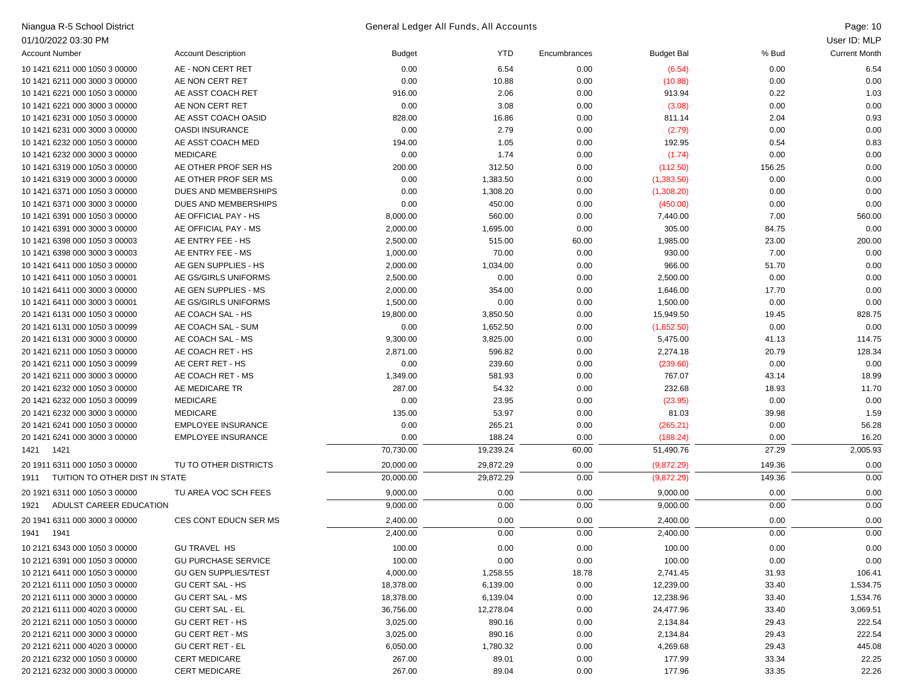| Niangua R-5 School District            |                             |           | General Ledger All Funds, All Accounts |              |                   |          | Page: 10             |
|----------------------------------------|-----------------------------|-----------|----------------------------------------|--------------|-------------------|----------|----------------------|
| 01/10/2022 03:30 PM                    |                             |           |                                        |              |                   |          | User ID: MLP         |
| <b>Account Number</b>                  | <b>Account Description</b>  | Budget    | <b>YTD</b>                             | Encumbrances | <b>Budget Bal</b> | % Bud    | <b>Current Month</b> |
| 10 1421 6211 000 1050 3 00000          | AE - NON CERT RET           | 0.00      | 6.54                                   | 0.00         | (6.54)            | 0.00     | 6.54                 |
| 10 1421 6211 000 3000 3 00000          | AE NON CERT RET             | 0.00      | 10.88                                  | 0.00         | (10.88)           | 0.00     | 0.00                 |
| 10 1421 6221 000 1050 3 00000          | AE ASST COACH RET           | 916.00    | 2.06                                   | 0.00         | 913.94            | 0.22     | 1.03                 |
| 10 1421 6221 000 3000 3 00000          | AE NON CERT RET             | 0.00      | 3.08                                   | 0.00         | (3.08)            | 0.00     | 0.00                 |
| 10 1421 6231 000 1050 3 00000          | AE ASST COACH OASID         | 828.00    | 16.86                                  | 0.00         | 811.14            | 2.04     | 0.93                 |
| 10 1421 6231 000 3000 3 00000          | <b>OASDI INSURANCE</b>      | 0.00      | 2.79                                   | 0.00         | (2.79)            | 0.00     | 0.00                 |
| 10 1421 6232 000 1050 3 00000          | AE ASST COACH MED           | 194.00    | 1.05                                   | 0.00         | 192.95            | 0.54     | 0.83                 |
| 10 1421 6232 000 3000 3 00000          | <b>MEDICARE</b>             | 0.00      | 1.74                                   | 0.00         | (1.74)            | 0.00     | 0.00                 |
| 10 1421 6319 000 1050 3 00000          | AE OTHER PROF SER HS        | 200.00    | 312.50                                 | 0.00         | (112.50)          | 156.25   | 0.00                 |
| 10 1421 6319 000 3000 3 00000          | AE OTHER PROF SER MS        | 0.00      | 1,383.50                               | 0.00         | (1,383.50)        | 0.00     | 0.00                 |
| 10 1421 6371 000 1050 3 00000          | DUES AND MEMBERSHIPS        | 0.00      | 1,308.20                               | 0.00         | (1,308.20)        | 0.00     | 0.00                 |
| 10 1421 6371 000 3000 3 00000          | DUES AND MEMBERSHIPS        | 0.00      | 450.00                                 | 0.00         | (450.00)          | 0.00     | 0.00                 |
| 10 1421 6391 000 1050 3 00000          | AE OFFICIAL PAY - HS        | 8,000.00  | 560.00                                 | 0.00         | 7,440.00          | 7.00     | 560.00               |
| 10 1421 6391 000 3000 3 00000          | AE OFFICIAL PAY - MS        | 2,000.00  | 1,695.00                               | 0.00         | 305.00            | 84.75    | 0.00                 |
| 10 1421 6398 000 1050 3 00003          | AE ENTRY FEE - HS           | 2,500.00  | 515.00                                 | 60.00        | 1,985.00          | 23.00    | 200.00               |
| 10 1421 6398 000 3000 3 00003          | AE ENTRY FEE - MS           | 1,000.00  | 70.00                                  | 0.00         | 930.00            | 7.00     | 0.00                 |
| 10 1421 6411 000 1050 3 00000          | AE GEN SUPPLIES - HS        | 2,000.00  | 1,034.00                               | 0.00         | 966.00            | 51.70    | 0.00                 |
| 10 1421 6411 000 1050 3 00001          | AE GS/GIRLS UNIFORMS        | 2,500.00  | 0.00                                   | 0.00         | 2,500.00          | 0.00     | 0.00                 |
| 10 1421 6411 000 3000 3 00000          | AE GEN SUPPLIES - MS        | 2,000.00  | 354.00                                 | 0.00         | 1,646.00          | 17.70    | 0.00                 |
| 10 1421 6411 000 3000 3 00001          | AE GS/GIRLS UNIFORMS        | 1,500.00  | 0.00                                   | 0.00         | 1,500.00          | 0.00     | 0.00                 |
| 20 1421 6131 000 1050 3 00000          | AE COACH SAL - HS           | 19,800.00 | 3,850.50                               | 0.00         | 15,949.50         | 19.45    | 828.75               |
| 20 1421 6131 000 1050 3 00099          | AE COACH SAL - SUM          | 0.00      | 1,652.50                               | 0.00         | (1,652.50)        | 0.00     | 0.00                 |
| 20 1421 6131 000 3000 3 00000          | AE COACH SAL - MS           | 9,300.00  | 3,825.00                               | 0.00         | 5,475.00          | 41.13    | 114.75               |
| 20 1421 6211 000 1050 3 00000          | AE COACH RET - HS           | 2,871.00  | 596.82                                 | 0.00         | 2,274.18          | 20.79    | 128.34               |
| 20 1421 6211 000 1050 3 00099          | AE CERT RET - HS            | 0.00      | 239.60                                 | 0.00         | (239.60)          | 0.00     | 0.00                 |
| 20 1421 6211 000 3000 3 00000          | AE COACH RET - MS           | 1,349.00  | 581.93                                 | 0.00         | 767.07            | 43.14    | 18.99                |
| 20 1421 6232 000 1050 3 00000          | AE MEDICARE TR              | 287.00    | 54.32                                  | 0.00         | 232.68            | 18.93    | 11.70                |
| 20 1421 6232 000 1050 3 00099          | <b>MEDICARE</b>             | 0.00      | 23.95                                  | 0.00         | (23.95)           | 0.00     | 0.00                 |
| 20 1421 6232 000 3000 3 00000          | <b>MEDICARE</b>             | 135.00    | 53.97                                  | 0.00         | 81.03             | 39.98    | 1.59                 |
| 20 1421 6241 000 1050 3 00000          | <b>EMPLOYEE INSURANCE</b>   | 0.00      | 265.21                                 | 0.00         | (265.21)          | 0.00     | 56.28                |
| 20 1421 6241 000 3000 3 00000          | <b>EMPLOYEE INSURANCE</b>   | 0.00      | 188.24                                 | 0.00         | (188.24)          | 0.00     | 16.20                |
| 1421 1421                              |                             | 70,730.00 | 19,239.24                              | 60.00        | 51,490.76         | 27.29    | 2,005.93             |
| 20 1911 6311 000 1050 3 00000          | TU TO OTHER DISTRICTS       | 20,000.00 | 29,872.29                              | 0.00         | (9,872.29)        | 149.36   | 0.00                 |
| TUITION TO OTHER DIST IN STATE<br>1911 |                             | 20,000.00 | 29,872.29                              | 0.00         | (9,872.29)        | 149.36   | 0.00                 |
| 20 1921 6311 000 1050 3 00000          | TU AREA VOC SCH FEES        | 9,000.00  | 0.00                                   | 0.00         | 9,000.00          | 0.00     | 0.00                 |
| 1921<br>ADULST CAREER EDUCATION        |                             | 9,000.00  | 0.00                                   | 0.00         | 9,000.00          | 0.00     | 0.00                 |
| 20 1941 6311 000 3000 3 00000          | CES CONT EDUCN SER MS       | 2,400.00  | 0.00                                   | 0.00         | 2,400.00          | 0.00     | 0.00                 |
| 1941 1941                              |                             | 2,400.00  | 0.00                                   | 0.00         | 2,400.00          | $0.00\,$ | 0.00                 |
| 10 2121 6343 000 1050 3 00000          | <b>GU TRAVEL HS</b>         | 100.00    | 0.00                                   | 0.00         | 100.00            | 0.00     | 0.00                 |
| 10 2121 6391 000 1050 3 00000          | <b>GU PURCHASE SERVICE</b>  | 100.00    | 0.00                                   | 0.00         | 100.00            | 0.00     | 0.00                 |
| 10 2121 6411 000 1050 3 00000          | <b>GU GEN SUPPLIES/TEST</b> | 4,000.00  | 1,258.55                               | 18.78        | 2,741.45          | 31.93    | 106.41               |
| 20 2121 6111 000 1050 3 00000          | GU CERT SAL - HS            | 18,378.00 | 6,139.00                               | 0.00         | 12,239.00         | 33.40    | 1,534.75             |
| 20 2121 6111 000 3000 3 00000          | <b>GU CERT SAL - MS</b>     | 18,378.00 | 6,139.04                               | 0.00         | 12,238.96         | 33.40    | 1,534.76             |
| 20 2121 6111 000 4020 3 00000          | <b>GU CERT SAL - EL</b>     | 36,756.00 | 12,278.04                              | 0.00         | 24,477.96         | 33.40    | 3,069.51             |
| 20 2121 6211 000 1050 3 00000          | <b>GU CERT RET - HS</b>     | 3,025.00  | 890.16                                 | 0.00         | 2,134.84          | 29.43    | 222.54               |
| 20 2121 6211 000 3000 3 00000          | <b>GU CERT RET - MS</b>     | 3,025.00  | 890.16                                 | 0.00         | 2,134.84          | 29.43    | 222.54               |
| 20 2121 6211 000 4020 3 00000          | <b>GU CERT RET - EL</b>     | 6,050.00  | 1,780.32                               | 0.00         | 4,269.68          | 29.43    | 445.08               |
| 20 2121 6232 000 1050 3 00000          | <b>CERT MEDICARE</b>        | 267.00    | 89.01                                  | 0.00         | 177.99            | 33.34    | 22.25                |
| 20 2121 6232 000 3000 3 00000          | <b>CERT MEDICARE</b>        | 267.00    | 89.04                                  | 0.00         | 177.96            | 33.35    | 22.26                |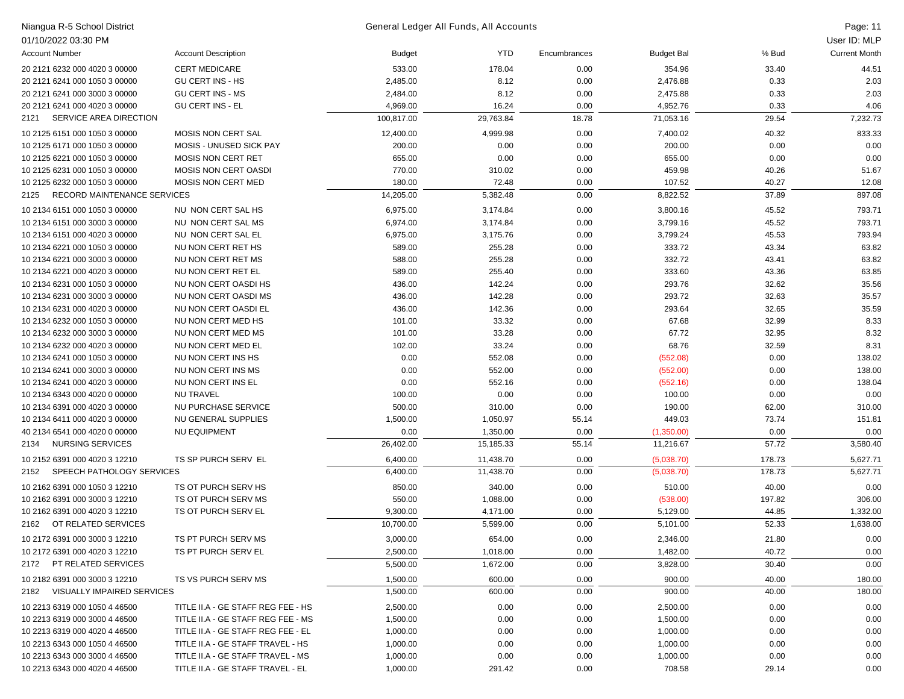| Niangua R-5 School District         |                                    |            | General Ledger All Funds, All Accounts |              |                   |        | Page: 11             |
|-------------------------------------|------------------------------------|------------|----------------------------------------|--------------|-------------------|--------|----------------------|
| 01/10/2022 03:30 PM                 |                                    |            |                                        |              |                   |        | User ID: MLP         |
| <b>Account Number</b>               | <b>Account Description</b>         | Budget     | YTD                                    | Encumbrances | <b>Budget Bal</b> | % Bud  | <b>Current Month</b> |
| 20 2121 6232 000 4020 3 00000       | <b>CERT MEDICARE</b>               | 533.00     | 178.04                                 | 0.00         | 354.96            | 33.40  | 44.51                |
| 20 2121 6241 000 1050 3 00000       | <b>GU CERT INS - HS</b>            | 2,485.00   | 8.12                                   | 0.00         | 2,476.88          | 0.33   | 2.03                 |
| 20 2121 6241 000 3000 3 00000       | <b>GU CERT INS - MS</b>            | 2,484.00   | 8.12                                   | 0.00         | 2,475.88          | 0.33   | 2.03                 |
| 20 2121 6241 000 4020 3 00000       | <b>GU CERT INS - EL</b>            | 4,969.00   | 16.24                                  | 0.00         | 4,952.76          | 0.33   | 4.06                 |
| SERVICE AREA DIRECTION<br>2121      |                                    | 100,817.00 | 29,763.84                              | 18.78        | 71,053.16         | 29.54  | 7,232.73             |
| 10 2125 6151 000 1050 3 00000       | MOSIS NON CERT SAL                 | 12,400.00  | 4,999.98                               | 0.00         | 7,400.02          | 40.32  | 833.33               |
| 10 2125 6171 000 1050 3 00000       | <b>MOSIS - UNUSED SICK PAY</b>     | 200.00     | 0.00                                   | 0.00         | 200.00            | 0.00   | 0.00                 |
| 10 2125 6221 000 1050 3 00000       | <b>MOSIS NON CERT RET</b>          | 655.00     | 0.00                                   | 0.00         | 655.00            | 0.00   | 0.00                 |
| 10 2125 6231 000 1050 3 00000       | <b>MOSIS NON CERT OASDI</b>        | 770.00     | 310.02                                 | 0.00         | 459.98            | 40.26  | 51.67                |
| 10 2125 6232 000 1050 3 00000       | <b>MOSIS NON CERT MED</b>          | 180.00     | 72.48                                  | 0.00         | 107.52            | 40.27  | 12.08                |
| RECORD MAINTENANCE SERVICES<br>2125 |                                    | 14,205.00  | 5,382.48                               | 0.00         | 8,822.52          | 37.89  | 897.08               |
| 10 2134 6151 000 1050 3 00000       | NU NON CERT SAL HS                 | 6,975.00   | 3,174.84                               | 0.00         | 3,800.16          | 45.52  | 793.71               |
| 10 2134 6151 000 3000 3 00000       | NU NON CERT SAL MS                 | 6,974.00   | 3,174.84                               | 0.00         | 3,799.16          | 45.52  | 793.71               |
| 10 2134 6151 000 4020 3 00000       | NU NON CERT SAL EL                 | 6,975.00   | 3,175.76                               | 0.00         | 3,799.24          | 45.53  | 793.94               |
| 10 2134 6221 000 1050 3 00000       | NU NON CERT RET HS                 | 589.00     | 255.28                                 | 0.00         | 333.72            | 43.34  | 63.82                |
| 10 2134 6221 000 3000 3 00000       | NU NON CERT RET MS                 | 588.00     | 255.28                                 | 0.00         | 332.72            | 43.41  | 63.82                |
| 10 2134 6221 000 4020 3 00000       | NU NON CERT RET EL                 | 589.00     | 255.40                                 | 0.00         | 333.60            | 43.36  | 63.85                |
| 10 2134 6231 000 1050 3 00000       | NU NON CERT OASDI HS               | 436.00     | 142.24                                 | 0.00         | 293.76            | 32.62  | 35.56                |
| 10 2134 6231 000 3000 3 00000       | NU NON CERT OASDI MS               | 436.00     | 142.28                                 | 0.00         | 293.72            | 32.63  | 35.57                |
| 10 2134 6231 000 4020 3 00000       | NU NON CERT OASDI EL               | 436.00     | 142.36                                 | 0.00         | 293.64            | 32.65  | 35.59                |
| 10 2134 6232 000 1050 3 00000       | NU NON CERT MED HS                 | 101.00     | 33.32                                  | 0.00         | 67.68             | 32.99  | 8.33                 |
| 10 2134 6232 000 3000 3 00000       | NU NON CERT MED MS                 | 101.00     | 33.28                                  | 0.00         | 67.72             | 32.95  | 8.32                 |
| 10 2134 6232 000 4020 3 00000       | NU NON CERT MED EL                 | 102.00     | 33.24                                  | 0.00         | 68.76             | 32.59  | 8.31                 |
| 10 2134 6241 000 1050 3 00000       | NU NON CERT INS HS                 | 0.00       | 552.08                                 | 0.00         | (552.08)          | 0.00   | 138.02               |
| 10 2134 6241 000 3000 3 00000       | NU NON CERT INS MS                 | 0.00       | 552.00                                 | 0.00         | (552.00)          | 0.00   | 138.00               |
| 10 2134 6241 000 4020 3 00000       | NU NON CERT INS EL                 | 0.00       | 552.16                                 | 0.00         | (552.16)          | 0.00   | 138.04               |
| 10 2134 6343 000 4020 0 00000       | <b>NU TRAVEL</b>                   | 100.00     | 0.00                                   | 0.00         | 100.00            | 0.00   | 0.00                 |
| 10 2134 6391 000 4020 3 00000       | NU PURCHASE SERVICE                | 500.00     | 310.00                                 | 0.00         | 190.00            | 62.00  | 310.00               |
| 10 2134 6411 000 4020 3 00000       | NU GENERAL SUPPLIES                | 1,500.00   | 1,050.97                               | 55.14        | 449.03            | 73.74  | 151.81               |
| 40 2134 6541 000 4020 0 00000       | <b>NU EQUIPMENT</b>                | 0.00       | 1,350.00                               | 0.00         | (1,350.00)        | 0.00   | 0.00                 |
| <b>NURSING SERVICES</b><br>2134     |                                    | 26,402.00  | 15,185.33                              | 55.14        | 11,216.67         | 57.72  | 3,580.40             |
| 10 2152 6391 000 4020 3 12210       | TS SP PURCH SERV EL                | 6,400.00   | 11,438.70                              | 0.00         | (5,038.70)        | 178.73 | 5,627.71             |
| SPEECH PATHOLOGY SERVICES<br>2152   |                                    | 6,400.00   | 11,438.70                              | 0.00         | (5,038.70)        | 178.73 | 5,627.71             |
| 10 2162 6391 000 1050 3 12210       | TS OT PURCH SERV HS                | 850.00     | 340.00                                 | 0.00         | 510.00            | 40.00  | 0.00                 |
| 10 2162 6391 000 3000 3 12210       | TS OT PURCH SERV MS                | 550.00     | 1,088.00                               | 0.00         | (538.00)          | 197.82 | 306.00               |
| 10 2162 6391 000 4020 3 12210       | TS OT PURCH SERV EL                | 9,300.00   | 4,171.00                               | 0.00         | 5,129.00          | 44.85  | 1,332.00             |
| OT RELATED SERVICES<br>2162         |                                    | 10,700.00  | 5,599.00                               | 0.00         | 5,101.00          | 52.33  | 1,638.00             |
| 10 2172 6391 000 3000 3 12210       | TS PT PURCH SERV MS                | 3,000.00   | 654.00                                 | 0.00         | 2,346.00          | 21.80  | 0.00                 |
| 10 2172 6391 000 4020 3 12210       | TS PT PURCH SERV EL                | 2,500.00   | 1,018.00                               | 0.00         | 1,482.00          | 40.72  | 0.00                 |
| PT RELATED SERVICES<br>2172         |                                    | 5,500.00   | 1,672.00                               | 0.00         | 3,828.00          | 30.40  | 0.00                 |
| 10 2182 6391 000 3000 3 12210       | TS VS PURCH SERV MS                | 1,500.00   | 600.00                                 | 0.00         | 900.00            | 40.00  | 180.00               |
| VISUALLY IMPAIRED SERVICES<br>2182  |                                    | 1,500.00   | 600.00                                 | 0.00         | 900.00            | 40.00  | 180.00               |
| 10 2213 6319 000 1050 4 46500       | TITLE II.A - GE STAFF REG FEE - HS | 2,500.00   | 0.00                                   | 0.00         | 2,500.00          | 0.00   | 0.00                 |
| 10 2213 6319 000 3000 4 46500       | TITLE II.A - GE STAFF REG FEE - MS | 1,500.00   | 0.00                                   | 0.00         | 1,500.00          | 0.00   | 0.00                 |
| 10 2213 6319 000 4020 4 46500       | TITLE II.A - GE STAFF REG FEE - EL | 1,000.00   | 0.00                                   | 0.00         | 1,000.00          | 0.00   | 0.00                 |
| 10 2213 6343 000 1050 4 46500       | TITLE II.A - GE STAFF TRAVEL - HS  | 1,000.00   | 0.00                                   | 0.00         | 1,000.00          | 0.00   | 0.00                 |
| 10 2213 6343 000 3000 4 46500       | TITLE II.A - GE STAFF TRAVEL - MS  | 1,000.00   | 0.00                                   | 0.00         | 1,000.00          | 0.00   | 0.00                 |
| 10 2213 6343 000 4020 4 46500       | TITLE II.A - GE STAFF TRAVEL - EL  | 1,000.00   | 291.42                                 | 0.00         | 708.58            | 29.14  | 0.00                 |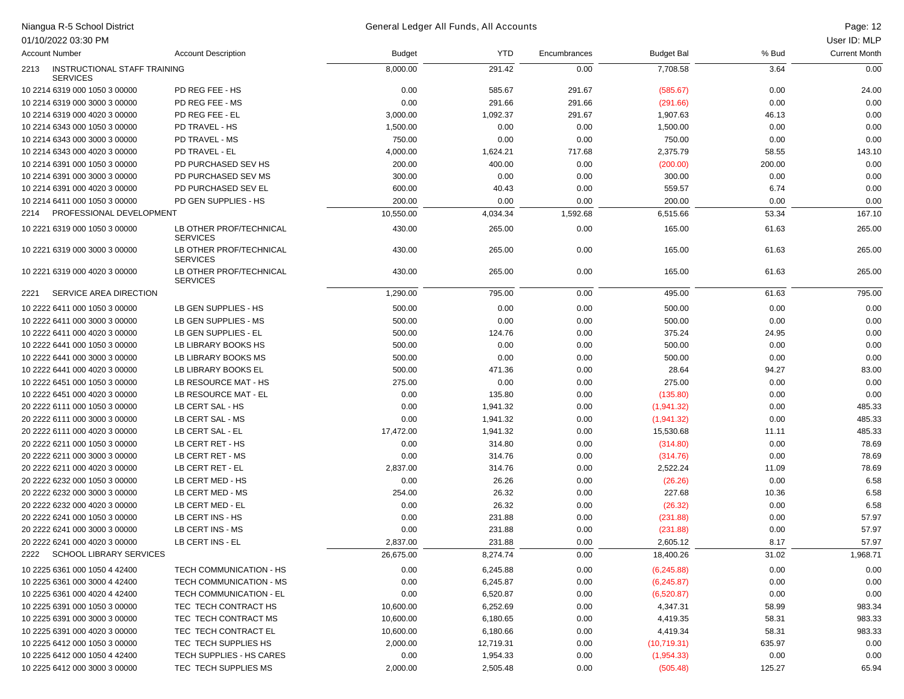## Niangua R-5 School District Page: 12 General Ledger All Funds, All Accounts

|      | 01/10/2022 03:30 PM                             |                                            |               |            |              |                   |        | User ID: MLP         |
|------|-------------------------------------------------|--------------------------------------------|---------------|------------|--------------|-------------------|--------|----------------------|
|      | <b>Account Number</b>                           | <b>Account Description</b>                 | <b>Budget</b> | <b>YTD</b> | Encumbrances | <b>Budget Bal</b> | % Bud  | <b>Current Month</b> |
| 2213 | INSTRUCTIONAL STAFF TRAINING<br><b>SERVICES</b> |                                            | 8,000.00      | 291.42     | 0.00         | 7,708.58          | 3.64   | 0.00                 |
|      | 10 2214 6319 000 1050 3 00000                   | PD REG FEE - HS                            | 0.00          | 585.67     | 291.67       | (585.67)          | 0.00   | 24.00                |
|      | 10 2214 6319 000 3000 3 00000                   | PD REG FEE - MS                            | 0.00          | 291.66     | 291.66       | (291.66)          | 0.00   | 0.00                 |
|      | 10 2214 6319 000 4020 3 00000                   | PD REG FEE - EL                            | 3,000.00      | 1,092.37   | 291.67       | 1,907.63          | 46.13  | 0.00                 |
|      | 10 2214 6343 000 1050 3 00000                   | PD TRAVEL - HS                             | 1,500.00      | 0.00       | 0.00         | 1,500.00          | 0.00   | 0.00                 |
|      | 10 2214 6343 000 3000 3 00000                   | PD TRAVEL - MS                             | 750.00        | 0.00       | 0.00         | 750.00            | 0.00   | 0.00                 |
|      | 10 2214 6343 000 4020 3 00000                   | PD TRAVEL - EL                             | 4,000.00      | 1,624.21   | 717.68       | 2,375.79          | 58.55  | 143.10               |
|      | 10 2214 6391 000 1050 3 00000                   | PD PURCHASED SEV HS                        | 200.00        | 400.00     | 0.00         | (200.00)          | 200.00 | 0.00                 |
|      | 10 2214 6391 000 3000 3 00000                   | PD PURCHASED SEV MS                        | 300.00        | 0.00       | 0.00         | 300.00            | 0.00   | 0.00                 |
|      | 10 2214 6391 000 4020 3 00000                   | PD PURCHASED SEV EL                        | 600.00        | 40.43      | 0.00         | 559.57            | 6.74   | 0.00                 |
|      | 10 2214 6411 000 1050 3 00000                   | PD GEN SUPPLIES - HS                       | 200.00        | 0.00       | 0.00         | 200.00            | 0.00   | 0.00                 |
| 2214 | PROFESSIONAL DEVELOPMENT                        |                                            | 10,550.00     | 4,034.34   | 1,592.68     | 6,515.66          | 53.34  | 167.10               |
|      | 10 2221 6319 000 1050 3 00000                   | LB OTHER PROF/TECHNICAL<br><b>SERVICES</b> | 430.00        | 265.00     | 0.00         | 165.00            | 61.63  | 265.00               |
|      | 10 2221 6319 000 3000 3 00000                   | LB OTHER PROF/TECHNICAL<br><b>SERVICES</b> | 430.00        | 265.00     | 0.00         | 165.00            | 61.63  | 265.00               |
|      | 10 2221 6319 000 4020 3 00000                   | LB OTHER PROF/TECHNICAL<br><b>SERVICES</b> | 430.00        | 265.00     | 0.00         | 165.00            | 61.63  | 265.00               |
| 2221 | SERVICE AREA DIRECTION                          |                                            | 1,290.00      | 795.00     | 0.00         | 495.00            | 61.63  | 795.00               |
|      | 10 2222 6411 000 1050 3 00000                   | LB GEN SUPPLIES - HS                       | 500.00        | 0.00       | 0.00         | 500.00            | 0.00   | 0.00                 |
|      | 10 2222 6411 000 3000 3 00000                   | LB GEN SUPPLIES - MS                       | 500.00        | 0.00       | 0.00         | 500.00            | 0.00   | 0.00                 |
|      | 10 2222 6411 000 4020 3 00000                   | LB GEN SUPPLIES - EL                       | 500.00        | 124.76     | 0.00         | 375.24            | 24.95  | 0.00                 |
|      | 10 2222 6441 000 1050 3 00000                   | LB LIBRARY BOOKS HS                        | 500.00        | 0.00       | 0.00         | 500.00            | 0.00   | 0.00                 |
|      | 10 2222 6441 000 3000 3 00000                   | LB LIBRARY BOOKS MS                        | 500.00        | 0.00       | 0.00         | 500.00            | 0.00   | 0.00                 |
|      | 10 2222 6441 000 4020 3 00000                   | LB LIBRARY BOOKS EL                        | 500.00        | 471.36     | 0.00         | 28.64             | 94.27  | 83.00                |
|      | 10 2222 6451 000 1050 3 00000                   | LB RESOURCE MAT - HS                       | 275.00        | 0.00       | 0.00         | 275.00            | 0.00   | 0.00                 |
|      | 10 2222 6451 000 4020 3 00000                   | LB RESOURCE MAT - EL                       | 0.00          | 135.80     | 0.00         | (135.80)          | 0.00   | 0.00                 |
|      | 20 2222 6111 000 1050 3 00000                   | LB CERT SAL - HS                           | 0.00          | 1,941.32   | 0.00         | (1,941.32)        | 0.00   | 485.33               |
|      | 20 2222 6111 000 3000 3 00000                   | LB CERT SAL - MS                           | 0.00          | 1,941.32   | 0.00         | (1,941.32)        | 0.00   | 485.33               |
|      | 20 2222 6111 000 4020 3 00000                   | LB CERT SAL - EL                           | 17,472.00     | 1,941.32   | 0.00         | 15,530.68         | 11.11  | 485.33               |
|      | 20 2222 6211 000 1050 3 00000                   | LB CERT RET - HS                           | 0.00          | 314.80     | 0.00         | (314.80)          | 0.00   | 78.69                |
|      | 20 2222 6211 000 3000 3 00000                   | LB CERT RET - MS                           | 0.00          | 314.76     | 0.00         | (314.76)          | 0.00   | 78.69                |
|      | 20 2222 6211 000 4020 3 00000                   | LB CERT RET - EL                           | 2,837.00      | 314.76     | 0.00         | 2,522.24          | 11.09  | 78.69                |
|      | 20 2222 6232 000 1050 3 00000                   | LB CERT MED - HS                           | 0.00          | 26.26      | 0.00         | (26.26)           | 0.00   | 6.58                 |
|      | 20 2222 6232 000 3000 3 00000                   | LB CERT MED - MS                           | 254.00        | 26.32      | 0.00         | 227.68            | 10.36  | 6.58                 |
|      | 20 2222 6232 000 4020 3 00000                   | LB CERT MED - EL                           | 0.00          | 26.32      | 0.00         | (26.32)           | 0.00   | 6.58                 |
|      | 20 2222 6241 000 1050 3 00000                   | LB CERT INS - HS                           | 0.00          | 231.88     | 0.00         | (231.88)          | 0.00   | 57.97                |
|      | 20 2222 6241 000 3000 3 00000                   | LB CERT INS - MS                           | 0.00          | 231.88     | 0.00         | (231.88)          | 0.00   | 57.97                |
|      | 20 2222 6241 000 4020 3 00000                   | LB CERT INS - EL                           | 2,837.00      | 231.88     | 0.00         | 2,605.12          | 8.17   | 57.97                |
| 2222 | <b>SCHOOL LIBRARY SERVICES</b>                  |                                            | 26,675.00     | 8,274.74   | 0.00         | 18,400.26         | 31.02  | 1,968.71             |
|      | 10 2225 6361 000 1050 4 42400                   | TECH COMMUNICATION - HS                    | 0.00          | 6,245.88   | 0.00         | (6,245.88)        | 0.00   | 0.00                 |
|      | 10 2225 6361 000 3000 4 42400                   | TECH COMMUNICATION - MS                    | 0.00          | 6,245.87   | 0.00         | (6,245.87)        | 0.00   | 0.00                 |
|      | 10 2225 6361 000 4020 4 42400                   | TECH COMMUNICATION - EL                    | 0.00          | 6,520.87   | 0.00         | (6,520.87)        | 0.00   | 0.00                 |
|      | 10 2225 6391 000 1050 3 00000                   | TEC TECH CONTRACT HS                       | 10,600.00     | 6,252.69   | 0.00         | 4,347.31          | 58.99  | 983.34               |
|      | 10 2225 6391 000 3000 3 00000                   | TEC TECH CONTRACT MS                       | 10,600.00     | 6,180.65   | 0.00         | 4,419.35          | 58.31  | 983.33               |
|      | 10 2225 6391 000 4020 3 00000                   | TEC TECH CONTRACT EL                       | 10,600.00     | 6,180.66   | 0.00         | 4,419.34          | 58.31  | 983.33               |
|      | 10 2225 6412 000 1050 3 00000                   | TEC TECH SUPPLIES HS                       | 2,000.00      | 12,719.31  | 0.00         | (10,719.31)       | 635.97 | 0.00                 |
|      | 10 2225 6412 000 1050 4 42400                   | TECH SUPPLIES - HS CARES                   | 0.00          | 1,954.33   | 0.00         | (1,954.33)        | 0.00   | 0.00                 |
|      | 10 2225 6412 000 3000 3 00000                   | TEC TECH SUPPLIES MS                       | 2,000.00      | 2,505.48   | 0.00         | (505.48)          | 125.27 | 65.94                |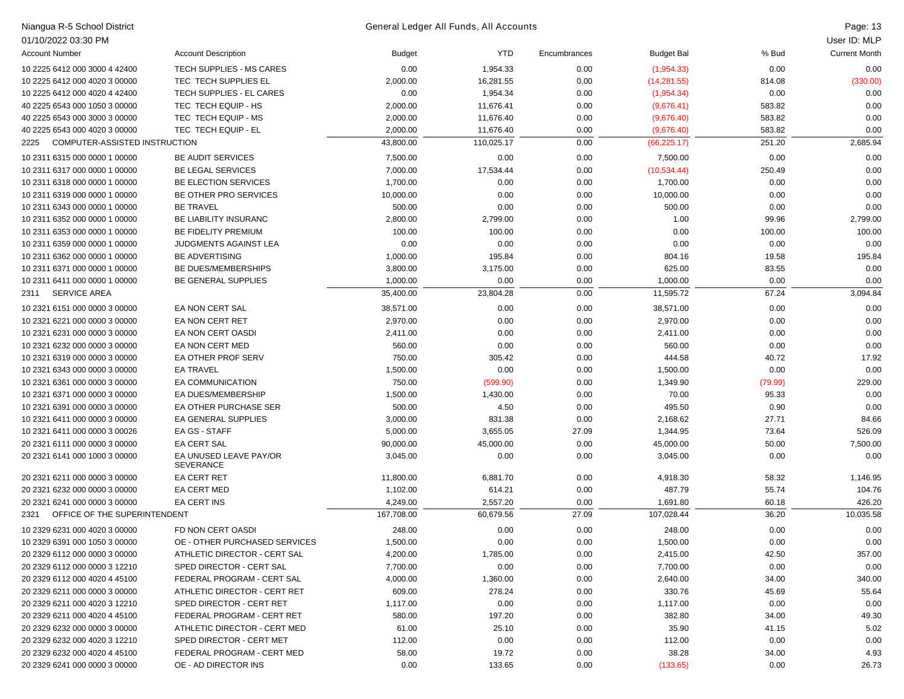| 01/10/2022 03:30 PM<br>User ID: MLP<br><b>Current Month</b><br><b>Account Number</b><br><b>Account Description</b><br>YTD<br>Encumbrances<br>% Bud<br><b>Budget</b><br><b>Budget Bal</b><br>0.00<br>1,954.33<br>0.00<br>0.00<br>10 2225 6412 000 3000 4 42400<br><b>TECH SUPPLIES - MS CARES</b><br>0.00<br>(1,954.33)<br>TEC TECH SUPPLIES EL<br>10 2225 6412 000 4020 3 00000<br>2,000.00<br>16,281.55<br>0.00<br>(14, 281.55)<br>814.08<br>(330.00)<br>TECH SUPPLIES - EL CARES<br>0.00<br>1,954.34<br>0.00<br>10 2225 6412 000 4020 4 42400<br>0.00<br>(1,954.34)<br>0.00<br>TEC TECH EQUIP - HS<br>2,000.00<br>11,676.41<br>0.00<br>583.82<br>0.00<br>40 2225 6543 000 1050 3 00000<br>(9,676.41)<br>TEC TECH EQUIP - MS<br>2,000.00<br>0.00<br>583.82<br>0.00<br>40 2225 6543 000 3000 3 00000<br>11,676.40<br>(9,676.40)<br>TEC TECH EQUIP - EL<br>2,000.00<br>583.82<br>0.00<br>40 2225 6543 000 4020 3 00000<br>11,676.40<br>0.00<br>(9,676.40)<br>COMPUTER-ASSISTED INSTRUCTION<br>43,800.00<br>110,025.17<br>0.00<br>251.20<br>2,685.94<br>2225<br>(66, 225.17)<br>7,500.00<br>0.00<br>0.00<br>10 2311 6315 000 0000 1 00000<br><b>BE AUDIT SERVICES</b><br>0.00<br>0.00<br>7,500.00<br><b>BE LEGAL SERVICES</b><br>7,000.00<br>17,534.44<br>0.00<br>(10,534.44)<br>250.49<br>0.00<br>10 2311 6317 000 0000 1 00000<br>BE ELECTION SERVICES<br>0.00<br>10 2311 6318 000 0000 1 00000<br>1,700.00<br>0.00<br>0.00<br>1,700.00<br>0.00<br>BE OTHER PRO SERVICES<br>10,000.00<br>0.00<br>10,000.00<br>0.00<br>0.00<br>10 2311 6319 000 0000 1 00000<br>0.00<br><b>BE TRAVEL</b><br>500.00<br>0.00<br>500.00<br>0.00<br>0.00<br>10 2311 6343 000 0000 1 00000<br>0.00<br>BE LIABILITY INSURANC<br>2,799.00<br>1.00<br>2,799.00<br>10 2311 6352 000 0000 1 00000<br>2,800.00<br>0.00<br>99.96<br>BE FIDELITY PREMIUM<br>100.00<br>100.00<br>0.00<br>0.00<br>100.00<br>10 2311 6353 000 0000 1 00000<br>100.00<br><b>JUDGMENTS AGAINST LEA</b><br>0.00<br>0.00<br>0.00<br>0.00<br>10 2311 6359 000 0000 1 00000<br>0.00<br>0.00<br><b>BE ADVERTISING</b><br>1,000.00<br>195.84<br>0.00<br>19.58<br>195.84<br>10 2311 6362 000 0000 1 00000<br>804.16<br>BE DUES/MEMBERSHIPS<br>3,800.00<br>3,175.00<br>0.00<br>625.00<br>83.55<br>0.00<br>10 2311 6371 000 0000 1 00000<br>1,000.00<br>0.00<br>0.00<br>10 2311 6411 000 0000 1 00000<br>BE GENERAL SUPPLIES<br>0.00<br>0.00<br>1,000.00<br>67.24<br>SERVICE AREA<br>35,400.00<br>23,804.28<br>0.00<br>11,595.72<br>3,094.84<br>2311<br>EA NON CERT SAL<br>38,571.00<br>10 2321 6151 000 0000 3 00000<br>0.00<br>0.00<br>38,571.00<br>0.00<br>0.00<br>2,970.00<br>0.00<br>0.00<br>2,970.00<br>0.00<br>10 2321 6221 000 0000 3 00000<br>EA NON CERT RET<br>0.00<br>EA NON CERT OASDI<br>0.00<br>0.00<br>10 2321 6231 000 0000 3 00000<br>2,411.00<br>0.00<br>0.00<br>2,411.00<br>EA NON CERT MED<br>560.00<br>0.00<br>0.00<br>560.00<br>0.00<br>0.00<br>10 2321 6232 000 0000 3 00000<br>EA OTHER PROF SERV<br>750.00<br>305.42<br>17.92<br>10 2321 6319 000 0000 3 00000<br>0.00<br>444.58<br>40.72<br>0.00<br>0.00<br>10 2321 6343 000 0000 3 00000<br><b>EA TRAVEL</b><br>1,500.00<br>0.00<br>1,500.00<br>0.00<br>750.00<br>0.00<br>229.00<br>10 2321 6361 000 0000 3 00000<br>EA COMMUNICATION<br>(599.90)<br>1,349.90<br>(79.99)<br>0.00<br>70.00<br>95.33<br>0.00<br>10 2321 6371 000 0000 3 00000<br>EA DUES/MEMBERSHIP<br>1,500.00<br>1,430.00<br>EA OTHER PURCHASE SER<br>500.00<br>4.50<br>0.00<br>495.50<br>0.90<br>0.00<br>10 2321 6391 000 0000 3 00000<br>EA GENERAL SUPPLIES<br>3,000.00<br>831.38<br>0.00<br>27.71<br>84.66<br>10 2321 6411 000 0000 3 00000<br>2,168.62<br>EA GS - STAFF<br>3,655.05<br>27.09<br>73.64<br>526.09<br>10 2321 6411 000 0000 3 00026<br>5,000.00<br>1,344.95<br><b>EA CERT SAL</b><br>0.00<br>50.00<br>20 2321 6111 000 0000 3 00000<br>90,000.00<br>45,000.00<br>45,000.00<br>7,500.00<br>EA UNUSED LEAVE PAY/OR<br>20 2321 6141 000 1000 3 00000<br>3,045.00<br>0.00<br>0.00<br>3,045.00<br>0.00<br>0.00<br><b>SEVERANCE</b><br><b>EA CERT RET</b><br>20 2321 6211 000 0000 3 00000<br>6,881.70<br>0.00<br>58.32<br>11,800.00<br>4,918.30<br>1,146.95<br>1,102.00<br>55.74<br>20 2321 6232 000 0000 3 00000<br><b>EA CERT MED</b><br>614.21<br>0.00<br>487.79<br>104.76<br>2,557.20<br>60.18<br>426.20<br>20 2321 6241 000 0000 3 00000<br>EA CERT INS<br>4,249.00<br>0.00<br>1,691.80<br>OFFICE OF THE SUPERINTENDENT<br>167,708.00<br>60.679.56<br>27.09<br>107,028.44<br>36.20<br>10,035.58<br>2321<br>FD NON CERT OASDI<br>10 2329 6231 000 4020 3 00000<br>248.00<br>0.00<br>0.00<br>248.00<br>0.00<br>0.00<br>10 2329 6391 000 1050 3 00000<br>OE - OTHER PURCHASED SERVICES<br>1,500.00<br>0.00<br>0.00<br>1,500.00<br>0.00<br>0.00<br>4,200.00<br>42.50<br>20 2329 6112 000 0000 3 00000<br>ATHLETIC DIRECTOR - CERT SAL<br>1,785.00<br>0.00<br>2,415.00<br>357.00<br>0.00<br>0.00<br>20 2329 6112 000 0000 3 12210<br>SPED DIRECTOR - CERT SAL<br>7,700.00<br>0.00<br>7,700.00<br>0.00<br>20 2329 6112 000 4020 4 45100<br>FEDERAL PROGRAM - CERT SAL<br>4,000.00<br>1,360.00<br>0.00<br>2,640.00<br>34.00<br>340.00<br>20 2329 6211 000 0000 3 00000<br>ATHLETIC DIRECTOR - CERT RET<br>609.00<br>278.24<br>0.00<br>330.76<br>45.69<br>55.64 | 20 2329 6211 000 4020 3 12210<br>SPED DIRECTOR - CERT RET<br>1,117.00<br>0.00<br>0.00<br>1,117.00<br>0.00<br>0.00<br>197.20<br>49.30<br>20 2329 6211 000 4020 4 45100<br>FEDERAL PROGRAM - CERT RET<br>580.00<br>0.00<br>382.80<br>34.00<br>20 2329 6232 000 0000 3 00000<br>ATHLETIC DIRECTOR - CERT MED<br>61.00<br>25.10<br>0.00<br>35.90<br>5.02<br>41.15<br>SPED DIRECTOR - CERT MET<br>0.00<br>20 2329 6232 000 4020 3 12210<br>112.00<br>0.00<br>0.00<br>112.00<br>0.00<br>20 2329 6232 000 4020 4 45100<br>FEDERAL PROGRAM - CERT MED<br>58.00<br>19.72<br>0.00<br>38.28<br>34.00<br>4.93 | Niangua R-5 School District   |                      |      | General Ledger All Funds, All Accounts |      |          |      | Page: 13 |
|-----------------------------------------------------------------------------------------------------------------------------------------------------------------------------------------------------------------------------------------------------------------------------------------------------------------------------------------------------------------------------------------------------------------------------------------------------------------------------------------------------------------------------------------------------------------------------------------------------------------------------------------------------------------------------------------------------------------------------------------------------------------------------------------------------------------------------------------------------------------------------------------------------------------------------------------------------------------------------------------------------------------------------------------------------------------------------------------------------------------------------------------------------------------------------------------------------------------------------------------------------------------------------------------------------------------------------------------------------------------------------------------------------------------------------------------------------------------------------------------------------------------------------------------------------------------------------------------------------------------------------------------------------------------------------------------------------------------------------------------------------------------------------------------------------------------------------------------------------------------------------------------------------------------------------------------------------------------------------------------------------------------------------------------------------------------------------------------------------------------------------------------------------------------------------------------------------------------------------------------------------------------------------------------------------------------------------------------------------------------------------------------------------------------------------------------------------------------------------------------------------------------------------------------------------------------------------------------------------------------------------------------------------------------------------------------------------------------------------------------------------------------------------------------------------------------------------------------------------------------------------------------------------------------------------------------------------------------------------------------------------------------------------------------------------------------------------------------------------------------------------------------------------------------------------------------------------------------------------------------------------------------------------------------------------------------------------------------------------------------------------------------------------------------------------------------------------------------------------------------------------------------------------------------------------------------------------------------------------------------------------------------------------------------------------------------------------------------------------------------------------------------------------------------------------------------------------------------------------------------------------------------------------------------------------------------------------------------------------------------------------------------------------------------------------------------------------------------------------------------------------------------------------------------------------------------------------------------------------------------------------------------------------------------------------------------------------------------------------------------------------------------------------------------------------------------------------------------------------------------------------------------------------------------------------------------------------------------------------------------------------------------------------------------------------------------------------------------------------------------------------------------------------------------------------------------------------------------------------------------------------------------------------------------------------------------------------------------------------------------------------------------------------------------------------------------------------------------------------------------------------------------------------------------------------------------------------------------------------------------------------------|---------------------------------------------------------------------------------------------------------------------------------------------------------------------------------------------------------------------------------------------------------------------------------------------------------------------------------------------------------------------------------------------------------------------------------------------------------------------------------------------------------------------------------------------------------------------------------------------------|-------------------------------|----------------------|------|----------------------------------------|------|----------|------|----------|
|                                                                                                                                                                                                                                                                                                                                                                                                                                                                                                                                                                                                                                                                                                                                                                                                                                                                                                                                                                                                                                                                                                                                                                                                                                                                                                                                                                                                                                                                                                                                                                                                                                                                                                                                                                                                                                                                                                                                                                                                                                                                                                                                                                                                                                                                                                                                                                                                                                                                                                                                                                                                                                                                                                                                                                                                                                                                                                                                                                                                                                                                                                                                                                                                                                                                                                                                                                                                                                                                                                                                                                                                                                                                                                                                                                                                                                                                                                                                                                                                                                                                                                                                                                                                                                                                                                                                                                                                                                                                                                                                                                                                                                                                                                                                                                                                                                                                                                                                                                                                                                                                                                                                                                                                                                                           |                                                                                                                                                                                                                                                                                                                                                                                                                                                                                                                                                                                                   |                               |                      |      |                                        |      |          |      |          |
|                                                                                                                                                                                                                                                                                                                                                                                                                                                                                                                                                                                                                                                                                                                                                                                                                                                                                                                                                                                                                                                                                                                                                                                                                                                                                                                                                                                                                                                                                                                                                                                                                                                                                                                                                                                                                                                                                                                                                                                                                                                                                                                                                                                                                                                                                                                                                                                                                                                                                                                                                                                                                                                                                                                                                                                                                                                                                                                                                                                                                                                                                                                                                                                                                                                                                                                                                                                                                                                                                                                                                                                                                                                                                                                                                                                                                                                                                                                                                                                                                                                                                                                                                                                                                                                                                                                                                                                                                                                                                                                                                                                                                                                                                                                                                                                                                                                                                                                                                                                                                                                                                                                                                                                                                                                           |                                                                                                                                                                                                                                                                                                                                                                                                                                                                                                                                                                                                   |                               |                      |      |                                        |      |          |      |          |
|                                                                                                                                                                                                                                                                                                                                                                                                                                                                                                                                                                                                                                                                                                                                                                                                                                                                                                                                                                                                                                                                                                                                                                                                                                                                                                                                                                                                                                                                                                                                                                                                                                                                                                                                                                                                                                                                                                                                                                                                                                                                                                                                                                                                                                                                                                                                                                                                                                                                                                                                                                                                                                                                                                                                                                                                                                                                                                                                                                                                                                                                                                                                                                                                                                                                                                                                                                                                                                                                                                                                                                                                                                                                                                                                                                                                                                                                                                                                                                                                                                                                                                                                                                                                                                                                                                                                                                                                                                                                                                                                                                                                                                                                                                                                                                                                                                                                                                                                                                                                                                                                                                                                                                                                                                                           |                                                                                                                                                                                                                                                                                                                                                                                                                                                                                                                                                                                                   |                               |                      |      |                                        |      |          |      |          |
|                                                                                                                                                                                                                                                                                                                                                                                                                                                                                                                                                                                                                                                                                                                                                                                                                                                                                                                                                                                                                                                                                                                                                                                                                                                                                                                                                                                                                                                                                                                                                                                                                                                                                                                                                                                                                                                                                                                                                                                                                                                                                                                                                                                                                                                                                                                                                                                                                                                                                                                                                                                                                                                                                                                                                                                                                                                                                                                                                                                                                                                                                                                                                                                                                                                                                                                                                                                                                                                                                                                                                                                                                                                                                                                                                                                                                                                                                                                                                                                                                                                                                                                                                                                                                                                                                                                                                                                                                                                                                                                                                                                                                                                                                                                                                                                                                                                                                                                                                                                                                                                                                                                                                                                                                                                           |                                                                                                                                                                                                                                                                                                                                                                                                                                                                                                                                                                                                   |                               |                      |      |                                        |      |          |      |          |
|                                                                                                                                                                                                                                                                                                                                                                                                                                                                                                                                                                                                                                                                                                                                                                                                                                                                                                                                                                                                                                                                                                                                                                                                                                                                                                                                                                                                                                                                                                                                                                                                                                                                                                                                                                                                                                                                                                                                                                                                                                                                                                                                                                                                                                                                                                                                                                                                                                                                                                                                                                                                                                                                                                                                                                                                                                                                                                                                                                                                                                                                                                                                                                                                                                                                                                                                                                                                                                                                                                                                                                                                                                                                                                                                                                                                                                                                                                                                                                                                                                                                                                                                                                                                                                                                                                                                                                                                                                                                                                                                                                                                                                                                                                                                                                                                                                                                                                                                                                                                                                                                                                                                                                                                                                                           |                                                                                                                                                                                                                                                                                                                                                                                                                                                                                                                                                                                                   |                               |                      |      |                                        |      |          |      |          |
|                                                                                                                                                                                                                                                                                                                                                                                                                                                                                                                                                                                                                                                                                                                                                                                                                                                                                                                                                                                                                                                                                                                                                                                                                                                                                                                                                                                                                                                                                                                                                                                                                                                                                                                                                                                                                                                                                                                                                                                                                                                                                                                                                                                                                                                                                                                                                                                                                                                                                                                                                                                                                                                                                                                                                                                                                                                                                                                                                                                                                                                                                                                                                                                                                                                                                                                                                                                                                                                                                                                                                                                                                                                                                                                                                                                                                                                                                                                                                                                                                                                                                                                                                                                                                                                                                                                                                                                                                                                                                                                                                                                                                                                                                                                                                                                                                                                                                                                                                                                                                                                                                                                                                                                                                                                           |                                                                                                                                                                                                                                                                                                                                                                                                                                                                                                                                                                                                   |                               |                      |      |                                        |      |          |      |          |
|                                                                                                                                                                                                                                                                                                                                                                                                                                                                                                                                                                                                                                                                                                                                                                                                                                                                                                                                                                                                                                                                                                                                                                                                                                                                                                                                                                                                                                                                                                                                                                                                                                                                                                                                                                                                                                                                                                                                                                                                                                                                                                                                                                                                                                                                                                                                                                                                                                                                                                                                                                                                                                                                                                                                                                                                                                                                                                                                                                                                                                                                                                                                                                                                                                                                                                                                                                                                                                                                                                                                                                                                                                                                                                                                                                                                                                                                                                                                                                                                                                                                                                                                                                                                                                                                                                                                                                                                                                                                                                                                                                                                                                                                                                                                                                                                                                                                                                                                                                                                                                                                                                                                                                                                                                                           |                                                                                                                                                                                                                                                                                                                                                                                                                                                                                                                                                                                                   |                               |                      |      |                                        |      |          |      |          |
|                                                                                                                                                                                                                                                                                                                                                                                                                                                                                                                                                                                                                                                                                                                                                                                                                                                                                                                                                                                                                                                                                                                                                                                                                                                                                                                                                                                                                                                                                                                                                                                                                                                                                                                                                                                                                                                                                                                                                                                                                                                                                                                                                                                                                                                                                                                                                                                                                                                                                                                                                                                                                                                                                                                                                                                                                                                                                                                                                                                                                                                                                                                                                                                                                                                                                                                                                                                                                                                                                                                                                                                                                                                                                                                                                                                                                                                                                                                                                                                                                                                                                                                                                                                                                                                                                                                                                                                                                                                                                                                                                                                                                                                                                                                                                                                                                                                                                                                                                                                                                                                                                                                                                                                                                                                           |                                                                                                                                                                                                                                                                                                                                                                                                                                                                                                                                                                                                   |                               |                      |      |                                        |      |          |      |          |
|                                                                                                                                                                                                                                                                                                                                                                                                                                                                                                                                                                                                                                                                                                                                                                                                                                                                                                                                                                                                                                                                                                                                                                                                                                                                                                                                                                                                                                                                                                                                                                                                                                                                                                                                                                                                                                                                                                                                                                                                                                                                                                                                                                                                                                                                                                                                                                                                                                                                                                                                                                                                                                                                                                                                                                                                                                                                                                                                                                                                                                                                                                                                                                                                                                                                                                                                                                                                                                                                                                                                                                                                                                                                                                                                                                                                                                                                                                                                                                                                                                                                                                                                                                                                                                                                                                                                                                                                                                                                                                                                                                                                                                                                                                                                                                                                                                                                                                                                                                                                                                                                                                                                                                                                                                                           |                                                                                                                                                                                                                                                                                                                                                                                                                                                                                                                                                                                                   |                               |                      |      |                                        |      |          |      |          |
|                                                                                                                                                                                                                                                                                                                                                                                                                                                                                                                                                                                                                                                                                                                                                                                                                                                                                                                                                                                                                                                                                                                                                                                                                                                                                                                                                                                                                                                                                                                                                                                                                                                                                                                                                                                                                                                                                                                                                                                                                                                                                                                                                                                                                                                                                                                                                                                                                                                                                                                                                                                                                                                                                                                                                                                                                                                                                                                                                                                                                                                                                                                                                                                                                                                                                                                                                                                                                                                                                                                                                                                                                                                                                                                                                                                                                                                                                                                                                                                                                                                                                                                                                                                                                                                                                                                                                                                                                                                                                                                                                                                                                                                                                                                                                                                                                                                                                                                                                                                                                                                                                                                                                                                                                                                           |                                                                                                                                                                                                                                                                                                                                                                                                                                                                                                                                                                                                   |                               |                      |      |                                        |      |          |      |          |
|                                                                                                                                                                                                                                                                                                                                                                                                                                                                                                                                                                                                                                                                                                                                                                                                                                                                                                                                                                                                                                                                                                                                                                                                                                                                                                                                                                                                                                                                                                                                                                                                                                                                                                                                                                                                                                                                                                                                                                                                                                                                                                                                                                                                                                                                                                                                                                                                                                                                                                                                                                                                                                                                                                                                                                                                                                                                                                                                                                                                                                                                                                                                                                                                                                                                                                                                                                                                                                                                                                                                                                                                                                                                                                                                                                                                                                                                                                                                                                                                                                                                                                                                                                                                                                                                                                                                                                                                                                                                                                                                                                                                                                                                                                                                                                                                                                                                                                                                                                                                                                                                                                                                                                                                                                                           |                                                                                                                                                                                                                                                                                                                                                                                                                                                                                                                                                                                                   |                               |                      |      |                                        |      |          |      |          |
|                                                                                                                                                                                                                                                                                                                                                                                                                                                                                                                                                                                                                                                                                                                                                                                                                                                                                                                                                                                                                                                                                                                                                                                                                                                                                                                                                                                                                                                                                                                                                                                                                                                                                                                                                                                                                                                                                                                                                                                                                                                                                                                                                                                                                                                                                                                                                                                                                                                                                                                                                                                                                                                                                                                                                                                                                                                                                                                                                                                                                                                                                                                                                                                                                                                                                                                                                                                                                                                                                                                                                                                                                                                                                                                                                                                                                                                                                                                                                                                                                                                                                                                                                                                                                                                                                                                                                                                                                                                                                                                                                                                                                                                                                                                                                                                                                                                                                                                                                                                                                                                                                                                                                                                                                                                           |                                                                                                                                                                                                                                                                                                                                                                                                                                                                                                                                                                                                   |                               |                      |      |                                        |      |          |      |          |
|                                                                                                                                                                                                                                                                                                                                                                                                                                                                                                                                                                                                                                                                                                                                                                                                                                                                                                                                                                                                                                                                                                                                                                                                                                                                                                                                                                                                                                                                                                                                                                                                                                                                                                                                                                                                                                                                                                                                                                                                                                                                                                                                                                                                                                                                                                                                                                                                                                                                                                                                                                                                                                                                                                                                                                                                                                                                                                                                                                                                                                                                                                                                                                                                                                                                                                                                                                                                                                                                                                                                                                                                                                                                                                                                                                                                                                                                                                                                                                                                                                                                                                                                                                                                                                                                                                                                                                                                                                                                                                                                                                                                                                                                                                                                                                                                                                                                                                                                                                                                                                                                                                                                                                                                                                                           |                                                                                                                                                                                                                                                                                                                                                                                                                                                                                                                                                                                                   |                               |                      |      |                                        |      |          |      |          |
|                                                                                                                                                                                                                                                                                                                                                                                                                                                                                                                                                                                                                                                                                                                                                                                                                                                                                                                                                                                                                                                                                                                                                                                                                                                                                                                                                                                                                                                                                                                                                                                                                                                                                                                                                                                                                                                                                                                                                                                                                                                                                                                                                                                                                                                                                                                                                                                                                                                                                                                                                                                                                                                                                                                                                                                                                                                                                                                                                                                                                                                                                                                                                                                                                                                                                                                                                                                                                                                                                                                                                                                                                                                                                                                                                                                                                                                                                                                                                                                                                                                                                                                                                                                                                                                                                                                                                                                                                                                                                                                                                                                                                                                                                                                                                                                                                                                                                                                                                                                                                                                                                                                                                                                                                                                           |                                                                                                                                                                                                                                                                                                                                                                                                                                                                                                                                                                                                   |                               |                      |      |                                        |      |          |      |          |
|                                                                                                                                                                                                                                                                                                                                                                                                                                                                                                                                                                                                                                                                                                                                                                                                                                                                                                                                                                                                                                                                                                                                                                                                                                                                                                                                                                                                                                                                                                                                                                                                                                                                                                                                                                                                                                                                                                                                                                                                                                                                                                                                                                                                                                                                                                                                                                                                                                                                                                                                                                                                                                                                                                                                                                                                                                                                                                                                                                                                                                                                                                                                                                                                                                                                                                                                                                                                                                                                                                                                                                                                                                                                                                                                                                                                                                                                                                                                                                                                                                                                                                                                                                                                                                                                                                                                                                                                                                                                                                                                                                                                                                                                                                                                                                                                                                                                                                                                                                                                                                                                                                                                                                                                                                                           |                                                                                                                                                                                                                                                                                                                                                                                                                                                                                                                                                                                                   |                               |                      |      |                                        |      |          |      |          |
|                                                                                                                                                                                                                                                                                                                                                                                                                                                                                                                                                                                                                                                                                                                                                                                                                                                                                                                                                                                                                                                                                                                                                                                                                                                                                                                                                                                                                                                                                                                                                                                                                                                                                                                                                                                                                                                                                                                                                                                                                                                                                                                                                                                                                                                                                                                                                                                                                                                                                                                                                                                                                                                                                                                                                                                                                                                                                                                                                                                                                                                                                                                                                                                                                                                                                                                                                                                                                                                                                                                                                                                                                                                                                                                                                                                                                                                                                                                                                                                                                                                                                                                                                                                                                                                                                                                                                                                                                                                                                                                                                                                                                                                                                                                                                                                                                                                                                                                                                                                                                                                                                                                                                                                                                                                           |                                                                                                                                                                                                                                                                                                                                                                                                                                                                                                                                                                                                   |                               |                      |      |                                        |      |          |      |          |
|                                                                                                                                                                                                                                                                                                                                                                                                                                                                                                                                                                                                                                                                                                                                                                                                                                                                                                                                                                                                                                                                                                                                                                                                                                                                                                                                                                                                                                                                                                                                                                                                                                                                                                                                                                                                                                                                                                                                                                                                                                                                                                                                                                                                                                                                                                                                                                                                                                                                                                                                                                                                                                                                                                                                                                                                                                                                                                                                                                                                                                                                                                                                                                                                                                                                                                                                                                                                                                                                                                                                                                                                                                                                                                                                                                                                                                                                                                                                                                                                                                                                                                                                                                                                                                                                                                                                                                                                                                                                                                                                                                                                                                                                                                                                                                                                                                                                                                                                                                                                                                                                                                                                                                                                                                                           |                                                                                                                                                                                                                                                                                                                                                                                                                                                                                                                                                                                                   |                               |                      |      |                                        |      |          |      |          |
|                                                                                                                                                                                                                                                                                                                                                                                                                                                                                                                                                                                                                                                                                                                                                                                                                                                                                                                                                                                                                                                                                                                                                                                                                                                                                                                                                                                                                                                                                                                                                                                                                                                                                                                                                                                                                                                                                                                                                                                                                                                                                                                                                                                                                                                                                                                                                                                                                                                                                                                                                                                                                                                                                                                                                                                                                                                                                                                                                                                                                                                                                                                                                                                                                                                                                                                                                                                                                                                                                                                                                                                                                                                                                                                                                                                                                                                                                                                                                                                                                                                                                                                                                                                                                                                                                                                                                                                                                                                                                                                                                                                                                                                                                                                                                                                                                                                                                                                                                                                                                                                                                                                                                                                                                                                           |                                                                                                                                                                                                                                                                                                                                                                                                                                                                                                                                                                                                   |                               |                      |      |                                        |      |          |      |          |
|                                                                                                                                                                                                                                                                                                                                                                                                                                                                                                                                                                                                                                                                                                                                                                                                                                                                                                                                                                                                                                                                                                                                                                                                                                                                                                                                                                                                                                                                                                                                                                                                                                                                                                                                                                                                                                                                                                                                                                                                                                                                                                                                                                                                                                                                                                                                                                                                                                                                                                                                                                                                                                                                                                                                                                                                                                                                                                                                                                                                                                                                                                                                                                                                                                                                                                                                                                                                                                                                                                                                                                                                                                                                                                                                                                                                                                                                                                                                                                                                                                                                                                                                                                                                                                                                                                                                                                                                                                                                                                                                                                                                                                                                                                                                                                                                                                                                                                                                                                                                                                                                                                                                                                                                                                                           |                                                                                                                                                                                                                                                                                                                                                                                                                                                                                                                                                                                                   |                               |                      |      |                                        |      |          |      |          |
|                                                                                                                                                                                                                                                                                                                                                                                                                                                                                                                                                                                                                                                                                                                                                                                                                                                                                                                                                                                                                                                                                                                                                                                                                                                                                                                                                                                                                                                                                                                                                                                                                                                                                                                                                                                                                                                                                                                                                                                                                                                                                                                                                                                                                                                                                                                                                                                                                                                                                                                                                                                                                                                                                                                                                                                                                                                                                                                                                                                                                                                                                                                                                                                                                                                                                                                                                                                                                                                                                                                                                                                                                                                                                                                                                                                                                                                                                                                                                                                                                                                                                                                                                                                                                                                                                                                                                                                                                                                                                                                                                                                                                                                                                                                                                                                                                                                                                                                                                                                                                                                                                                                                                                                                                                                           |                                                                                                                                                                                                                                                                                                                                                                                                                                                                                                                                                                                                   |                               |                      |      |                                        |      |          |      |          |
|                                                                                                                                                                                                                                                                                                                                                                                                                                                                                                                                                                                                                                                                                                                                                                                                                                                                                                                                                                                                                                                                                                                                                                                                                                                                                                                                                                                                                                                                                                                                                                                                                                                                                                                                                                                                                                                                                                                                                                                                                                                                                                                                                                                                                                                                                                                                                                                                                                                                                                                                                                                                                                                                                                                                                                                                                                                                                                                                                                                                                                                                                                                                                                                                                                                                                                                                                                                                                                                                                                                                                                                                                                                                                                                                                                                                                                                                                                                                                                                                                                                                                                                                                                                                                                                                                                                                                                                                                                                                                                                                                                                                                                                                                                                                                                                                                                                                                                                                                                                                                                                                                                                                                                                                                                                           |                                                                                                                                                                                                                                                                                                                                                                                                                                                                                                                                                                                                   |                               |                      |      |                                        |      |          |      |          |
|                                                                                                                                                                                                                                                                                                                                                                                                                                                                                                                                                                                                                                                                                                                                                                                                                                                                                                                                                                                                                                                                                                                                                                                                                                                                                                                                                                                                                                                                                                                                                                                                                                                                                                                                                                                                                                                                                                                                                                                                                                                                                                                                                                                                                                                                                                                                                                                                                                                                                                                                                                                                                                                                                                                                                                                                                                                                                                                                                                                                                                                                                                                                                                                                                                                                                                                                                                                                                                                                                                                                                                                                                                                                                                                                                                                                                                                                                                                                                                                                                                                                                                                                                                                                                                                                                                                                                                                                                                                                                                                                                                                                                                                                                                                                                                                                                                                                                                                                                                                                                                                                                                                                                                                                                                                           |                                                                                                                                                                                                                                                                                                                                                                                                                                                                                                                                                                                                   |                               |                      |      |                                        |      |          |      |          |
|                                                                                                                                                                                                                                                                                                                                                                                                                                                                                                                                                                                                                                                                                                                                                                                                                                                                                                                                                                                                                                                                                                                                                                                                                                                                                                                                                                                                                                                                                                                                                                                                                                                                                                                                                                                                                                                                                                                                                                                                                                                                                                                                                                                                                                                                                                                                                                                                                                                                                                                                                                                                                                                                                                                                                                                                                                                                                                                                                                                                                                                                                                                                                                                                                                                                                                                                                                                                                                                                                                                                                                                                                                                                                                                                                                                                                                                                                                                                                                                                                                                                                                                                                                                                                                                                                                                                                                                                                                                                                                                                                                                                                                                                                                                                                                                                                                                                                                                                                                                                                                                                                                                                                                                                                                                           |                                                                                                                                                                                                                                                                                                                                                                                                                                                                                                                                                                                                   |                               |                      |      |                                        |      |          |      |          |
|                                                                                                                                                                                                                                                                                                                                                                                                                                                                                                                                                                                                                                                                                                                                                                                                                                                                                                                                                                                                                                                                                                                                                                                                                                                                                                                                                                                                                                                                                                                                                                                                                                                                                                                                                                                                                                                                                                                                                                                                                                                                                                                                                                                                                                                                                                                                                                                                                                                                                                                                                                                                                                                                                                                                                                                                                                                                                                                                                                                                                                                                                                                                                                                                                                                                                                                                                                                                                                                                                                                                                                                                                                                                                                                                                                                                                                                                                                                                                                                                                                                                                                                                                                                                                                                                                                                                                                                                                                                                                                                                                                                                                                                                                                                                                                                                                                                                                                                                                                                                                                                                                                                                                                                                                                                           |                                                                                                                                                                                                                                                                                                                                                                                                                                                                                                                                                                                                   |                               |                      |      |                                        |      |          |      |          |
|                                                                                                                                                                                                                                                                                                                                                                                                                                                                                                                                                                                                                                                                                                                                                                                                                                                                                                                                                                                                                                                                                                                                                                                                                                                                                                                                                                                                                                                                                                                                                                                                                                                                                                                                                                                                                                                                                                                                                                                                                                                                                                                                                                                                                                                                                                                                                                                                                                                                                                                                                                                                                                                                                                                                                                                                                                                                                                                                                                                                                                                                                                                                                                                                                                                                                                                                                                                                                                                                                                                                                                                                                                                                                                                                                                                                                                                                                                                                                                                                                                                                                                                                                                                                                                                                                                                                                                                                                                                                                                                                                                                                                                                                                                                                                                                                                                                                                                                                                                                                                                                                                                                                                                                                                                                           |                                                                                                                                                                                                                                                                                                                                                                                                                                                                                                                                                                                                   |                               |                      |      |                                        |      |          |      |          |
|                                                                                                                                                                                                                                                                                                                                                                                                                                                                                                                                                                                                                                                                                                                                                                                                                                                                                                                                                                                                                                                                                                                                                                                                                                                                                                                                                                                                                                                                                                                                                                                                                                                                                                                                                                                                                                                                                                                                                                                                                                                                                                                                                                                                                                                                                                                                                                                                                                                                                                                                                                                                                                                                                                                                                                                                                                                                                                                                                                                                                                                                                                                                                                                                                                                                                                                                                                                                                                                                                                                                                                                                                                                                                                                                                                                                                                                                                                                                                                                                                                                                                                                                                                                                                                                                                                                                                                                                                                                                                                                                                                                                                                                                                                                                                                                                                                                                                                                                                                                                                                                                                                                                                                                                                                                           |                                                                                                                                                                                                                                                                                                                                                                                                                                                                                                                                                                                                   |                               |                      |      |                                        |      |          |      |          |
|                                                                                                                                                                                                                                                                                                                                                                                                                                                                                                                                                                                                                                                                                                                                                                                                                                                                                                                                                                                                                                                                                                                                                                                                                                                                                                                                                                                                                                                                                                                                                                                                                                                                                                                                                                                                                                                                                                                                                                                                                                                                                                                                                                                                                                                                                                                                                                                                                                                                                                                                                                                                                                                                                                                                                                                                                                                                                                                                                                                                                                                                                                                                                                                                                                                                                                                                                                                                                                                                                                                                                                                                                                                                                                                                                                                                                                                                                                                                                                                                                                                                                                                                                                                                                                                                                                                                                                                                                                                                                                                                                                                                                                                                                                                                                                                                                                                                                                                                                                                                                                                                                                                                                                                                                                                           |                                                                                                                                                                                                                                                                                                                                                                                                                                                                                                                                                                                                   |                               |                      |      |                                        |      |          |      |          |
|                                                                                                                                                                                                                                                                                                                                                                                                                                                                                                                                                                                                                                                                                                                                                                                                                                                                                                                                                                                                                                                                                                                                                                                                                                                                                                                                                                                                                                                                                                                                                                                                                                                                                                                                                                                                                                                                                                                                                                                                                                                                                                                                                                                                                                                                                                                                                                                                                                                                                                                                                                                                                                                                                                                                                                                                                                                                                                                                                                                                                                                                                                                                                                                                                                                                                                                                                                                                                                                                                                                                                                                                                                                                                                                                                                                                                                                                                                                                                                                                                                                                                                                                                                                                                                                                                                                                                                                                                                                                                                                                                                                                                                                                                                                                                                                                                                                                                                                                                                                                                                                                                                                                                                                                                                                           |                                                                                                                                                                                                                                                                                                                                                                                                                                                                                                                                                                                                   |                               |                      |      |                                        |      |          |      |          |
|                                                                                                                                                                                                                                                                                                                                                                                                                                                                                                                                                                                                                                                                                                                                                                                                                                                                                                                                                                                                                                                                                                                                                                                                                                                                                                                                                                                                                                                                                                                                                                                                                                                                                                                                                                                                                                                                                                                                                                                                                                                                                                                                                                                                                                                                                                                                                                                                                                                                                                                                                                                                                                                                                                                                                                                                                                                                                                                                                                                                                                                                                                                                                                                                                                                                                                                                                                                                                                                                                                                                                                                                                                                                                                                                                                                                                                                                                                                                                                                                                                                                                                                                                                                                                                                                                                                                                                                                                                                                                                                                                                                                                                                                                                                                                                                                                                                                                                                                                                                                                                                                                                                                                                                                                                                           |                                                                                                                                                                                                                                                                                                                                                                                                                                                                                                                                                                                                   |                               |                      |      |                                        |      |          |      |          |
|                                                                                                                                                                                                                                                                                                                                                                                                                                                                                                                                                                                                                                                                                                                                                                                                                                                                                                                                                                                                                                                                                                                                                                                                                                                                                                                                                                                                                                                                                                                                                                                                                                                                                                                                                                                                                                                                                                                                                                                                                                                                                                                                                                                                                                                                                                                                                                                                                                                                                                                                                                                                                                                                                                                                                                                                                                                                                                                                                                                                                                                                                                                                                                                                                                                                                                                                                                                                                                                                                                                                                                                                                                                                                                                                                                                                                                                                                                                                                                                                                                                                                                                                                                                                                                                                                                                                                                                                                                                                                                                                                                                                                                                                                                                                                                                                                                                                                                                                                                                                                                                                                                                                                                                                                                                           |                                                                                                                                                                                                                                                                                                                                                                                                                                                                                                                                                                                                   |                               |                      |      |                                        |      |          |      |          |
|                                                                                                                                                                                                                                                                                                                                                                                                                                                                                                                                                                                                                                                                                                                                                                                                                                                                                                                                                                                                                                                                                                                                                                                                                                                                                                                                                                                                                                                                                                                                                                                                                                                                                                                                                                                                                                                                                                                                                                                                                                                                                                                                                                                                                                                                                                                                                                                                                                                                                                                                                                                                                                                                                                                                                                                                                                                                                                                                                                                                                                                                                                                                                                                                                                                                                                                                                                                                                                                                                                                                                                                                                                                                                                                                                                                                                                                                                                                                                                                                                                                                                                                                                                                                                                                                                                                                                                                                                                                                                                                                                                                                                                                                                                                                                                                                                                                                                                                                                                                                                                                                                                                                                                                                                                                           |                                                                                                                                                                                                                                                                                                                                                                                                                                                                                                                                                                                                   |                               |                      |      |                                        |      |          |      |          |
|                                                                                                                                                                                                                                                                                                                                                                                                                                                                                                                                                                                                                                                                                                                                                                                                                                                                                                                                                                                                                                                                                                                                                                                                                                                                                                                                                                                                                                                                                                                                                                                                                                                                                                                                                                                                                                                                                                                                                                                                                                                                                                                                                                                                                                                                                                                                                                                                                                                                                                                                                                                                                                                                                                                                                                                                                                                                                                                                                                                                                                                                                                                                                                                                                                                                                                                                                                                                                                                                                                                                                                                                                                                                                                                                                                                                                                                                                                                                                                                                                                                                                                                                                                                                                                                                                                                                                                                                                                                                                                                                                                                                                                                                                                                                                                                                                                                                                                                                                                                                                                                                                                                                                                                                                                                           |                                                                                                                                                                                                                                                                                                                                                                                                                                                                                                                                                                                                   |                               |                      |      |                                        |      |          |      |          |
|                                                                                                                                                                                                                                                                                                                                                                                                                                                                                                                                                                                                                                                                                                                                                                                                                                                                                                                                                                                                                                                                                                                                                                                                                                                                                                                                                                                                                                                                                                                                                                                                                                                                                                                                                                                                                                                                                                                                                                                                                                                                                                                                                                                                                                                                                                                                                                                                                                                                                                                                                                                                                                                                                                                                                                                                                                                                                                                                                                                                                                                                                                                                                                                                                                                                                                                                                                                                                                                                                                                                                                                                                                                                                                                                                                                                                                                                                                                                                                                                                                                                                                                                                                                                                                                                                                                                                                                                                                                                                                                                                                                                                                                                                                                                                                                                                                                                                                                                                                                                                                                                                                                                                                                                                                                           |                                                                                                                                                                                                                                                                                                                                                                                                                                                                                                                                                                                                   |                               |                      |      |                                        |      |          |      |          |
|                                                                                                                                                                                                                                                                                                                                                                                                                                                                                                                                                                                                                                                                                                                                                                                                                                                                                                                                                                                                                                                                                                                                                                                                                                                                                                                                                                                                                                                                                                                                                                                                                                                                                                                                                                                                                                                                                                                                                                                                                                                                                                                                                                                                                                                                                                                                                                                                                                                                                                                                                                                                                                                                                                                                                                                                                                                                                                                                                                                                                                                                                                                                                                                                                                                                                                                                                                                                                                                                                                                                                                                                                                                                                                                                                                                                                                                                                                                                                                                                                                                                                                                                                                                                                                                                                                                                                                                                                                                                                                                                                                                                                                                                                                                                                                                                                                                                                                                                                                                                                                                                                                                                                                                                                                                           |                                                                                                                                                                                                                                                                                                                                                                                                                                                                                                                                                                                                   |                               |                      |      |                                        |      |          |      |          |
|                                                                                                                                                                                                                                                                                                                                                                                                                                                                                                                                                                                                                                                                                                                                                                                                                                                                                                                                                                                                                                                                                                                                                                                                                                                                                                                                                                                                                                                                                                                                                                                                                                                                                                                                                                                                                                                                                                                                                                                                                                                                                                                                                                                                                                                                                                                                                                                                                                                                                                                                                                                                                                                                                                                                                                                                                                                                                                                                                                                                                                                                                                                                                                                                                                                                                                                                                                                                                                                                                                                                                                                                                                                                                                                                                                                                                                                                                                                                                                                                                                                                                                                                                                                                                                                                                                                                                                                                                                                                                                                                                                                                                                                                                                                                                                                                                                                                                                                                                                                                                                                                                                                                                                                                                                                           |                                                                                                                                                                                                                                                                                                                                                                                                                                                                                                                                                                                                   |                               |                      |      |                                        |      |          |      |          |
|                                                                                                                                                                                                                                                                                                                                                                                                                                                                                                                                                                                                                                                                                                                                                                                                                                                                                                                                                                                                                                                                                                                                                                                                                                                                                                                                                                                                                                                                                                                                                                                                                                                                                                                                                                                                                                                                                                                                                                                                                                                                                                                                                                                                                                                                                                                                                                                                                                                                                                                                                                                                                                                                                                                                                                                                                                                                                                                                                                                                                                                                                                                                                                                                                                                                                                                                                                                                                                                                                                                                                                                                                                                                                                                                                                                                                                                                                                                                                                                                                                                                                                                                                                                                                                                                                                                                                                                                                                                                                                                                                                                                                                                                                                                                                                                                                                                                                                                                                                                                                                                                                                                                                                                                                                                           |                                                                                                                                                                                                                                                                                                                                                                                                                                                                                                                                                                                                   |                               |                      |      |                                        |      |          |      |          |
|                                                                                                                                                                                                                                                                                                                                                                                                                                                                                                                                                                                                                                                                                                                                                                                                                                                                                                                                                                                                                                                                                                                                                                                                                                                                                                                                                                                                                                                                                                                                                                                                                                                                                                                                                                                                                                                                                                                                                                                                                                                                                                                                                                                                                                                                                                                                                                                                                                                                                                                                                                                                                                                                                                                                                                                                                                                                                                                                                                                                                                                                                                                                                                                                                                                                                                                                                                                                                                                                                                                                                                                                                                                                                                                                                                                                                                                                                                                                                                                                                                                                                                                                                                                                                                                                                                                                                                                                                                                                                                                                                                                                                                                                                                                                                                                                                                                                                                                                                                                                                                                                                                                                                                                                                                                           |                                                                                                                                                                                                                                                                                                                                                                                                                                                                                                                                                                                                   |                               |                      |      |                                        |      |          |      |          |
|                                                                                                                                                                                                                                                                                                                                                                                                                                                                                                                                                                                                                                                                                                                                                                                                                                                                                                                                                                                                                                                                                                                                                                                                                                                                                                                                                                                                                                                                                                                                                                                                                                                                                                                                                                                                                                                                                                                                                                                                                                                                                                                                                                                                                                                                                                                                                                                                                                                                                                                                                                                                                                                                                                                                                                                                                                                                                                                                                                                                                                                                                                                                                                                                                                                                                                                                                                                                                                                                                                                                                                                                                                                                                                                                                                                                                                                                                                                                                                                                                                                                                                                                                                                                                                                                                                                                                                                                                                                                                                                                                                                                                                                                                                                                                                                                                                                                                                                                                                                                                                                                                                                                                                                                                                                           |                                                                                                                                                                                                                                                                                                                                                                                                                                                                                                                                                                                                   |                               |                      |      |                                        |      |          |      |          |
|                                                                                                                                                                                                                                                                                                                                                                                                                                                                                                                                                                                                                                                                                                                                                                                                                                                                                                                                                                                                                                                                                                                                                                                                                                                                                                                                                                                                                                                                                                                                                                                                                                                                                                                                                                                                                                                                                                                                                                                                                                                                                                                                                                                                                                                                                                                                                                                                                                                                                                                                                                                                                                                                                                                                                                                                                                                                                                                                                                                                                                                                                                                                                                                                                                                                                                                                                                                                                                                                                                                                                                                                                                                                                                                                                                                                                                                                                                                                                                                                                                                                                                                                                                                                                                                                                                                                                                                                                                                                                                                                                                                                                                                                                                                                                                                                                                                                                                                                                                                                                                                                                                                                                                                                                                                           |                                                                                                                                                                                                                                                                                                                                                                                                                                                                                                                                                                                                   |                               |                      |      |                                        |      |          |      |          |
|                                                                                                                                                                                                                                                                                                                                                                                                                                                                                                                                                                                                                                                                                                                                                                                                                                                                                                                                                                                                                                                                                                                                                                                                                                                                                                                                                                                                                                                                                                                                                                                                                                                                                                                                                                                                                                                                                                                                                                                                                                                                                                                                                                                                                                                                                                                                                                                                                                                                                                                                                                                                                                                                                                                                                                                                                                                                                                                                                                                                                                                                                                                                                                                                                                                                                                                                                                                                                                                                                                                                                                                                                                                                                                                                                                                                                                                                                                                                                                                                                                                                                                                                                                                                                                                                                                                                                                                                                                                                                                                                                                                                                                                                                                                                                                                                                                                                                                                                                                                                                                                                                                                                                                                                                                                           |                                                                                                                                                                                                                                                                                                                                                                                                                                                                                                                                                                                                   |                               |                      |      |                                        |      |          |      |          |
|                                                                                                                                                                                                                                                                                                                                                                                                                                                                                                                                                                                                                                                                                                                                                                                                                                                                                                                                                                                                                                                                                                                                                                                                                                                                                                                                                                                                                                                                                                                                                                                                                                                                                                                                                                                                                                                                                                                                                                                                                                                                                                                                                                                                                                                                                                                                                                                                                                                                                                                                                                                                                                                                                                                                                                                                                                                                                                                                                                                                                                                                                                                                                                                                                                                                                                                                                                                                                                                                                                                                                                                                                                                                                                                                                                                                                                                                                                                                                                                                                                                                                                                                                                                                                                                                                                                                                                                                                                                                                                                                                                                                                                                                                                                                                                                                                                                                                                                                                                                                                                                                                                                                                                                                                                                           |                                                                                                                                                                                                                                                                                                                                                                                                                                                                                                                                                                                                   |                               |                      |      |                                        |      |          |      |          |
|                                                                                                                                                                                                                                                                                                                                                                                                                                                                                                                                                                                                                                                                                                                                                                                                                                                                                                                                                                                                                                                                                                                                                                                                                                                                                                                                                                                                                                                                                                                                                                                                                                                                                                                                                                                                                                                                                                                                                                                                                                                                                                                                                                                                                                                                                                                                                                                                                                                                                                                                                                                                                                                                                                                                                                                                                                                                                                                                                                                                                                                                                                                                                                                                                                                                                                                                                                                                                                                                                                                                                                                                                                                                                                                                                                                                                                                                                                                                                                                                                                                                                                                                                                                                                                                                                                                                                                                                                                                                                                                                                                                                                                                                                                                                                                                                                                                                                                                                                                                                                                                                                                                                                                                                                                                           |                                                                                                                                                                                                                                                                                                                                                                                                                                                                                                                                                                                                   |                               |                      |      |                                        |      |          |      |          |
|                                                                                                                                                                                                                                                                                                                                                                                                                                                                                                                                                                                                                                                                                                                                                                                                                                                                                                                                                                                                                                                                                                                                                                                                                                                                                                                                                                                                                                                                                                                                                                                                                                                                                                                                                                                                                                                                                                                                                                                                                                                                                                                                                                                                                                                                                                                                                                                                                                                                                                                                                                                                                                                                                                                                                                                                                                                                                                                                                                                                                                                                                                                                                                                                                                                                                                                                                                                                                                                                                                                                                                                                                                                                                                                                                                                                                                                                                                                                                                                                                                                                                                                                                                                                                                                                                                                                                                                                                                                                                                                                                                                                                                                                                                                                                                                                                                                                                                                                                                                                                                                                                                                                                                                                                                                           |                                                                                                                                                                                                                                                                                                                                                                                                                                                                                                                                                                                                   |                               |                      |      |                                        |      |          |      |          |
|                                                                                                                                                                                                                                                                                                                                                                                                                                                                                                                                                                                                                                                                                                                                                                                                                                                                                                                                                                                                                                                                                                                                                                                                                                                                                                                                                                                                                                                                                                                                                                                                                                                                                                                                                                                                                                                                                                                                                                                                                                                                                                                                                                                                                                                                                                                                                                                                                                                                                                                                                                                                                                                                                                                                                                                                                                                                                                                                                                                                                                                                                                                                                                                                                                                                                                                                                                                                                                                                                                                                                                                                                                                                                                                                                                                                                                                                                                                                                                                                                                                                                                                                                                                                                                                                                                                                                                                                                                                                                                                                                                                                                                                                                                                                                                                                                                                                                                                                                                                                                                                                                                                                                                                                                                                           |                                                                                                                                                                                                                                                                                                                                                                                                                                                                                                                                                                                                   |                               |                      |      |                                        |      |          |      |          |
|                                                                                                                                                                                                                                                                                                                                                                                                                                                                                                                                                                                                                                                                                                                                                                                                                                                                                                                                                                                                                                                                                                                                                                                                                                                                                                                                                                                                                                                                                                                                                                                                                                                                                                                                                                                                                                                                                                                                                                                                                                                                                                                                                                                                                                                                                                                                                                                                                                                                                                                                                                                                                                                                                                                                                                                                                                                                                                                                                                                                                                                                                                                                                                                                                                                                                                                                                                                                                                                                                                                                                                                                                                                                                                                                                                                                                                                                                                                                                                                                                                                                                                                                                                                                                                                                                                                                                                                                                                                                                                                                                                                                                                                                                                                                                                                                                                                                                                                                                                                                                                                                                                                                                                                                                                                           |                                                                                                                                                                                                                                                                                                                                                                                                                                                                                                                                                                                                   |                               |                      |      |                                        |      |          |      |          |
|                                                                                                                                                                                                                                                                                                                                                                                                                                                                                                                                                                                                                                                                                                                                                                                                                                                                                                                                                                                                                                                                                                                                                                                                                                                                                                                                                                                                                                                                                                                                                                                                                                                                                                                                                                                                                                                                                                                                                                                                                                                                                                                                                                                                                                                                                                                                                                                                                                                                                                                                                                                                                                                                                                                                                                                                                                                                                                                                                                                                                                                                                                                                                                                                                                                                                                                                                                                                                                                                                                                                                                                                                                                                                                                                                                                                                                                                                                                                                                                                                                                                                                                                                                                                                                                                                                                                                                                                                                                                                                                                                                                                                                                                                                                                                                                                                                                                                                                                                                                                                                                                                                                                                                                                                                                           |                                                                                                                                                                                                                                                                                                                                                                                                                                                                                                                                                                                                   |                               |                      |      |                                        |      |          |      |          |
|                                                                                                                                                                                                                                                                                                                                                                                                                                                                                                                                                                                                                                                                                                                                                                                                                                                                                                                                                                                                                                                                                                                                                                                                                                                                                                                                                                                                                                                                                                                                                                                                                                                                                                                                                                                                                                                                                                                                                                                                                                                                                                                                                                                                                                                                                                                                                                                                                                                                                                                                                                                                                                                                                                                                                                                                                                                                                                                                                                                                                                                                                                                                                                                                                                                                                                                                                                                                                                                                                                                                                                                                                                                                                                                                                                                                                                                                                                                                                                                                                                                                                                                                                                                                                                                                                                                                                                                                                                                                                                                                                                                                                                                                                                                                                                                                                                                                                                                                                                                                                                                                                                                                                                                                                                                           |                                                                                                                                                                                                                                                                                                                                                                                                                                                                                                                                                                                                   |                               |                      |      |                                        |      |          |      |          |
|                                                                                                                                                                                                                                                                                                                                                                                                                                                                                                                                                                                                                                                                                                                                                                                                                                                                                                                                                                                                                                                                                                                                                                                                                                                                                                                                                                                                                                                                                                                                                                                                                                                                                                                                                                                                                                                                                                                                                                                                                                                                                                                                                                                                                                                                                                                                                                                                                                                                                                                                                                                                                                                                                                                                                                                                                                                                                                                                                                                                                                                                                                                                                                                                                                                                                                                                                                                                                                                                                                                                                                                                                                                                                                                                                                                                                                                                                                                                                                                                                                                                                                                                                                                                                                                                                                                                                                                                                                                                                                                                                                                                                                                                                                                                                                                                                                                                                                                                                                                                                                                                                                                                                                                                                                                           |                                                                                                                                                                                                                                                                                                                                                                                                                                                                                                                                                                                                   |                               |                      |      |                                        |      |          |      |          |
|                                                                                                                                                                                                                                                                                                                                                                                                                                                                                                                                                                                                                                                                                                                                                                                                                                                                                                                                                                                                                                                                                                                                                                                                                                                                                                                                                                                                                                                                                                                                                                                                                                                                                                                                                                                                                                                                                                                                                                                                                                                                                                                                                                                                                                                                                                                                                                                                                                                                                                                                                                                                                                                                                                                                                                                                                                                                                                                                                                                                                                                                                                                                                                                                                                                                                                                                                                                                                                                                                                                                                                                                                                                                                                                                                                                                                                                                                                                                                                                                                                                                                                                                                                                                                                                                                                                                                                                                                                                                                                                                                                                                                                                                                                                                                                                                                                                                                                                                                                                                                                                                                                                                                                                                                                                           |                                                                                                                                                                                                                                                                                                                                                                                                                                                                                                                                                                                                   |                               |                      |      |                                        |      |          |      |          |
|                                                                                                                                                                                                                                                                                                                                                                                                                                                                                                                                                                                                                                                                                                                                                                                                                                                                                                                                                                                                                                                                                                                                                                                                                                                                                                                                                                                                                                                                                                                                                                                                                                                                                                                                                                                                                                                                                                                                                                                                                                                                                                                                                                                                                                                                                                                                                                                                                                                                                                                                                                                                                                                                                                                                                                                                                                                                                                                                                                                                                                                                                                                                                                                                                                                                                                                                                                                                                                                                                                                                                                                                                                                                                                                                                                                                                                                                                                                                                                                                                                                                                                                                                                                                                                                                                                                                                                                                                                                                                                                                                                                                                                                                                                                                                                                                                                                                                                                                                                                                                                                                                                                                                                                                                                                           |                                                                                                                                                                                                                                                                                                                                                                                                                                                                                                                                                                                                   |                               |                      |      |                                        |      |          |      |          |
|                                                                                                                                                                                                                                                                                                                                                                                                                                                                                                                                                                                                                                                                                                                                                                                                                                                                                                                                                                                                                                                                                                                                                                                                                                                                                                                                                                                                                                                                                                                                                                                                                                                                                                                                                                                                                                                                                                                                                                                                                                                                                                                                                                                                                                                                                                                                                                                                                                                                                                                                                                                                                                                                                                                                                                                                                                                                                                                                                                                                                                                                                                                                                                                                                                                                                                                                                                                                                                                                                                                                                                                                                                                                                                                                                                                                                                                                                                                                                                                                                                                                                                                                                                                                                                                                                                                                                                                                                                                                                                                                                                                                                                                                                                                                                                                                                                                                                                                                                                                                                                                                                                                                                                                                                                                           |                                                                                                                                                                                                                                                                                                                                                                                                                                                                                                                                                                                                   | 20 2329 6241 000 0000 3 00000 | OE - AD DIRECTOR INS | 0.00 | 133.65                                 | 0.00 | (133.65) | 0.00 | 26.73    |
|                                                                                                                                                                                                                                                                                                                                                                                                                                                                                                                                                                                                                                                                                                                                                                                                                                                                                                                                                                                                                                                                                                                                                                                                                                                                                                                                                                                                                                                                                                                                                                                                                                                                                                                                                                                                                                                                                                                                                                                                                                                                                                                                                                                                                                                                                                                                                                                                                                                                                                                                                                                                                                                                                                                                                                                                                                                                                                                                                                                                                                                                                                                                                                                                                                                                                                                                                                                                                                                                                                                                                                                                                                                                                                                                                                                                                                                                                                                                                                                                                                                                                                                                                                                                                                                                                                                                                                                                                                                                                                                                                                                                                                                                                                                                                                                                                                                                                                                                                                                                                                                                                                                                                                                                                                                           |                                                                                                                                                                                                                                                                                                                                                                                                                                                                                                                                                                                                   |                               |                      |      |                                        |      |          |      |          |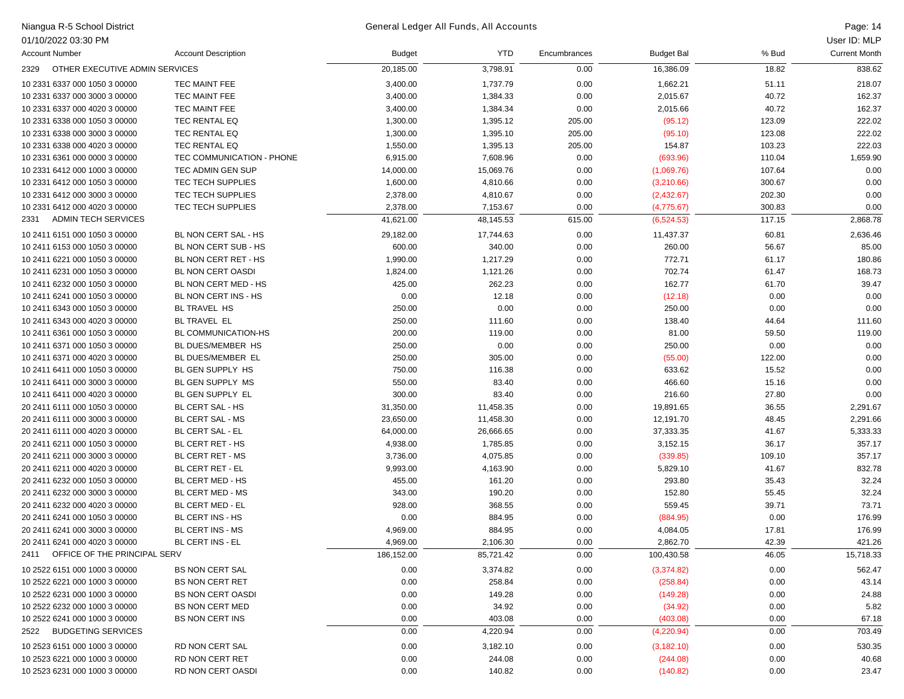## Niangua R-5 School District Page: 14 General Ledger All Funds, All Accounts

| 01/10/2022 03:30 PM                    |                            |               |            |              |                   |        | User ID: MLP         |
|----------------------------------------|----------------------------|---------------|------------|--------------|-------------------|--------|----------------------|
| <b>Account Number</b>                  | <b>Account Description</b> | <b>Budget</b> | <b>YTD</b> | Encumbrances | <b>Budget Bal</b> | % Bud  | <b>Current Month</b> |
| OTHER EXECUTIVE ADMIN SERVICES<br>2329 |                            | 20,185.00     | 3,798.91   | 0.00         | 16,386.09         | 18.82  | 838.62               |
| 10 2331 6337 000 1050 3 00000          | TEC MAINT FEE              | 3,400.00      | 1,737.79   | 0.00         | 1,662.21          | 51.11  | 218.07               |
| 10 2331 6337 000 3000 3 00000          | TEC MAINT FEE              | 3,400.00      | 1,384.33   | 0.00         | 2,015.67          | 40.72  | 162.37               |
| 10 2331 6337 000 4020 3 00000          | TEC MAINT FEE              | 3,400.00      | 1,384.34   | 0.00         | 2,015.66          | 40.72  | 162.37               |
| 10 2331 6338 000 1050 3 00000          | TEC RENTAL EQ              | 1,300.00      | 1,395.12   | 205.00       | (95.12)           | 123.09 | 222.02               |
| 10 2331 6338 000 3000 3 00000          | TEC RENTAL EQ              | 1,300.00      | 1,395.10   | 205.00       | (95.10)           | 123.08 | 222.02               |
| 10 2331 6338 000 4020 3 00000          | TEC RENTAL EQ              | 1,550.00      | 1,395.13   | 205.00       | 154.87            | 103.23 | 222.03               |
| 10 2331 6361 000 0000 3 00000          | TEC COMMUNICATION - PHONE  | 6,915.00      | 7,608.96   | 0.00         | (693.96)          | 110.04 | 1,659.90             |
| 10 2331 6412 000 1000 3 00000          | TEC ADMIN GEN SUP          | 14,000.00     | 15,069.76  | 0.00         | (1,069.76)        | 107.64 | 0.00                 |
| 10 2331 6412 000 1050 3 00000          | TEC TECH SUPPLIES          | 1,600.00      | 4,810.66   | 0.00         | (3,210.66)        | 300.67 | 0.00                 |
| 10 2331 6412 000 3000 3 00000          | TEC TECH SUPPLIES          | 2,378.00      | 4,810.67   | 0.00         | (2,432.67)        | 202.30 | 0.00                 |
| 10 2331 6412 000 4020 3 00000          | TEC TECH SUPPLIES          | 2,378.00      | 7,153.67   | 0.00         | (4,775.67)        | 300.83 | 0.00                 |
| <b>ADMIN TECH SERVICES</b><br>2331     |                            | 41,621.00     | 48,145.53  | 615.00       | (6,524.53)        | 117.15 | 2,868.78             |
| 10 2411 6151 000 1050 3 00000          | BL NON CERT SAL - HS       | 29,182.00     |            | 0.00         |                   | 60.81  |                      |
|                                        | BL NON CERT SUB - HS       |               | 17,744.63  |              | 11,437.37         |        | 2,636.46             |
| 10 2411 6153 000 1050 3 00000          |                            | 600.00        | 340.00     | 0.00         | 260.00            | 56.67  | 85.00                |
| 10 2411 6221 000 1050 3 00000          | BL NON CERT RET - HS       | 1,990.00      | 1,217.29   | 0.00         | 772.71            | 61.17  | 180.86               |
| 10 2411 6231 000 1050 3 00000          | BL NON CERT OASDI          | 1,824.00      | 1,121.26   | 0.00         | 702.74            | 61.47  | 168.73               |
| 10 2411 6232 000 1050 3 00000          | BL NON CERT MED - HS       | 425.00        | 262.23     | 0.00         | 162.77            | 61.70  | 39.47                |
| 10 2411 6241 000 1050 3 00000          | BL NON CERT INS - HS       | 0.00          | 12.18      | 0.00         | (12.18)           | 0.00   | 0.00                 |
| 10 2411 6343 000 1050 3 00000          | <b>BL TRAVEL HS</b>        | 250.00        | 0.00       | 0.00         | 250.00            | 0.00   | 0.00                 |
| 10 2411 6343 000 4020 3 00000          | BL TRAVEL EL               | 250.00        | 111.60     | 0.00         | 138.40            | 44.64  | 111.60               |
| 10 2411 6361 000 1050 3 00000          | BL COMMUNICATION-HS        | 200.00        | 119.00     | 0.00         | 81.00             | 59.50  | 119.00               |
| 10 2411 6371 000 1050 3 00000          | BL DUES/MEMBER HS          | 250.00        | 0.00       | 0.00         | 250.00            | 0.00   | 0.00                 |
| 10 2411 6371 000 4020 3 00000          | BL DUES/MEMBER EL          | 250.00        | 305.00     | 0.00         | (55.00)           | 122.00 | 0.00                 |
| 10 2411 6411 000 1050 3 00000          | BL GEN SUPPLY HS           | 750.00        | 116.38     | 0.00         | 633.62            | 15.52  | 0.00                 |
| 10 2411 6411 000 3000 3 00000          | BL GEN SUPPLY MS           | 550.00        | 83.40      | 0.00         | 466.60            | 15.16  | 0.00                 |
| 10 2411 6411 000 4020 3 00000          | BL GEN SUPPLY EL           | 300.00        | 83.40      | 0.00         | 216.60            | 27.80  | 0.00                 |
| 20 2411 6111 000 1050 3 00000          | BL CERT SAL - HS           | 31,350.00     | 11,458.35  | 0.00         | 19,891.65         | 36.55  | 2,291.67             |
| 20 2411 6111 000 3000 3 00000          | BL CERT SAL - MS           | 23,650.00     | 11,458.30  | 0.00         | 12,191.70         | 48.45  | 2,291.66             |
| 20 2411 6111 000 4020 3 00000          | <b>BL CERT SAL - EL</b>    | 64,000.00     | 26,666.65  | 0.00         | 37,333.35         | 41.67  | 5,333.33             |
| 20 2411 6211 000 1050 3 00000          | BL CERT RET - HS           | 4,938.00      | 1,785.85   | 0.00         | 3,152.15          | 36.17  | 357.17               |
| 20 2411 6211 000 3000 3 00000          | BL CERT RET - MS           | 3,736.00      | 4,075.85   | 0.00         | (339.85)          | 109.10 | 357.17               |
| 20 2411 6211 000 4020 3 00000          | BL CERT RET - EL           | 9,993.00      | 4,163.90   | 0.00         | 5,829.10          | 41.67  | 832.78               |
| 20 2411 6232 000 1050 3 00000          | BL CERT MED - HS           | 455.00        | 161.20     | 0.00         | 293.80            | 35.43  | 32.24                |
| 20 2411 6232 000 3000 3 00000          | BL CERT MED - MS           | 343.00        | 190.20     | 0.00         | 152.80            | 55.45  | 32.24                |
| 20 2411 6232 000 4020 3 00000          | BL CERT MED - EL           | 928.00        | 368.55     | 0.00         | 559.45            | 39.71  | 73.71                |
| 20 2411 6241 000 1050 3 00000          | BL CERT INS - HS           | 0.00          | 884.95     | 0.00         | (884.95)          | 0.00   | 176.99               |
| 20 2411 6241 000 3000 3 00000          | BL CERT INS - MS           | 4,969.00      | 884.95     | 0.00         | 4,084.05          | 17.81  | 176.99               |
| 20 2411 6241 000 4020 3 00000          | BL CERT INS - EL           | 4,969.00      | 2,106.30   | 0.00         | 2,862.70          | 42.39  | 421.26               |
| OFFICE OF THE PRINCIPAL SERV<br>2411   |                            | 186,152.00    | 85,721.42  | 0.00         | 100,430.58        | 46.05  | 15,718.33            |
| 10 2522 6151 000 1000 3 00000          | <b>BS NON CERT SAL</b>     | 0.00          | 3,374.82   | 0.00         | (3,374.82)        | 0.00   | 562.47               |
| 10 2522 6221 000 1000 3 00000          | <b>BS NON CERT RET</b>     | 0.00          | 258.84     | 0.00         | (258.84)          | 0.00   | 43.14                |
| 10 2522 6231 000 1000 3 00000          | <b>BS NON CERT OASDI</b>   | 0.00          | 149.28     | 0.00         | (149.28)          | 0.00   | 24.88                |
| 10 2522 6232 000 1000 3 00000          | <b>BS NON CERT MED</b>     | 0.00          | 34.92      | 0.00         | (34.92)           | 0.00   | 5.82                 |
| 10 2522 6241 000 1000 3 00000          | <b>BS NON CERT INS</b>     | 0.00          | 403.08     | 0.00         | (403.08)          | 0.00   | 67.18                |
| <b>BUDGETING SERVICES</b><br>2522      |                            | 0.00          | 4,220.94   | 0.00         | (4,220.94)        | 0.00   | 703.49               |
| 10 2523 6151 000 1000 3 00000          | <b>RD NON CERT SAL</b>     | 0.00          | 3,182.10   | 0.00         | (3, 182.10)       | 0.00   | 530.35               |
| 10 2523 6221 000 1000 3 00000          | RD NON CERT RET            | 0.00          | 244.08     | 0.00         | (244.08)          | 0.00   | 40.68                |
| 10 2523 6231 000 1000 3 00000          | RD NON CERT OASDI          | 0.00          | 140.82     | 0.00         | (140.82)          | 0.00   | 23.47                |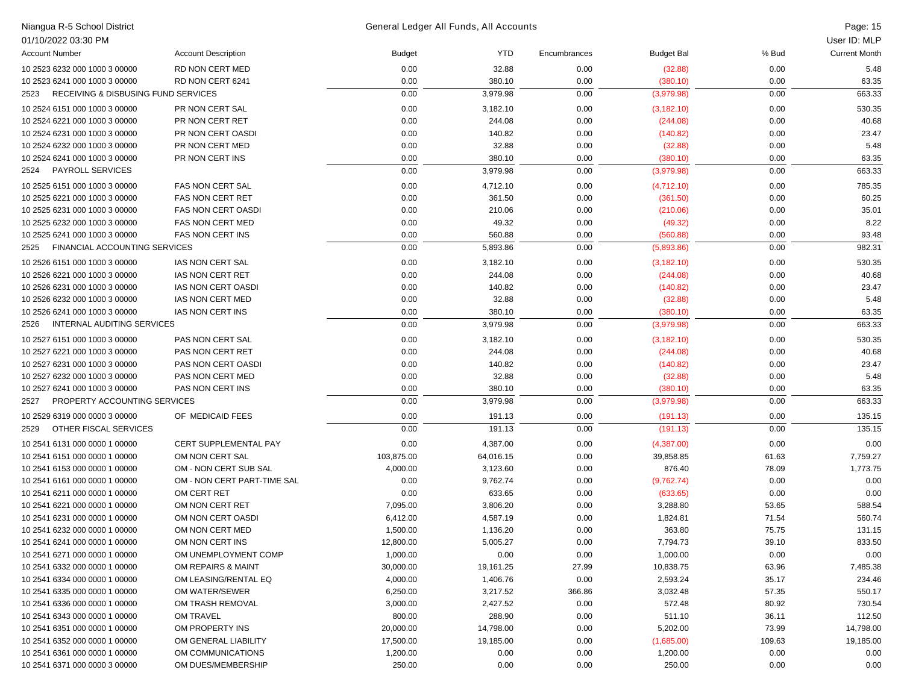| Niangua R-5 School District                            |                              |               | General Ledger All Funds, All Accounts |              |                   |        | Page: 15             |
|--------------------------------------------------------|------------------------------|---------------|----------------------------------------|--------------|-------------------|--------|----------------------|
| 01/10/2022 03:30 PM                                    |                              |               |                                        |              |                   |        | User ID: MLP         |
| <b>Account Number</b>                                  | <b>Account Description</b>   | <b>Budget</b> | <b>YTD</b>                             | Encumbrances | <b>Budget Bal</b> | % Bud  | <b>Current Month</b> |
| 10 2523 6232 000 1000 3 00000                          | RD NON CERT MED              | 0.00          | 32.88                                  | 0.00         | (32.88)           | 0.00   | 5.48                 |
| 10 2523 6241 000 1000 3 00000                          | RD NON CERT 6241             | 0.00          | 380.10                                 | 0.00         | (380.10)          | 0.00   | 63.35                |
| <b>RECEIVING &amp; DISBUSING FUND SERVICES</b><br>2523 |                              | 0.00          | 3,979.98                               | 0.00         | (3,979.98)        | 0.00   | 663.33               |
| 10 2524 6151 000 1000 3 00000                          | PR NON CERT SAL              | 0.00          | 3,182.10                               | 0.00         | (3, 182.10)       | 0.00   | 530.35               |
| 10 2524 6221 000 1000 3 00000                          | PR NON CERT RET              | 0.00          | 244.08                                 | 0.00         | (244.08)          | 0.00   | 40.68                |
| 10 2524 6231 000 1000 3 00000                          | PR NON CERT OASDI            | 0.00          | 140.82                                 | 0.00         | (140.82)          | 0.00   | 23.47                |
| 10 2524 6232 000 1000 3 00000                          | PR NON CERT MED              | 0.00          | 32.88                                  | 0.00         | (32.88)           | 0.00   | 5.48                 |
| 10 2524 6241 000 1000 3 00000                          | PR NON CERT INS              | 0.00          | 380.10                                 | 0.00         | (380.10)          | 0.00   | 63.35                |
| <b>PAYROLL SERVICES</b><br>2524                        |                              | 0.00          | 3,979.98                               | 0.00         | (3,979.98)        | 0.00   | 663.33               |
| 10 2525 6151 000 1000 3 00000                          | <b>FAS NON CERT SAL</b>      | 0.00          | 4,712.10                               | 0.00         | (4,712.10)        | 0.00   | 785.35               |
| 10 2525 6221 000 1000 3 00000                          | <b>FAS NON CERT RET</b>      | 0.00          | 361.50                                 | 0.00         | (361.50)          | 0.00   | 60.25                |
| 10 2525 6231 000 1000 3 00000                          | <b>FAS NON CERT OASDI</b>    | 0.00          | 210.06                                 | 0.00         | (210.06)          | 0.00   | 35.01                |
| 10 2525 6232 000 1000 3 00000                          | <b>FAS NON CERT MED</b>      | 0.00          | 49.32                                  | 0.00         | (49.32)           | 0.00   | 8.22                 |
| 10 2525 6241 000 1000 3 00000                          | <b>FAS NON CERT INS</b>      | 0.00          | 560.88                                 | 0.00         | (560.88)          | 0.00   | 93.48                |
| FINANCIAL ACCOUNTING SERVICES<br>2525                  |                              | 0.00          | 5,893.86                               | 0.00         | (5,893.86)        | 0.00   | 982.31               |
| 10 2526 6151 000 1000 3 00000                          | IAS NON CERT SAL             | 0.00          | 3,182.10                               | 0.00         | (3, 182.10)       | 0.00   | 530.35               |
| 10 2526 6221 000 1000 3 00000                          | <b>IAS NON CERT RET</b>      | 0.00          | 244.08                                 | 0.00         | (244.08)          | 0.00   | 40.68                |
| 10 2526 6231 000 1000 3 00000                          | IAS NON CERT OASDI           | 0.00          | 140.82                                 | 0.00         | (140.82)          | 0.00   | 23.47                |
| 10 2526 6232 000 1000 3 00000                          | IAS NON CERT MED             | 0.00          | 32.88                                  | 0.00         | (32.88)           | 0.00   | 5.48                 |
| 10 2526 6241 000 1000 3 00000                          | IAS NON CERT INS             | 0.00          | 380.10                                 | 0.00         | (380.10)          | 0.00   | 63.35                |
| INTERNAL AUDITING SERVICES<br>2526                     |                              | 0.00          | 3,979.98                               | 0.00         | (3,979.98)        | 0.00   | 663.33               |
| 10 2527 6151 000 1000 3 00000                          | PAS NON CERT SAL             | 0.00          | 3,182.10                               | 0.00         | (3, 182.10)       | 0.00   | 530.35               |
| 10 2527 6221 000 1000 3 00000                          | PAS NON CERT RET             | 0.00          | 244.08                                 | 0.00         | (244.08)          | 0.00   | 40.68                |
| 10 2527 6231 000 1000 3 00000                          | PAS NON CERT OASDI           | 0.00          | 140.82                                 | 0.00         | (140.82)          | 0.00   | 23.47                |
| 10 2527 6232 000 1000 3 00000                          | PAS NON CERT MED             | 0.00          | 32.88                                  | 0.00         | (32.88)           | 0.00   | 5.48                 |
| 10 2527 6241 000 1000 3 00000                          | PAS NON CERT INS             | 0.00          | 380.10                                 | 0.00         | (380.10)          | 0.00   | 63.35                |
| PROPERTY ACCOUNTING SERVICES<br>2527                   |                              | 0.00          | 3,979.98                               | 0.00         | (3,979.98)        | 0.00   | 663.33               |
| 10 2529 6319 000 0000 3 00000                          | OF MEDICAID FEES             | 0.00          | 191.13                                 | 0.00         | (191.13)          | 0.00   | 135.15               |
| OTHER FISCAL SERVICES<br>2529                          |                              | 0.00          | 191.13                                 | 0.00         | (191.13)          | 0.00   | 135.15               |
| 10 2541 6131 000 0000 1 00000                          | <b>CERT SUPPLEMENTAL PAY</b> | 0.00          | 4,387.00                               | 0.00         | (4,387.00)        | 0.00   | 0.00                 |
| 10 2541 6151 000 0000 1 00000                          | OM NON CERT SAL              | 103,875.00    | 64,016.15                              | 0.00         | 39,858.85         | 61.63  | 7,759.27             |
| 10 2541 6153 000 0000 1 00000                          | OM - NON CERT SUB SAL        | 4,000.00      | 3,123.60                               | 0.00         | 876.40            | 78.09  | 1,773.75             |
| 10 2541 6161 000 0000 1 00000                          | OM - NON CERT PART-TIME SAL  | 0.00          | 9,762.74                               | 0.00         | (9,762.74)        | 0.00   | 0.00                 |
| 10 2541 6211 000 0000 1 00000                          | OM CERT RET                  | 0.00          | 633.65                                 | 0.00         | (633.65)          | 0.00   | 0.00                 |
| 10 2541 6221 000 0000 1 00000                          | OM NON CERT RET              | 7,095.00      | 3,806.20                               | 0.00         | 3,288.80          | 53.65  | 588.54               |
| 10 2541 6231 000 0000 1 00000                          | OM NON CERT OASDI            | 6,412.00      | 4,587.19                               | 0.00         | 1,824.81          | 71.54  | 560.74               |
| 10 2541 6232 000 0000 1 00000                          | OM NON CERT MED              | 1,500.00      | 1,136.20                               | 0.00         | 363.80            | 75.75  | 131.15               |
| 10 2541 6241 000 0000 1 00000                          | OM NON CERT INS              | 12,800.00     | 5,005.27                               | 0.00         | 7,794.73          | 39.10  | 833.50               |
| 10 2541 6271 000 0000 1 00000                          | OM UNEMPLOYMENT COMP         | 1,000.00      | 0.00                                   | 0.00         | 1,000.00          | 0.00   | 0.00                 |
| 10 2541 6332 000 0000 1 00000                          | OM REPAIRS & MAINT           | 30,000.00     | 19,161.25                              | 27.99        | 10,838.75         | 63.96  | 7,485.38             |
| 10 2541 6334 000 0000 1 00000                          | OM LEASING/RENTAL EQ         | 4,000.00      | 1,406.76                               | 0.00         | 2,593.24          | 35.17  | 234.46               |
| 10 2541 6335 000 0000 1 00000                          | OM WATER/SEWER               | 6,250.00      | 3,217.52                               | 366.86       | 3,032.48          | 57.35  | 550.17               |
| 10 2541 6336 000 0000 1 00000                          | OM TRASH REMOVAL             | 3,000.00      | 2,427.52                               | 0.00         | 572.48            | 80.92  | 730.54               |
| 10 2541 6343 000 0000 1 00000                          | OM TRAVEL                    | 800.00        | 288.90                                 | 0.00         | 511.10            | 36.11  | 112.50               |
| 10 2541 6351 000 0000 1 00000                          | OM PROPERTY INS              | 20,000.00     | 14,798.00                              | 0.00         | 5,202.00          | 73.99  | 14,798.00            |
| 10 2541 6352 000 0000 1 00000                          | OM GENERAL LIABILITY         | 17,500.00     | 19,185.00                              | 0.00         | (1,685.00)        | 109.63 | 19,185.00            |
| 10 2541 6361 000 0000 1 00000                          | OM COMMUNICATIONS            | 1,200.00      | 0.00                                   | 0.00         | 1,200.00          | 0.00   | 0.00                 |
| 10 2541 6371 000 0000 3 00000                          | OM DUES/MEMBERSHIP           | 250.00        | 0.00                                   | 0.00         | 250.00            | 0.00   | 0.00                 |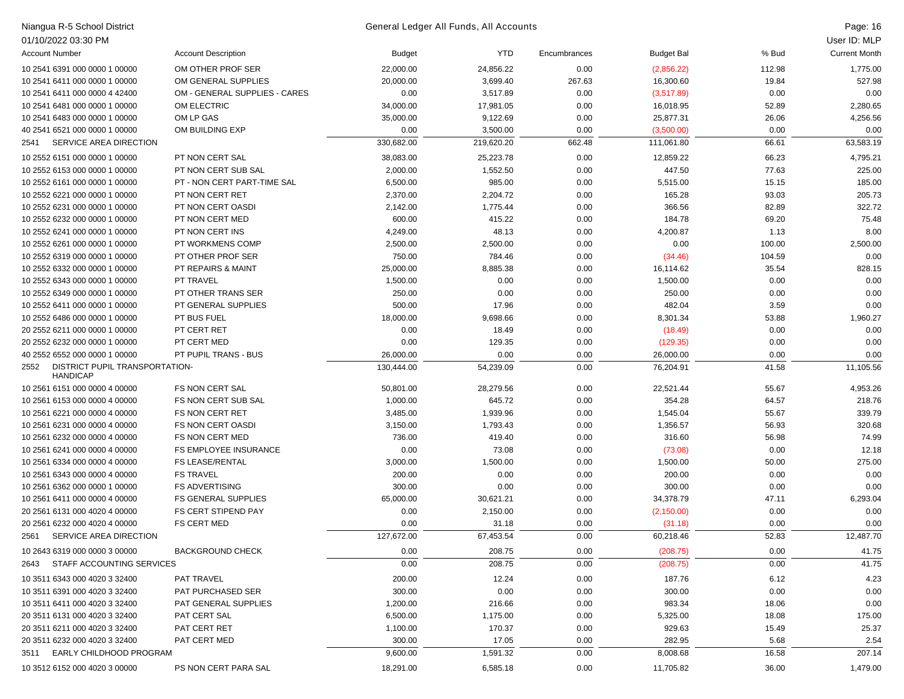| Niangua R-5 School District                               |                               |               | General Ledger All Funds, All Accounts |              |                   |        | Page: 16             |
|-----------------------------------------------------------|-------------------------------|---------------|----------------------------------------|--------------|-------------------|--------|----------------------|
| 01/10/2022 03:30 PM                                       |                               |               |                                        |              |                   |        | User ID: MLP         |
| <b>Account Number</b>                                     | <b>Account Description</b>    | <b>Budget</b> | <b>YTD</b>                             | Encumbrances | <b>Budget Bal</b> | % Bud  | <b>Current Month</b> |
| 10 2541 6391 000 0000 1 00000                             | OM OTHER PROF SER             | 22,000.00     | 24,856.22                              | 0.00         | (2,856.22)        | 112.98 | 1,775.00             |
| 10 2541 6411 000 0000 1 00000                             | OM GENERAL SUPPLIES           | 20,000.00     | 3,699.40                               | 267.63       | 16,300.60         | 19.84  | 527.98               |
| 10 2541 6411 000 0000 4 42400                             | OM - GENERAL SUPPLIES - CARES | 0.00          | 3,517.89                               | 0.00         | (3,517.89)        | 0.00   | 0.00                 |
| 10 2541 6481 000 0000 1 00000                             | OM ELECTRIC                   | 34,000.00     | 17,981.05                              | 0.00         | 16,018.95         | 52.89  | 2,280.65             |
| 10 2541 6483 000 0000 1 00000                             | OM LP GAS                     | 35,000.00     | 9,122.69                               | 0.00         | 25,877.31         | 26.06  | 4,256.56             |
| 40 2541 6521 000 0000 1 00000                             | OM BUILDING EXP               | 0.00          | 3,500.00                               | 0.00         | (3,500.00)        | 0.00   | 0.00                 |
| SERVICE AREA DIRECTION<br>2541                            |                               | 330,682.00    | 219,620.20                             | 662.48       | 111,061.80        | 66.61  | 63,583.19            |
| 10 2552 6151 000 0000 1 00000                             | PT NON CERT SAL               | 38,083.00     | 25,223.78                              | 0.00         | 12,859.22         | 66.23  | 4,795.21             |
| 10 2552 6153 000 0000 1 00000                             | PT NON CERT SUB SAL           | 2,000.00      | 1,552.50                               | 0.00         | 447.50            | 77.63  | 225.00               |
| 10 2552 6161 000 0000 1 00000                             | PT - NON CERT PART-TIME SAL   | 6,500.00      | 985.00                                 | 0.00         | 5,515.00          | 15.15  | 185.00               |
| 10 2552 6221 000 0000 1 00000                             | PT NON CERT RET               | 2,370.00      | 2,204.72                               | 0.00         | 165.28            | 93.03  | 205.73               |
| 10 2552 6231 000 0000 1 00000                             | PT NON CERT OASDI             | 2,142.00      | 1,775.44                               | 0.00         | 366.56            | 82.89  | 322.72               |
| 10 2552 6232 000 0000 1 00000                             | PT NON CERT MED               | 600.00        | 415.22                                 | 0.00         | 184.78            | 69.20  | 75.48                |
| 10 2552 6241 000 0000 1 00000                             | PT NON CERT INS               | 4,249.00      | 48.13                                  | 0.00         | 4,200.87          | 1.13   | 8.00                 |
| 10 2552 6261 000 0000 1 00000                             | PT WORKMENS COMP              | 2,500.00      | 2,500.00                               | 0.00         | 0.00              | 100.00 | 2,500.00             |
| 10 2552 6319 000 0000 1 00000                             | PT OTHER PROF SER             | 750.00        | 784.46                                 | 0.00         | (34.46)           | 104.59 | 0.00                 |
| 10 2552 6332 000 0000 1 00000                             | PT REPAIRS & MAINT            | 25,000.00     | 8,885.38                               | 0.00         | 16,114.62         | 35.54  | 828.15               |
| 10 2552 6343 000 0000 1 00000                             | PT TRAVEL                     | 1,500.00      | 0.00                                   | 0.00         | 1,500.00          | 0.00   | 0.00                 |
| 10 2552 6349 000 0000 1 00000                             | PT OTHER TRANS SER            | 250.00        | 0.00                                   | 0.00         | 250.00            | 0.00   | 0.00                 |
| 10 2552 6411 000 0000 1 00000                             | PT GENERAL SUPPLIES           | 500.00        | 17.96                                  | 0.00         | 482.04            | 3.59   | 0.00                 |
| 10 2552 6486 000 0000 1 00000                             | PT BUS FUEL                   | 18,000.00     | 9,698.66                               | 0.00         | 8,301.34          | 53.88  | 1,960.27             |
| 20 2552 6211 000 0000 1 00000                             | PT CERT RET                   | 0.00          | 18.49                                  | 0.00         | (18.49)           | 0.00   | 0.00                 |
| 20 2552 6232 000 0000 1 00000                             | PT CERT MED                   | 0.00          | 129.35                                 | 0.00         | (129.35)          | 0.00   | 0.00                 |
| 40 2552 6552 000 0000 1 00000                             | PT PUPIL TRANS - BUS          | 26,000.00     | 0.00                                   | 0.00         | 26,000.00         | 0.00   | 0.00                 |
| DISTRICT PUPIL TRANSPORTATION-<br>2552<br><b>HANDICAP</b> |                               | 130,444.00    | 54,239.09                              | 0.00         | 76,204.91         | 41.58  | 11,105.56            |
| 10 2561 6151 000 0000 4 00000                             | FS NON CERT SAL               | 50,801.00     | 28,279.56                              | 0.00         | 22,521.44         | 55.67  | 4,953.26             |
| 10 2561 6153 000 0000 4 00000                             | FS NON CERT SUB SAL           | 1,000.00      | 645.72                                 | 0.00         | 354.28            | 64.57  | 218.76               |
| 10 2561 6221 000 0000 4 00000                             | <b>FS NON CERT RET</b>        | 3,485.00      | 1,939.96                               | 0.00         | 1,545.04          | 55.67  | 339.79               |
| 10 2561 6231 000 0000 4 00000                             | <b>FS NON CERT OASDI</b>      | 3,150.00      | 1,793.43                               | 0.00         | 1,356.57          | 56.93  | 320.68               |
| 10 2561 6232 000 0000 4 00000                             | <b>FS NON CERT MED</b>        | 736.00        | 419.40                                 | 0.00         | 316.60            | 56.98  | 74.99                |
| 10 2561 6241 000 0000 4 00000                             | FS EMPLOYEE INSURANCE         | 0.00          | 73.08                                  | 0.00         | (73.08)           | 0.00   | 12.18                |
| 10 2561 6334 000 0000 4 00000                             | <b>FS LEASE/RENTAL</b>        | 3,000.00      | 1,500.00                               | 0.00         | 1,500.00          | 50.00  | 275.00               |
| 10 2561 6343 000 0000 4 00000                             | <b>FS TRAVEL</b>              | 200.00        | 0.00                                   | 0.00         | 200.00            | 0.00   | 0.00                 |
| 10 2561 6362 000 0000 1 00000                             | <b>FS ADVERTISING</b>         | 300.00        | 0.00                                   | 0.00         | 300.00            | 0.00   | 0.00                 |
| 10 2561 6411 000 0000 4 00000                             | <b>FS GENERAL SUPPLIES</b>    | 65,000.00     | 30,621.21                              | 0.00         | 34,378.79         | 47.11  | 6,293.04             |
| 20 2561 6131 000 4020 4 00000                             | <b>FS CERT STIPEND PAY</b>    | 0.00          | 2,150.00                               | 0.00         | (2, 150.00)       | 0.00   | 0.00                 |
| 20 2561 6232 000 4020 4 00000                             | <b>FS CERT MED</b>            | 0.00          | 31.18                                  | 0.00         | (31.18)           | 0.00   | 0.00                 |
| 2561<br>SERVICE AREA DIRECTION                            |                               | 127,672.00    | 67,453.54                              | 0.00         | 60,218.46         | 52.83  | 12,487.70            |
| 10 2643 6319 000 0000 3 00000                             | <b>BACKGROUND CHECK</b>       | 0.00          | 208.75                                 | 0.00         | (208.75)          | 0.00   | 41.75                |
| STAFF ACCOUNTING SERVICES<br>2643                         |                               | 0.00          | 208.75                                 | 0.00         | (208.75)          | 0.00   | 41.75                |
| 10 3511 6343 000 4020 3 32400                             | PAT TRAVEL                    | 200.00        | 12.24                                  | 0.00         | 187.76            | 6.12   | 4.23                 |
| 10 3511 6391 000 4020 3 32400                             | PAT PURCHASED SER             | 300.00        | 0.00                                   | 0.00         | 300.00            | 0.00   | 0.00                 |
| 10 3511 6411 000 4020 3 32400                             | PAT GENERAL SUPPLIES          | 1,200.00      | 216.66                                 | 0.00         | 983.34            | 18.06  | 0.00                 |
| 20 3511 6131 000 4020 3 32400                             | PAT CERT SAL                  | 6,500.00      | 1,175.00                               | 0.00         | 5,325.00          | 18.08  | 175.00               |
| 20 3511 6211 000 4020 3 32400                             | PAT CERT RET                  | 1,100.00      | 170.37                                 | 0.00         | 929.63            | 15.49  | 25.37                |
| 20 3511 6232 000 4020 3 32400                             | PAT CERT MED                  | 300.00        | 17.05                                  | 0.00         | 282.95            | 5.68   | 2.54                 |
| EARLY CHILDHOOD PROGRAM<br>3511                           |                               | 9,600.00      | 1,591.32                               | 0.00         | 8,008.68          | 16.58  | 207.14               |
| 10 3512 6152 000 4020 3 00000                             | PS NON CERT PARA SAL          | 18,291.00     | 6,585.18                               | 0.00         | 11,705.82         | 36.00  | 1,479.00             |